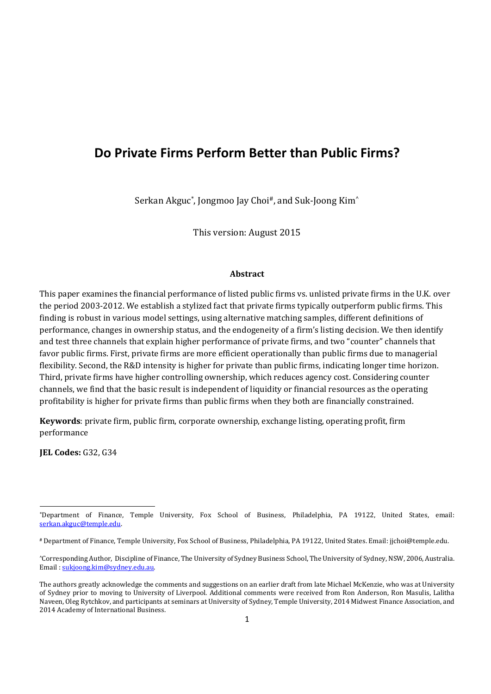# **Do Private Firms Perform Better than Public Firms?**

Serkan Akguc\*, Jongmoo Jay Choi<sup>#</sup>, and Suk-Joong Kim<sup> $\wedge$ </sup>

This version: August 2015

## **Abstract**

This paper examines the financial performance of listed public firms vs. unlisted private firms in the U.K. over the period 2003-2012. We establish a stylized fact that private firms typically outperform public firms. This finding is robust in various model settings, using alternative matching samples, different definitions of performance, changes in ownership status, and the endogeneity of a firm's listing decision. We then identify and test three channels that explain higher performance of private firms, and two "counter" channels that favor public firms. First, private firms are more efficient operationally than public firms due to managerial flexibility. Second, the R&D intensity is higher for private than public firms, indicating longer time horizon. Third, private firms have higher controlling ownership, which reduces agency cost. Considering counter channels, we find that the basic result is independent of liquidity or financial resources as the operating profitability is higher for private firms than public firms when they both are financially constrained.

**Keywords**: private firm, public firm, corporate ownership, exchange listing, operating profit, firm performance

**JEL Codes:** G32, G34 

<sup>\*</sup>Department of Finance, Temple University, Fox School of Business, Philadelphia, PA 19122, United States, email: serkan.akguc@temple.edu. 

<sup>#</sup> Department of Finance, Temple University, Fox School of Business, Philadelphia, PA 19122, United States. Email: jjchoi@temple.edu.

<sup>^</sup>Corresponding Author, Discipline of Finance, The University of Sydney Business School, The University of Sydney, NSW, 2006, Australia. Email : sukjoong.kim@sydney.edu.au. 

The authors greatly acknowledge the comments and suggestions on an earlier draft from late Michael McKenzie, who was at University of Sydney prior to moving to University of Liverpool. Additional comments were received from Ron Anderson, Ron Masulis, Lalitha Naveen, Oleg Rytchkov, and participants at seminars at University of Sydney, Temple University, 2014 Midwest Finance Association, and 2014 Academy of International Business.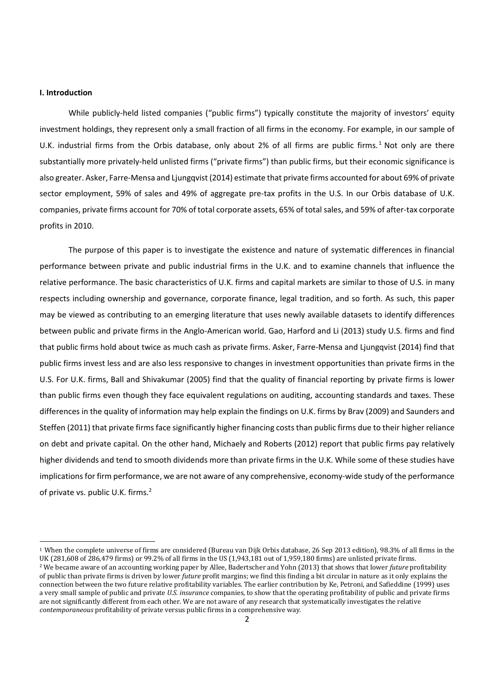#### **I. Introduction**

While publicly-held listed companies ("public firms") typically constitute the majority of investors' equity investment holdings, they represent only a small fraction of all firms in the economy. For example, in our sample of U.K. industrial firms from the Orbis database, only about 2% of all firms are public firms.<sup>1</sup> Not only are there substantially more privately-held unlisted firms ("private firms") than public firms, but their economic significance is also greater. Asker, Farre‐Mensa and Ljungqvist (2014) estimate that private firms accounted for about 69% of private sector employment, 59% of sales and 49% of aggregate pre-tax profits in the U.S. In our Orbis database of U.K. companies, private firms account for 70% of total corporate assets, 65% of total sales, and 59% of after‐tax corporate profits in 2010.

The purpose of this paper is to investigate the existence and nature of systematic differences in financial performance between private and public industrial firms in the U.K. and to examine channels that influence the relative performance. The basic characteristics of U.K. firms and capital markets are similar to those of U.S. in many respects including ownership and governance, corporate finance, legal tradition, and so forth. As such, this paper may be viewed as contributing to an emerging literature that uses newly available datasets to identify differences between public and private firms in the Anglo‐American world. Gao, Harford and Li (2013) study U.S. firms and find that public firms hold about twice as much cash as private firms. Asker, Farre‐Mensa and Ljungqvist (2014) find that public firms invest less and are also less responsive to changes in investment opportunities than private firms in the U.S. For U.K. firms, Ball and Shivakumar (2005) find that the quality of financial reporting by private firms is lower than public firms even though they face equivalent regulations on auditing, accounting standards and taxes. These differences in the quality of information may help explain the findings on U.K. firms by Brav (2009) and Saunders and Steffen (2011) that private firms face significantly higher financing costs than public firms due to their higher reliance on debt and private capital. On the other hand, Michaely and Roberts (2012) report that public firms pay relatively higher dividends and tend to smooth dividends more than private firms in the U.K. While some of these studies have implications for firm performance, we are not aware of any comprehensive, economy-wide study of the performance of private vs. public U.K. firms.<sup>2</sup>

 $1$  When the complete universe of firms are considered (Bureau van Dijk Orbis database, 26 Sep 2013 edition), 98.3% of all firms in the UK (281,608 of 286,479 firms) or 99.2% of all firms in the US (1,943,181 out of 1,959,180 firms) are unlisted private firms. <sup>2</sup> We became aware of an accounting working paper by Allee, Badertscher and Yohn (2013) that shows that lower *future* profitability of public than private firms is driven by lower *future* profit margins; we find this finding a bit circular in nature as it only explains the connection between the two future relative profitability variables. The earlier contribution by Ke, Petroni, and Safieddine (1999) uses a very small sample of public and private *U.S. insurance* companies, to show that the operating profitability of public and private firms are not significantly different from each other. We are not aware of any research that systematically investigates the relative *contemporaneous* profitability of private versus public firms in a comprehensive way.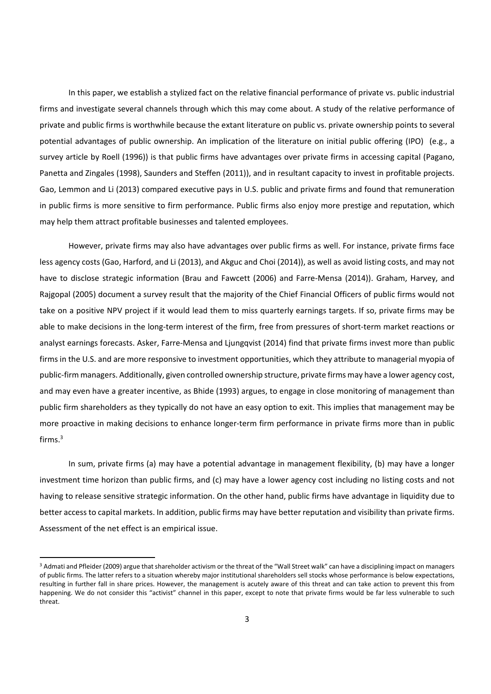In this paper, we establish a stylized fact on the relative financial performance of private vs. public industrial firms and investigate several channels through which this may come about. A study of the relative performance of private and public firms is worthwhile because the extant literature on public vs. private ownership points to several potential advantages of public ownership. An implication of the literature on initial public offering (IPO) (e.g., a survey article by Roell (1996)) is that public firms have advantages over private firms in accessing capital (Pagano, Panetta and Zingales (1998), Saunders and Steffen (2011)), and in resultant capacity to invest in profitable projects. Gao, Lemmon and Li (2013) compared executive pays in U.S. public and private firms and found that remuneration in public firms is more sensitive to firm performance. Public firms also enjoy more prestige and reputation, which may help them attract profitable businesses and talented employees.

However, private firms may also have advantages over public firms as well. For instance, private firms face less agency costs (Gao, Harford, and Li (2013), and Akguc and Choi (2014)), as well as avoid listing costs, and may not have to disclose strategic information (Brau and Fawcett (2006) and Farre-Mensa (2014)). Graham, Harvey, and Rajgopal (2005) document a survey result that the majority of the Chief Financial Officers of public firms would not take on a positive NPV project if it would lead them to miss quarterly earnings targets. If so, private firms may be able to make decisions in the long-term interest of the firm, free from pressures of short-term market reactions or analyst earnings forecasts. Asker, Farre‐Mensa and Ljungqvist (2014) find that private firms invest more than public firms in the U.S. and are more responsive to investment opportunities, which they attribute to managerial myopia of public‐firm managers. Additionally, given controlled ownership structure, private firms may have a lower agency cost, and may even have a greater incentive, as Bhide (1993) argues, to engage in close monitoring of management than public firm shareholders as they typically do not have an easy option to exit. This implies that management may be more proactive in making decisions to enhance longer‐term firm performance in private firms more than in public firms.3

In sum, private firms (a) may have a potential advantage in management flexibility, (b) may have a longer investment time horizon than public firms, and (c) may have a lower agency cost including no listing costs and not having to release sensitive strategic information. On the other hand, public firms have advantage in liquidity due to better access to capital markets. In addition, public firms may have better reputation and visibility than private firms. Assessment of the net effect is an empirical issue.

<sup>&</sup>lt;sup>3</sup> Admati and Pfleider (2009) argue that shareholder activism or the threat of the "Wall Street walk" can have a disciplining impact on managers of public firms. The latter refers to a situation whereby major institutional shareholders sell stocks whose performance is below expectations, resulting in further fall in share prices. However, the management is acutely aware of this threat and can take action to prevent this from happening. We do not consider this "activist" channel in this paper, except to note that private firms would be far less vulnerable to such threat.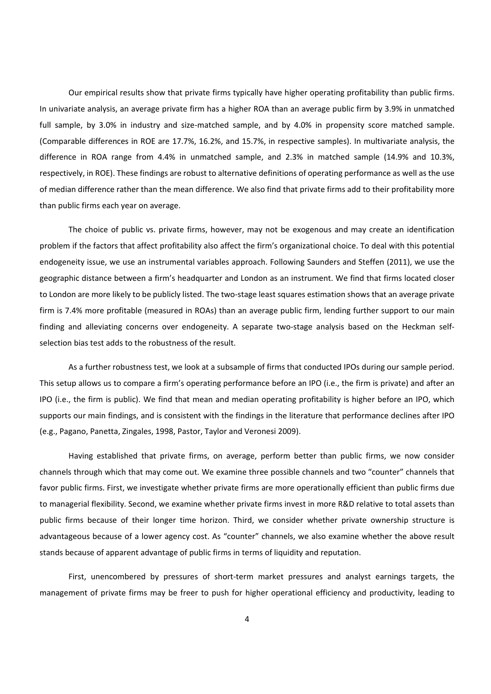Our empirical results show that private firms typically have higher operating profitability than public firms. In univariate analysis, an average private firm has a higher ROA than an average public firm by 3.9% in unmatched full sample, by 3.0% in industry and size-matched sample, and by 4.0% in propensity score matched sample. (Comparable differences in ROE are 17.7%, 16.2%, and 15.7%, in respective samples). In multivariate analysis, the difference in ROA range from 4.4% in unmatched sample, and 2.3% in matched sample (14.9% and 10.3%, respectively, in ROE). These findings are robust to alternative definitions of operating performance as well as the use of median difference rather than the mean difference. We also find that private firms add to their profitability more than public firms each year on average.

The choice of public vs. private firms, however, may not be exogenous and may create an identification problem if the factors that affect profitability also affect the firm's organizational choice. To deal with this potential endogeneity issue, we use an instrumental variables approach. Following Saunders and Steffen (2011), we use the geographic distance between a firm's headquarter and London as an instrument. We find that firms located closer to London are more likely to be publicly listed. The two-stage least squares estimation shows that an average private firm is 7.4% more profitable (measured in ROAs) than an average public firm, lending further support to our main finding and alleviating concerns over endogeneity. A separate two-stage analysis based on the Heckman selfselection bias test adds to the robustness of the result.

As a further robustness test, we look at a subsample of firms that conducted IPOs during our sample period. This setup allows us to compare a firm's operating performance before an IPO (i.e., the firm is private) and after an IPO (i.e., the firm is public). We find that mean and median operating profitability is higher before an IPO, which supports our main findings, and is consistent with the findings in the literature that performance declines after IPO (e.g., Pagano, Panetta, Zingales, 1998, Pastor, Taylor and Veronesi 2009).

Having established that private firms, on average, perform better than public firms, we now consider channels through which that may come out. We examine three possible channels and two "counter" channels that favor public firms. First, we investigate whether private firms are more operationally efficient than public firms due to managerial flexibility. Second, we examine whether private firms invest in more R&D relative to total assets than public firms because of their longer time horizon. Third, we consider whether private ownership structure is advantageous because of a lower agency cost. As "counter" channels, we also examine whether the above result stands because of apparent advantage of public firms in terms of liquidity and reputation.

First, unencombered by pressures of short-term market pressures and analyst earnings targets, the management of private firms may be freer to push for higher operational efficiency and productivity, leading to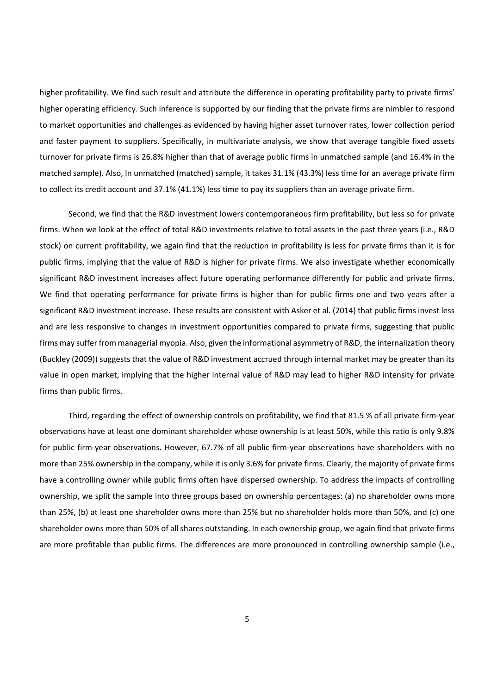higher profitability. We find such result and attribute the difference in operating profitability party to private firms' higher operating efficiency. Such inference is supported by our finding that the private firms are nimbler to respond to market opportunities and challenges as evidenced by having higher asset turnover rates, lower collection period and faster payment to suppliers. Specifically, in multivariate analysis, we show that average tangible fixed assets turnover for private firms is 26.8% higher than that of average public firms in unmatched sample (and 16.4% in the matched sample). Also, In unmatched (matched) sample, it takes 31.1% (43.3%) less time for an average private firm to collect its credit account and 37.1% (41.1%) less time to pay its suppliers than an average private firm.

Second, we find that the R&D investment lowers contemporaneous firm profitability, but less so for private firms. When we look at the effect of total R&D investments relative to total assets in the past three years (i.e., R&D stock) on current profitability, we again find that the reduction in profitability is less for private firms than it is for public firms, implying that the value of R&D is higher for private firms. We also investigate whether economically significant R&D investment increases affect future operating performance differently for public and private firms. We find that operating performance for private firms is higher than for public firms one and two years after a significant R&D investment increase. These results are consistent with Asker et al. (2014) that public firms invest less and are less responsive to changes in investment opportunities compared to private firms, suggesting that public firms may suffer from managerial myopia. Also, given the informational asymmetry of R&D, the internalization theory (Buckley (2009)) suggests that the value of R&D investment accrued through internal market may be greater than its value in open market, implying that the higher internal value of R&D may lead to higher R&D intensity for private firms than public firms.

Third, regarding the effect of ownership controls on profitability, we find that 81.5 % of all private firm‐year observations have at least one dominant shareholder whose ownership is at least 50%, while this ratio is only 9.8% for public firm-year observations. However, 67.7% of all public firm-year observations have shareholders with no more than 25% ownership in the company, while it is only 3.6% for private firms. Clearly, the majority of private firms have a controlling owner while public firms often have dispersed ownership. To address the impacts of controlling ownership, we split the sample into three groups based on ownership percentages: (a) no shareholder owns more than 25%, (b) at least one shareholder owns more than 25% but no shareholder holds more than 50%, and (c) one shareholder owns more than 50% of all shares outstanding. In each ownership group, we again find that private firms are more profitable than public firms. The differences are more pronounced in controlling ownership sample (i.e.,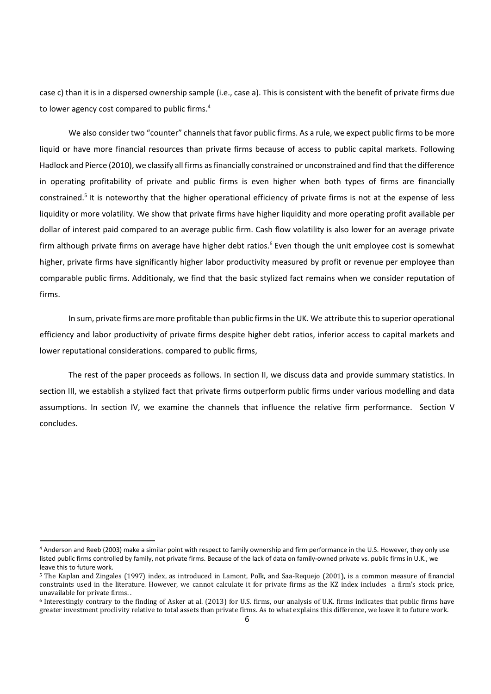case c) than it is in a dispersed ownership sample (i.e., case a). This is consistent with the benefit of private firms due to lower agency cost compared to public firms.<sup>4</sup>

We also consider two "counter" channels that favor public firms. As a rule, we expect public firms to be more liquid or have more financial resources than private firms because of access to public capital markets. Following Hadlock and Pierce (2010), we classify all firms asfinancially constrained or unconstrained and find that the difference in operating profitability of private and public firms is even higher when both types of firms are financially constrained.<sup>5</sup> It is noteworthy that the higher operational efficiency of private firms is not at the expense of less liquidity or more volatility. We show that private firms have higher liquidity and more operating profit available per dollar of interest paid compared to an average public firm. Cash flow volatility is also lower for an average private firm although private firms on average have higher debt ratios.<sup>6</sup> Even though the unit employee cost is somewhat higher, private firms have significantly higher labor productivity measured by profit or revenue per employee than comparable public firms. Additionaly, we find that the basic stylized fact remains when we consider reputation of firms.

In sum, private firms are more profitable than public firms in the UK. We attribute this to superior operational efficiency and labor productivity of private firms despite higher debt ratios, inferior access to capital markets and lower reputational considerations. compared to public firms,

The rest of the paper proceeds as follows. In section II, we discuss data and provide summary statistics. In section III, we establish a stylized fact that private firms outperform public firms under various modelling and data assumptions. In section IV, we examine the channels that influence the relative firm performance. Section V concludes.

<sup>4</sup> Anderson and Reeb (2003) make a similar point with respect to family ownership and firm performance in the U.S. However, they only use listed public firms controlled by family, not private firms. Because of the lack of data on family‐owned private vs. public firms in U.K., we leave this to future work.

<sup>&</sup>lt;sup>5</sup> The Kaplan and Zingales (1997) index, as introduced in Lamont, Polk, and Saa-Requejo (2001), is a common measure of financial constraints used in the literature. However, we cannot calculate it for private firms as the KZ index includes a firm's stock price, unavailable for private firms..

 $6$  Interestingly contrary to the finding of Asker at al. (2013) for U.S. firms, our analysis of U.K. firms indicates that public firms have greater investment proclivity relative to total assets than private firms. As to what explains this difference, we leave it to future work.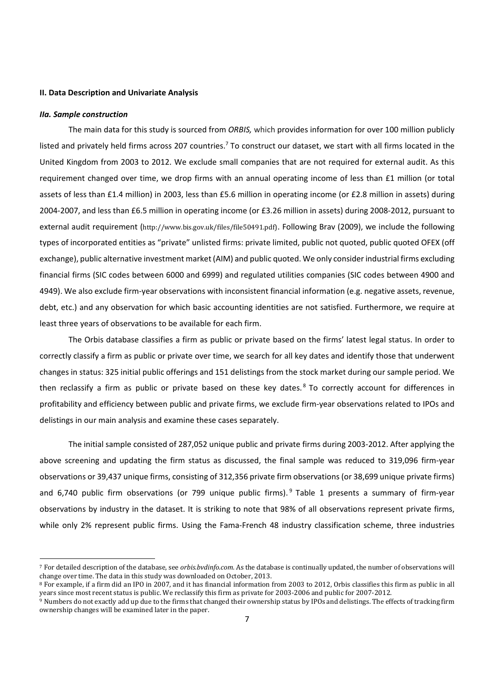### **II. Data Description and Univariate Analysis**

#### *IIa. Sample construction*

The main data for this study is sourced from *ORBIS,* which provides information for over 100 million publicly listed and privately held firms across 207 countries.<sup>7</sup> To construct our dataset, we start with all firms located in the United Kingdom from 2003 to 2012. We exclude small companies that are not required for external audit. As this requirement changed over time, we drop firms with an annual operating income of less than £1 million (or total assets of less than £1.4 million) in 2003, less than £5.6 million in operating income (or £2.8 million in assets) during 2004‐2007, and less than £6.5 million in operating income (or £3.26 million in assets) during 2008‐2012, pursuant to external audit requirement (http://www.bis.gov.uk/files/file50491.pdf). Following Brav (2009), we include the following types of incorporated entities as "private" unlisted firms: private limited, public not quoted, public quoted OFEX (off exchange), public alternative investment market (AIM) and public quoted. We only considerindustrial firms excluding financial firms (SIC codes between 6000 and 6999) and regulated utilities companies (SIC codes between 4900 and 4949). We also exclude firm‐year observations with inconsistent financial information (e.g. negative assets, revenue, debt, etc.) and any observation for which basic accounting identities are not satisfied. Furthermore, we require at least three years of observations to be available for each firm.

The Orbis database classifies a firm as public or private based on the firms' latest legal status. In order to correctly classify a firm as public or private over time, we search for all key dates and identify those that underwent changes in status: 325 initial public offerings and 151 delistings from the stock market during our sample period. We then reclassify a firm as public or private based on these key dates. <sup>8</sup> To correctly account for differences in profitability and efficiency between public and private firms, we exclude firm‐year observations related to IPOs and delistings in our main analysis and examine these cases separately.

The initial sample consisted of 287,052 unique public and private firms during 2003‐2012. After applying the above screening and updating the firm status as discussed, the final sample was reduced to 319,096 firm‐year observations or 39,437 unique firms, consisting of 312,356 private firm observations (or 38,699 unique private firms) and 6,740 public firm observations (or 799 unique public firms).<sup>9</sup> Table 1 presents a summary of firm-year observations by industry in the dataset. It is striking to note that 98% of all observations represent private firms, while only 2% represent public firms. Using the Fama-French 48 industry classification scheme, three industries

<sup>&</sup>lt;sup>7</sup> For detailed description of the database, see *orbis.bydinfo.com*. As the database is continually updated, the number of observations will change over time. The data in this study was downloaded on October, 2013.

<sup>&</sup>lt;sup>8</sup> For example, if a firm did an IPO in 2007, and it has financial information from 2003 to 2012, Orbis classifies this firm as public in all years since most recent status is public. We reclassify this firm as private for 2003-2006 and public for 2007-2012.

<sup>&</sup>lt;sup>9</sup> Numbers do not exactly add up due to the firms that changed their ownership status by IPOs and delistings. The effects of tracking firm ownership changes will be examined later in the paper.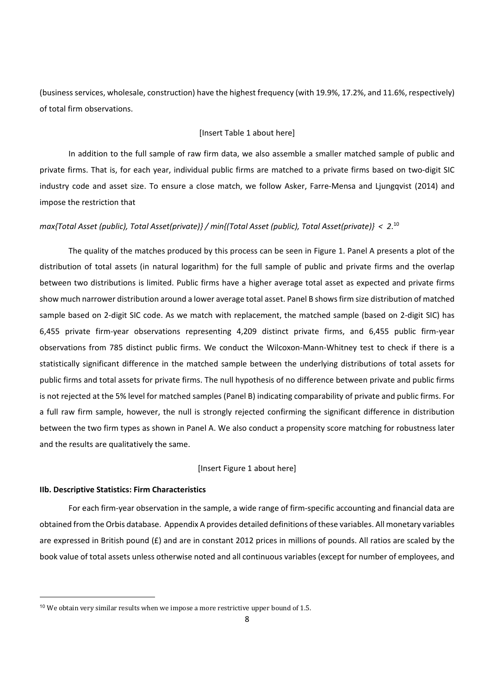(business services, wholesale, construction) have the highest frequency (with 19.9%, 17.2%, and 11.6%, respectively) of total firm observations.

# [Insert Table 1 about here]

In addition to the full sample of raw firm data, we also assemble a smaller matched sample of public and private firms. That is, for each year, individual public firms are matched to a private firms based on two-digit SIC industry code and asset size. To ensure a close match, we follow Asker, Farre-Mensa and Ljungqvist (2014) and impose the restriction that

# *max{Total Asset (public), Total Asset(private)} / min{(Total Asset (public), Total Asset(private)} < 2*. <sup>10</sup>

The quality of the matches produced by this process can be seen in Figure 1. Panel A presents a plot of the distribution of total assets (in natural logarithm) for the full sample of public and private firms and the overlap between two distributions is limited. Public firms have a higher average total asset as expected and private firms show much narrower distribution around a lower average total asset. Panel B showsfirm size distribution of matched sample based on 2-digit SIC code. As we match with replacement, the matched sample (based on 2-digit SIC) has 6,455 private firm‐year observations representing 4,209 distinct private firms, and 6,455 public firm‐year observations from 785 distinct public firms. We conduct the Wilcoxon‐Mann‐Whitney test to check if there is a statistically significant difference in the matched sample between the underlying distributions of total assets for public firms and total assets for private firms. The null hypothesis of no difference between private and public firms is not rejected at the 5% level for matched samples (Panel B) indicating comparability of private and public firms. For a full raw firm sample, however, the null is strongly rejected confirming the significant difference in distribution between the two firm types as shown in Panel A. We also conduct a propensity score matching for robustness later and the results are qualitatively the same.

### [Insert Figure 1 about here]

#### **IIb. Descriptive Statistics: Firm Characteristics**

For each firm‐year observation in the sample, a wide range of firm‐specific accounting and financial data are obtained from the Orbis database. Appendix A provides detailed definitions ofthese variables. All monetary variables are expressed in British pound ( $E$ ) and are in constant 2012 prices in millions of pounds. All ratios are scaled by the book value of total assets unless otherwise noted and all continuous variables (except for number of employees, and

<sup>&</sup>lt;sup>10</sup> We obtain very similar results when we impose a more restrictive upper bound of 1.5.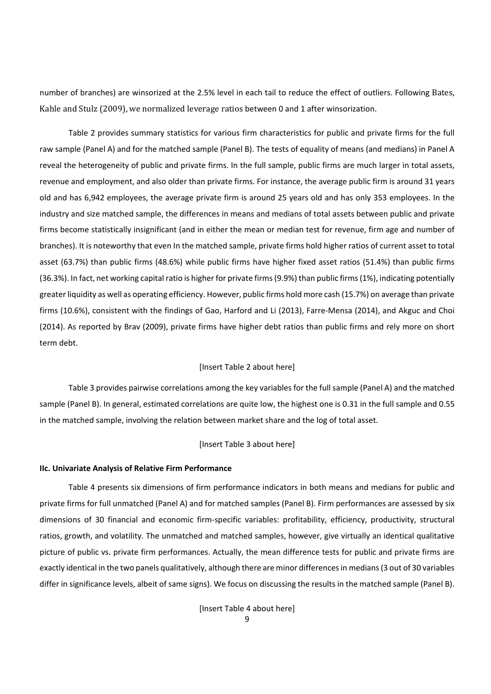number of branches) are winsorized at the 2.5% level in each tail to reduce the effect of outliers. Following Bates, Kahle and Stulz (2009), we normalized leverage ratios between 0 and 1 after winsorization.

Table 2 provides summary statistics for various firm characteristics for public and private firms for the full raw sample (Panel A) and for the matched sample (Panel B). The tests of equality of means (and medians) in Panel A reveal the heterogeneity of public and private firms. In the full sample, public firms are much larger in total assets, revenue and employment, and also older than private firms. For instance, the average public firm is around 31 years old and has 6,942 employees, the average private firm is around 25 years old and has only 353 employees. In the industry and size matched sample, the differences in means and medians of total assets between public and private firms become statistically insignificant (and in either the mean or median test for revenue, firm age and number of branches). It is noteworthy that even In the matched sample, private firms hold higher ratios of current asset to total asset (63.7%) than public firms (48.6%) while public firms have higher fixed asset ratios (51.4%) than public firms (36.3%). In fact, net working capital ratio is higher for private firms(9.9%) than public firms(1%), indicating potentially greater liquidity as well as operating efficiency. However, public firms hold more cash (15.7%) on average than private firms (10.6%), consistent with the findings of Gao, Harford and Li (2013), Farre-Mensa (2014), and Akguc and Choi (2014). As reported by Brav (2009), private firms have higher debt ratios than public firms and rely more on short term debt.

# [Insert Table 2 about here]

Table 3 provides pairwise correlations among the key variables for the full sample (Panel A) and the matched sample (Panel B). In general, estimated correlations are quite low, the highest one is 0.31 in the full sample and 0.55 in the matched sample, involving the relation between market share and the log of total asset.

#### [Insert Table 3 about here]

#### **IIc. Univariate Analysis of Relative Firm Performance**

Table 4 presents six dimensions of firm performance indicators in both means and medians for public and private firms for full unmatched (Panel A) and for matched samples (Panel B). Firm performances are assessed by six dimensions of 30 financial and economic firm‐specific variables: profitability, efficiency, productivity, structural ratios, growth, and volatility. The unmatched and matched samples, however, give virtually an identical qualitative picture of public vs. private firm performances. Actually, the mean difference tests for public and private firms are exactly identical in the two panels qualitatively, although there are minor differencesin medians(3 out of 30 variables differ in significance levels, albeit of same signs). We focus on discussing the results in the matched sample (Panel B).

> 9 [Insert Table 4 about here]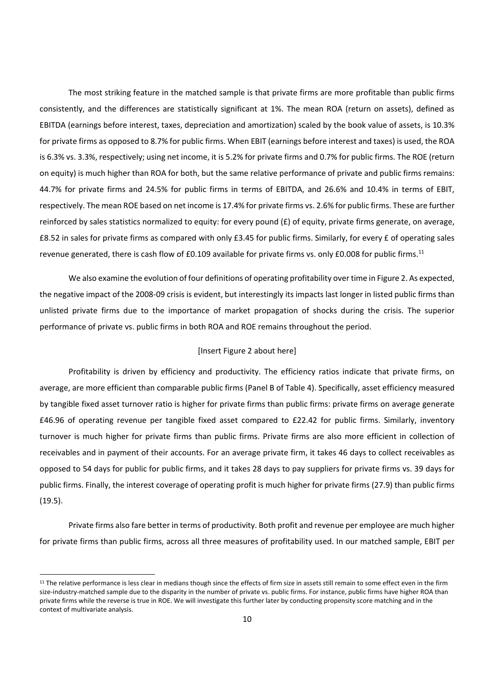The most striking feature in the matched sample is that private firms are more profitable than public firms consistently, and the differences are statistically significant at 1%. The mean ROA (return on assets), defined as EBITDA (earnings before interest, taxes, depreciation and amortization) scaled by the book value of assets, is 10.3% for private firms as opposed to 8.7% for public firms. When EBIT (earnings before interest and taxes) is used, the ROA is 6.3% vs. 3.3%, respectively; using net income, it is 5.2% for private firms and 0.7% for public firms. The ROE (return on equity) is much higher than ROA for both, but the same relative performance of private and public firms remains: 44.7% for private firms and 24.5% for public firms in terms of EBITDA, and 26.6% and 10.4% in terms of EBIT, respectively. The mean ROE based on net income is 17.4% for private firms vs. 2.6% for public firms. These are further reinforced by sales statistics normalized to equity: for every pound  $(E)$  of equity, private firms generate, on average, £8.52 in sales for private firms as compared with only £3.45 for public firms. Similarly, for every £ of operating sales revenue generated, there is cash flow of £0.109 available for private firms vs. only £0.008 for public firms.<sup>11</sup>

We also examine the evolution of four definitions of operating profitability overtime in Figure 2. As expected, the negative impact of the 2008‐09 crisis is evident, but interestingly its impacts last longer in listed public firms than unlisted private firms due to the importance of market propagation of shocks during the crisis. The superior performance of private vs. public firms in both ROA and ROE remains throughout the period.

# [Insert Figure 2 about here]

Profitability is driven by efficiency and productivity. The efficiency ratios indicate that private firms, on average, are more efficient than comparable public firms (Panel B of Table 4). Specifically, asset efficiency measured by tangible fixed asset turnover ratio is higher for private firms than public firms: private firms on average generate £46.96 of operating revenue per tangible fixed asset compared to £22.42 for public firms. Similarly, inventory turnover is much higher for private firms than public firms. Private firms are also more efficient in collection of receivables and in payment of their accounts. For an average private firm, it takes 46 days to collect receivables as opposed to 54 days for public for public firms, and it takes 28 days to pay suppliers for private firms vs. 39 days for public firms. Finally, the interest coverage of operating profit is much higher for private firms (27.9) than public firms (19.5).

Private firms also fare better in terms of productivity. Both profit and revenue per employee are much higher for private firms than public firms, across all three measures of profitability used. In our matched sample, EBIT per

<sup>&</sup>lt;sup>11</sup> The relative performance is less clear in medians though since the effects of firm size in assets still remain to some effect even in the firm size-industry-matched sample due to the disparity in the number of private vs. public firms. For instance, public firms have higher ROA than private firms while the reverse is true in ROE. We will investigate this further later by conducting propensity score matching and in the context of multivariate analysis.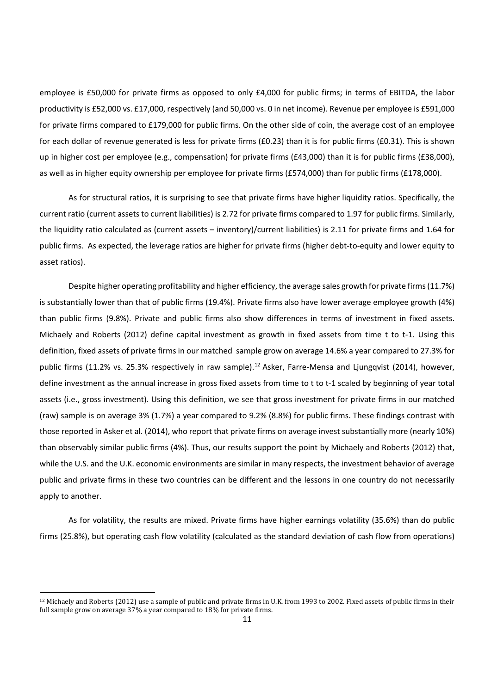employee is £50,000 for private firms as opposed to only £4,000 for public firms; in terms of EBITDA, the labor productivity is £52,000 vs. £17,000, respectively (and 50,000 vs. 0 in net income). Revenue per employee is £591,000 for private firms compared to £179,000 for public firms. On the other side of coin, the average cost of an employee for each dollar of revenue generated is less for private firms (£0.23) than it is for public firms (£0.31). This is shown up in higher cost per employee (e.g., compensation) for private firms (£43,000) than it is for public firms (£38,000), as well as in higher equity ownership per employee for private firms (£574,000) than for public firms (£178,000).

As for structural ratios, it is surprising to see that private firms have higher liquidity ratios. Specifically, the current ratio (current assets to current liabilities) is 2.72 for private firms compared to 1.97 for public firms. Similarly, the liquidity ratio calculated as (current assets – inventory)/current liabilities) is 2.11 for private firms and 1.64 for public firms. As expected, the leverage ratios are higher for private firms (higher debt‐to‐equity and lower equity to asset ratios).

Despite higher operating profitability and higher efficiency, the average sales growth for private firms (11.7%) is substantially lower than that of public firms (19.4%). Private firms also have lower average employee growth (4%) than public firms (9.8%). Private and public firms also show differences in terms of investment in fixed assets. Michaely and Roberts (2012) define capital investment as growth in fixed assets from time t to t‐1. Using this definition, fixed assets of private firms in our matched sample grow on average 14.6% a year compared to 27.3% for public firms (11.2% vs. 25.3% respectively in raw sample).<sup>12</sup> Asker, Farre-Mensa and Ljungqvist (2014), however, define investment as the annual increase in gross fixed assets from time to t to t-1 scaled by beginning of year total assets (i.e., gross investment). Using this definition, we see that gross investment for private firms in our matched (raw) sample is on average 3% (1.7%) a year compared to 9.2% (8.8%) for public firms. These findings contrast with those reported in Asker et al. (2014), who report that private firms on average invest substantially more (nearly 10%) than observably similar public firms (4%). Thus, our results support the point by Michaely and Roberts (2012) that, while the U.S. and the U.K. economic environments are similar in many respects, the investment behavior of average public and private firms in these two countries can be different and the lessons in one country do not necessarily apply to another.

As for volatility, the results are mixed. Private firms have higher earnings volatility (35.6%) than do public firms (25.8%), but operating cash flow volatility (calculated as the standard deviation of cash flow from operations)

<sup>&</sup>lt;sup>12</sup> Michaely and Roberts (2012) use a sample of public and private firms in U.K. from 1993 to 2002. Fixed assets of public firms in their full sample grow on average 37% a year compared to 18% for private firms.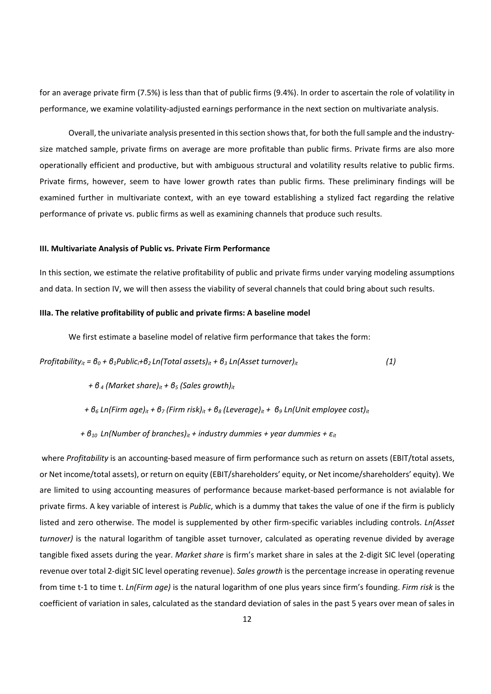for an average private firm (7.5%) is less than that of public firms (9.4%). In order to ascertain the role of volatility in performance, we examine volatility-adjusted earnings performance in the next section on multivariate analysis.

Overall, the univariate analysis presented in this section shows that, for both the full sample and the industrysize matched sample, private firms on average are more profitable than public firms. Private firms are also more operationally efficient and productive, but with ambiguous structural and volatility results relative to public firms. Private firms, however, seem to have lower growth rates than public firms. These preliminary findings will be examined further in multivariate context, with an eye toward establishing a stylized fact regarding the relative performance of private vs. public firms as well as examining channels that produce such results.

#### **III. Multivariate Analysis of Public vs. Private Firm Performance**

In this section, we estimate the relative profitability of public and private firms under varying modeling assumptions and data. In section IV, we will then assess the viability of several channels that could bring about such results.

#### **IIIa. The relative profitability of public and private firms: A baseline model**

We first estimate a baseline model of relative firm performance that takes the form:

*Profitability<sub>it</sub>* =  $\theta_0$  +  $\theta_1$ *Public<sub>i</sub>* +  $\theta_2$  *Ln(Total assets)<sub>it</sub>* +  $\theta_3$  *Ln(Asset turnover)<sub>it</sub>* (1)

 *+ β <sup>4</sup> (Market share)it + β<sup>5</sup> (Sales growth)it* 

+  $\theta_6$  Ln(Firm age)<sub>it</sub> +  $\theta_7$  (Firm risk)<sub>it</sub> +  $\theta_8$  (Leverage)<sub>it</sub> +  $\theta_9$  Ln(Unit employee cost)<sub>it</sub>

 *+ β<sup>10</sup> Ln(Number of branches)it + industry dummies + year dummies + εit*

where *Profitability* is an accounting-based measure of firm performance such as return on assets (EBIT/total assets, or Net income/total assets), or return on equity (EBIT/shareholders' equity, or Net income/shareholders' equity). We are limited to using accounting measures of performance because market‐based performance is not avialable for private firms. A key variable of interest is *Public*, which is a dummy that takes the value of one if the firm is publicly listed and zero otherwise. The model is supplemented by other firm‐specific variables including controls. *Ln(Asset turnover)* is the natural logarithm of tangible asset turnover, calculated as operating revenue divided by average tangible fixed assets during the year. *Market share* is firm's market share in sales at the 2‐digit SIC level (operating revenue over total 2‐digit SIC level operating revenue). *Sales growth* is the percentage increase in operating revenue from time t‐1 to time t. *Ln(Firm age)* is the natural logarithm of one plus years since firm's founding. *Firm risk* is the coefficient of variation in sales, calculated as the standard deviation of sales in the past 5 years over mean of sales in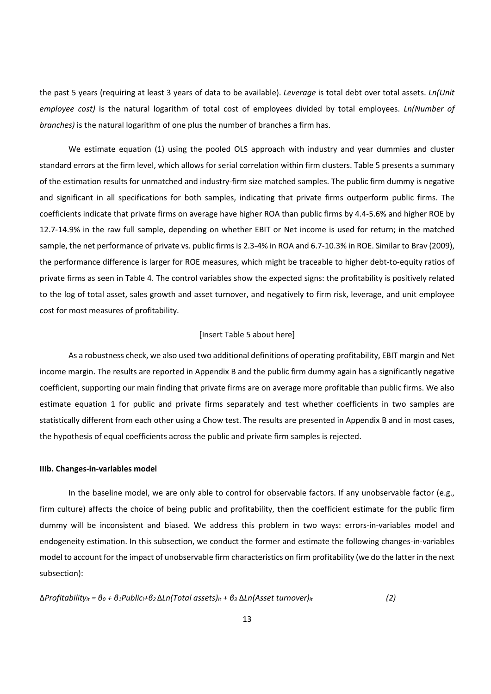the past 5 years (requiring at least 3 years of data to be available). *Leverage* is total debt over total assets. *Ln(Unit employee cost)* is the natural logarithm of total cost of employees divided by total employees. *Ln(Number of branches)* is the natural logarithm of one plus the number of branches a firm has.

We estimate equation (1) using the pooled OLS approach with industry and year dummies and cluster standard errors at the firm level, which allows for serial correlation within firm clusters. Table 5 presents a summary of the estimation results for unmatched and industry‐firm size matched samples. The public firm dummy is negative and significant in all specifications for both samples, indicating that private firms outperform public firms. The coefficients indicate that private firms on average have higher ROA than public firms by 4.4‐5.6% and higher ROE by 12.7‐14.9% in the raw full sample, depending on whether EBIT or Net income is used for return; in the matched sample, the net performance of private vs. public firms is 2.3-4% in ROA and 6.7-10.3% in ROE. Similar to Brav (2009), the performance difference is larger for ROE measures, which might be traceable to higher debt-to-equity ratios of private firms as seen in Table 4. The control variables show the expected signs: the profitability is positively related to the log of total asset, sales growth and asset turnover, and negatively to firm risk, leverage, and unit employee cost for most measures of profitability.

#### [Insert Table 5 about here]

As a robustness check, we also used two additional definitions of operating profitability, EBIT margin and Net income margin. The results are reported in Appendix B and the public firm dummy again has a significantly negative coefficient, supporting our main finding that private firms are on average more profitable than public firms. We also estimate equation 1 for public and private firms separately and test whether coefficients in two samples are statistically different from each other using a Chow test. The results are presented in Appendix B and in most cases, the hypothesis of equal coefficients across the public and private firm samples is rejected.

# **IIIb. Changes‐in‐variables model**

In the baseline model, we are only able to control for observable factors. If any unobservable factor (e.g., firm culture) affects the choice of being public and profitability, then the coefficient estimate for the public firm dummy will be inconsistent and biased. We address this problem in two ways: errors‐in‐variables model and endogeneity estimation. In this subsection, we conduct the former and estimate the following changes-in-variables model to account for the impact of unobservable firm characteristics on firm profitability (we do the latter in the next subsection):

Δ*Profitabilityit = β<sup>0</sup> + β1Publici+β<sup>2</sup>* Δ*Ln(Total assets)it + β<sup>3</sup>* Δ*Ln(Asset turnover)it (2)*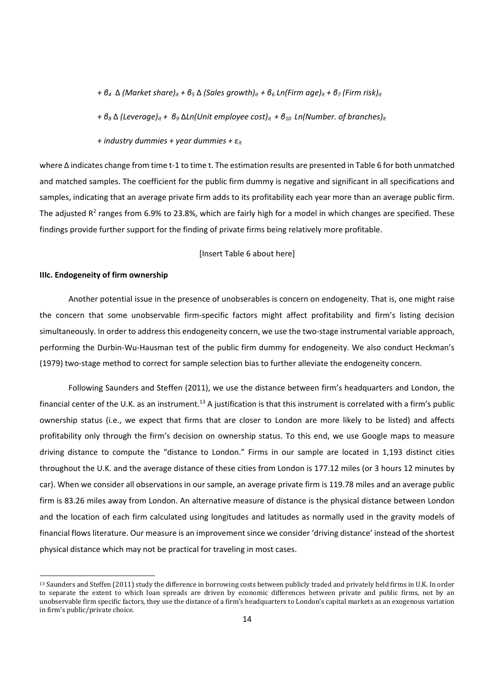+  $\beta_4$   $\Delta$  (Market share)<sub>it</sub> +  $\beta_5$   $\Delta$  (Sales growth)<sub>it</sub> +  $\beta_6$  Ln(Firm age)<sub>it</sub> +  $\beta_7$  (Firm risk)<sub>it</sub>

*+ β<sup>8</sup>* Δ *(Leverage)it + β<sup>9</sup>* Δ*Ln(Unit employee cost)it + β<sup>10</sup> Ln(Number. of branches)it* 

*+ industry dummies + year dummies + εit*

where Δ indicates change from time t‐1 to time t. The estimation results are presented in Table 6 for both unmatched and matched samples. The coefficient for the public firm dummy is negative and significant in all specifications and samples, indicating that an average private firm adds to its profitability each year more than an average public firm. The adjusted  $R^2$  ranges from 6.9% to 23.8%, which are fairly high for a model in which changes are specified. These findings provide further support for the finding of private firms being relatively more profitable.

#### [Insert Table 6 about here]

### **IIIc. Endogeneity of firm ownership**

Another potential issue in the presence of unobserables is concern on endogeneity. That is, one might raise the concern that some unobservable firm‐specific factors might affect profitability and firm's listing decision simultaneously. In order to address this endogeneity concern, we use the two-stage instrumental variable approach, performing the Durbin‐Wu‐Hausman test of the public firm dummy for endogeneity. We also conduct Heckman's (1979) two‐stage method to correct for sample selection bias to further alleviate the endogeneity concern.

Following Saunders and Steffen (2011), we use the distance between firm's headquarters and London, the financial center of the U.K. as an instrument.<sup>13</sup> A justification is that this instrument is correlated with a firm's public ownership status (i.e., we expect that firms that are closer to London are more likely to be listed) and affects profitability only through the firm's decision on ownership status. To this end, we use Google maps to measure driving distance to compute the "distance to London." Firms in our sample are located in 1,193 distinct cities throughout the U.K. and the average distance of these cities from London is 177.12 miles (or 3 hours 12 minutes by car). When we consider all observations in our sample, an average private firm is 119.78 miles and an average public firm is 83.26 miles away from London. An alternative measure of distance is the physical distance between London and the location of each firm calculated using longitudes and latitudes as normally used in the gravity models of financial flows literature. Our measure is an improvement since we consider 'driving distance' instead of the shortest physical distance which may not be practical for traveling in most cases. 

<sup>&</sup>lt;sup>13</sup> Saunders and Steffen (2011) study the difference in borrowing costs between publicly traded and privately held firms in U.K. In order to separate the extent to which loan spreads are driven by economic differences between private and public firms, not by an unobservable firm specific factors, they use the distance of a firm's headquarters to London's capital markets as an exogenous variation in firm's public/private choice.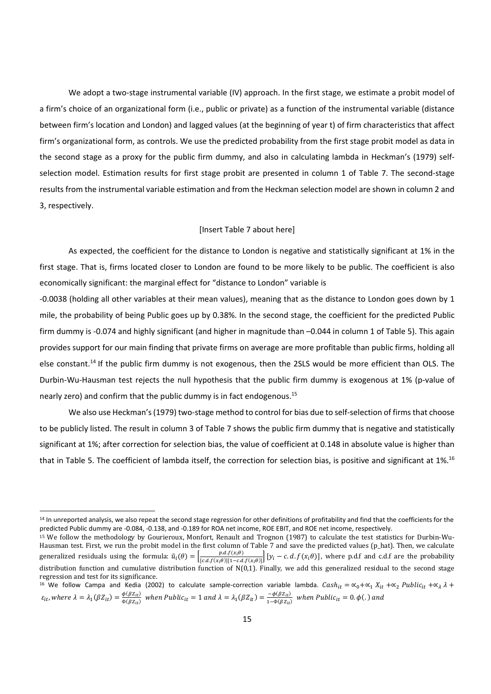We adopt a two-stage instrumental variable (IV) approach. In the first stage, we estimate a probit model of a firm's choice of an organizational form (i.e., public or private) as a function of the instrumental variable (distance between firm's location and London) and lagged values (at the beginning of year t) of firm characteristics that affect firm's organizational form, as controls. We use the predicted probability from the first stage probit model as data in the second stage as a proxy for the public firm dummy, and also in calculating lambda in Heckman's (1979) self‐ selection model. Estimation results for first stage probit are presented in column 1 of Table 7. The second-stage results from the instrumental variable estimation and from the Heckman selection model are shown in column 2 and 3, respectively.

# [Insert Table 7 about here]

As expected, the coefficient for the distance to London is negative and statistically significant at 1% in the first stage. That is, firms located closer to London are found to be more likely to be public. The coefficient is also economically significant: the marginal effect for "distance to London" variable is

‐0.0038 (holding all other variables at their mean values), meaning that as the distance to London goes down by 1 mile, the probability of being Public goes up by 0.38%. In the second stage, the coefficient for the predicted Public firm dummy is -0.074 and highly significant (and higher in magnitude than -0.044 in column 1 of Table 5). This again provides support for our main finding that private firms on average are more profitable than public firms, holding all else constant.14 If the public firm dummy is not exogenous, then the 2SLS would be more efficient than OLS. The Durbin-Wu-Hausman test rejects the null hypothesis that the public firm dummy is exogenous at 1% (p-value of nearly zero) and confirm that the public dummy is in fact endogenous.15

We also use Heckman's (1979) two-stage method to control for bias due to self-selection of firms that choose to be publicly listed. The result in column 3 of Table 7 shows the public firm dummy that is negative and statistically significant at 1%; after correction for selection bias, the value of coefficient at 0.148 in absolute value is higher than that in Table 5. The coefficient of lambda itself, the correction for selection bias, is positive and significant at 1%.<sup>16</sup>

<sup>&</sup>lt;sup>14</sup> In unreported analysis, we also repeat the second stage regression for other definitions of profitability and find that the coefficients for the predicted Public dummy are ‐0.084, ‐0.138, and ‐0.189 for ROA net income, ROE EBIT, and ROE net income, respectively.

<sup>&</sup>lt;sup>15</sup> We follow the methodology by Gourieroux, Monfort, Renault and Trognon (1987) to calculate the test statistics for Durbin-Wu-Hausman test. First, we run the probit model in the first column of Table 7 and save the predicted values (p\_hat). Then, we calculate generalized residuals using the formula:  $\tilde{u}_i(\theta) = \left[\frac{p.d.f(x_i\theta)}{[c.d.f(x_i\theta)][1-c.d.f(x_i\theta)]}\right] [y_i - c.d.f(x_i\theta)]$ , where p.d.f and c.d.f are the probability distribution function and cumulative distribution function of  $N(0,1)$ . Finally, we add this generalized residual to the second stage regression and test for its significance.

<sup>&</sup>lt;sup>16</sup> We follow Campa and Kedia (2002) to calculate sample-correction variable lambda.  $Cash_{it} = \alpha_0 + \alpha_1 X_{it} + \alpha_2 Public_{it} + \alpha_1 \lambda +$  $\varepsilon_{it}$ , where  $\lambda = \lambda_1(\beta Z_{it}) = \frac{\phi(\beta Z_{it})}{\phi(\beta Z_{it})}$  when Public<sub>it</sub> = 1 and  $\lambda = \lambda_1(\beta Z_{it}) = \frac{-\phi(\beta Z_{it})}{1 - \phi(\beta Z_{it})}$  when Public<sub>it</sub> = 0. $\phi(.)$  and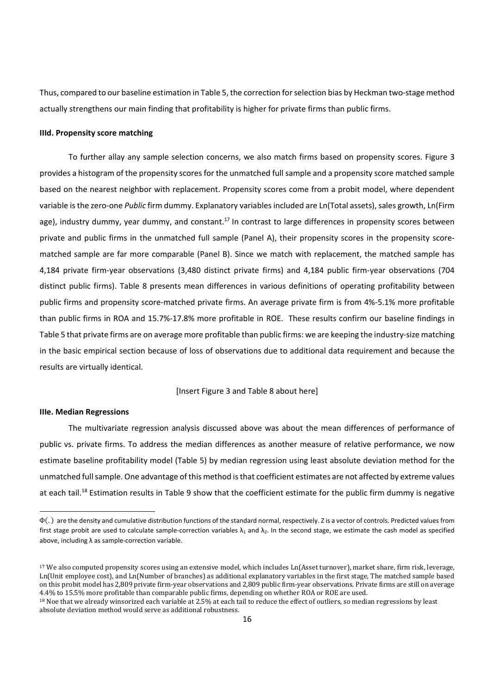Thus, compared to our baseline estimation in Table 5, the correction for selection bias by Heckman two-stage method actually strengthens our main finding that profitability is higher for private firms than public firms.

## **IIId. Propensity score matching**

To further allay any sample selection concerns, we also match firms based on propensity scores. Figure 3 provides a histogram of the propensity scores for the unmatched full sample and a propensity score matched sample based on the nearest neighbor with replacement. Propensity scores come from a probit model, where dependent variable is the zero-one *Public* firm dummy. Explanatory variables included are Ln(Total assets), sales growth, Ln(Firm age), industry dummy, year dummy, and constant.<sup>17</sup> In contrast to large differences in propensity scores between private and public firms in the unmatched full sample (Panel A), their propensity scores in the propensity score‐ matched sample are far more comparable (Panel B). Since we match with replacement, the matched sample has 4,184 private firm‐year observations (3,480 distinct private firms) and 4,184 public firm‐year observations (704 distinct public firms). Table 8 presents mean differences in various definitions of operating profitability between public firms and propensity score‐matched private firms. An average private firm is from 4%‐5.1% more profitable than public firms in ROA and 15.7%‐17.8% more profitable in ROE. These results confirm our baseline findings in Table 5 that private firms are on average more profitable than public firms: we are keeping the industry‐size matching in the basic empirical section because of loss of observations due to additional data requirement and because the results are virtually identical.

[Insert Figure 3 and Table 8 about here]

# **IIIe. Median Regressions**

The multivariate regression analysis discussed above was about the mean differences of performance of public vs. private firms. To address the median differences as another measure of relative performance, we now estimate baseline profitability model (Table 5) by median regression using least absolute deviation method for the unmatched fullsample. One advantage ofthis method isthat coefficient estimates are not affected by extreme values at each tail.<sup>18</sup> Estimation results in Table 9 show that the coefficient estimate for the public firm dummy is negative

<sup>18</sup> Noe that we already winsorized each variable at 2.5% at each tail to reduce the effect of outliers, so median regressions by least absolute deviation method would serve as additional robustness.

Фሺ. ሻ are the density and cumulative distribution functions of the standard normal, respectively. Z is a vector of controls. Predicted valuesfrom first stage probit are used to calculate sample-correction variables  $\lambda_1$  and  $\lambda_2$ . In the second stage, we estimate the cash model as specified above, including λ as sample‐correction variable.

<sup>&</sup>lt;sup>17</sup> We also computed propensity scores using an extensive model, which includes Ln(Asset turnover), market share, firm risk, leverage, Ln(Unit employee cost), and Ln(Number of branches) as additional explanatory variables in the first stage, The matched sample based on this probit model has 2,809 private firm-year observations and 2,809 public firm-year observations. Private firms are still on average 4.4% to 15.5% more profitable than comparable public firms, depending on whether ROA or ROE are used.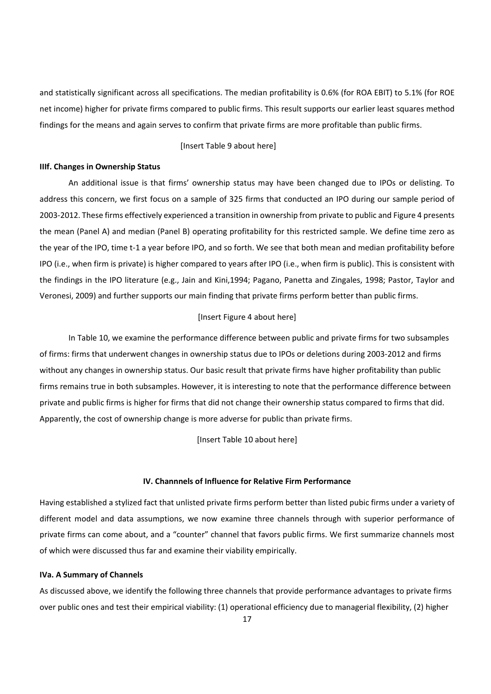and statistically significant across all specifications. The median profitability is 0.6% (for ROA EBIT) to 5.1% (for ROE net income) higher for private firms compared to public firms. This result supports our earlier least squares method findings for the means and again serves to confirm that private firms are more profitable than public firms.

#### [Insert Table 9 about here]

#### **IIIf. Changes in Ownership Status**

An additional issue is that firms' ownership status may have been changed due to IPOs or delisting. To address this concern, we first focus on a sample of 325 firms that conducted an IPO during our sample period of 2003‐2012. These firms effectively experienced a transition in ownership from private to public and Figure 4 presents the mean (Panel A) and median (Panel B) operating profitability for this restricted sample. We define time zero as the year of the IPO, time t-1 a year before IPO, and so forth. We see that both mean and median profitability before IPO (i.e., when firm is private) is higher compared to years after IPO (i.e., when firm is public). This is consistent with the findings in the IPO literature (e.g., Jain and Kini,1994; Pagano, Panetta and Zingales, 1998; Pastor, Taylor and Veronesi, 2009) and further supports our main finding that private firms perform better than public firms.

### [Insert Figure 4 about here]

In Table 10, we examine the performance difference between public and private firms for two subsamples of firms: firms that underwent changes in ownership status due to IPOs or deletions during 2003‐2012 and firms without any changes in ownership status. Our basic result that private firms have higher profitability than public firms remains true in both subsamples. However, it is interesting to note that the performance difference between private and public firms is higher for firms that did not change their ownership status compared to firms that did. Apparently, the cost of ownership change is more adverse for public than private firms.

[Insert Table 10 about here]

## **IV. Channnels of Influence for Relative Firm Performance**

Having established a stylized fact that unlisted private firms perform better than listed pubic firms under a variety of different model and data assumptions, we now examine three channels through with superior performance of private firms can come about, and a "counter" channel that favors public firms. We first summarize channels most of which were discussed thus far and examine their viability empirically.

#### **IVa. A Summary of Channels**

As discussed above, we identify the following three channels that provide performance advantages to private firms over public ones and test their empirical viability: (1) operational efficiency due to managerial flexibility, (2) higher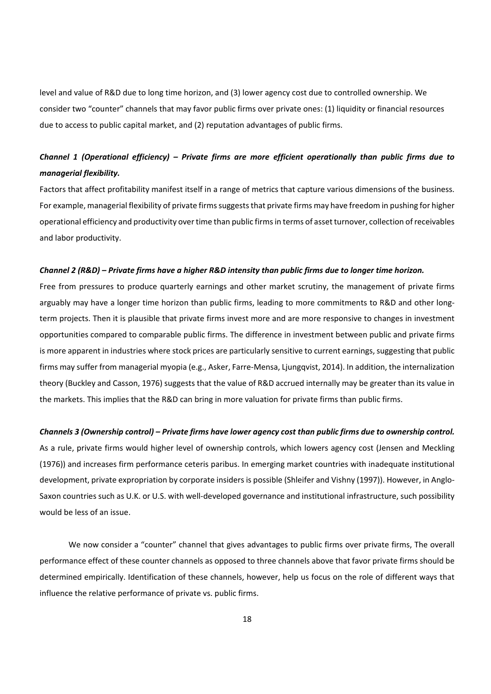level and value of R&D due to long time horizon, and (3) lower agency cost due to controlled ownership. We consider two "counter" channels that may favor public firms over private ones: (1) liquidity or financial resources due to access to public capital market, and (2) reputation advantages of public firms.

# *Channel 1 (Operational efficiency) – Private firms are more efficient operationally than public firms due to managerial flexibility.*

Factors that affect profitability manifest itself in a range of metrics that capture various dimensions of the business. For example, managerial flexibility of private firms suggests that private firms may have freedom in pushing for higher operational efficiency and productivity overtime than public firmsin terms of asset turnover, collection ofreceivables and labor productivity.

### Channel 2 (R&D) - Private firms have a higher R&D intensity than public firms due to longer time horizon.

Free from pressures to produce quarterly earnings and other market scrutiny, the management of private firms arguably may have a longer time horizon than public firms, leading to more commitments to R&D and other long‐ term projects. Then it is plausible that private firms invest more and are more responsive to changes in investment opportunities compared to comparable public firms. The difference in investment between public and private firms is more apparent in industries where stock prices are particularly sensitive to current earnings, suggesting that public firms may suffer from managerial myopia (e.g., Asker, Farre‐Mensa, Ljungqvist, 2014). In addition, the internalization theory (Buckley and Casson, 1976) suggests that the value of R&D accrued internally may be greater than its value in the markets. This implies that the R&D can bring in more valuation for private firms than public firms.

#### Channels 3 (Ownership control) - Private firms have lower agency cost than public firms due to ownership control.

As a rule, private firms would higher level of ownership controls, which lowers agency cost (Jensen and Meckling (1976)) and increases firm performance ceteris paribus. In emerging market countries with inadequate institutional development, private expropriation by corporate insiders is possible (Shleifer and Vishny (1997)). However, in Anglo-Saxon countries such as U.K. or U.S. with well-developed governance and institutional infrastructure, such possibility would be less of an issue.

We now consider a "counter" channel that gives advantages to public firms over private firms, The overall performance effect of these counter channels as opposed to three channels above that favor private firms should be determined empirically. Identification of these channels, however, help us focus on the role of different ways that influence the relative performance of private vs. public firms.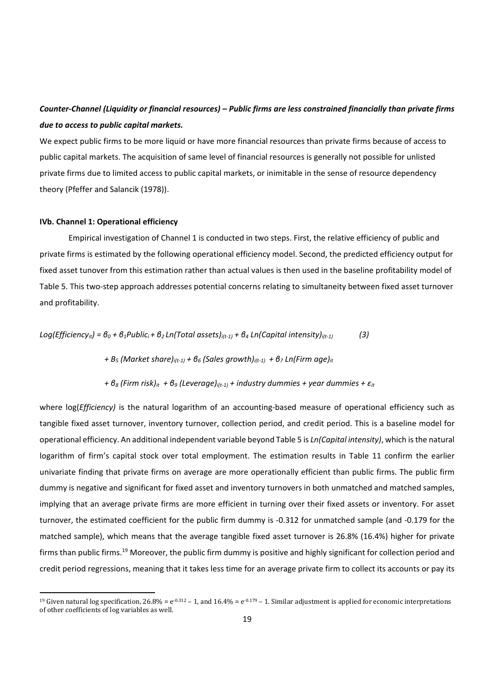# Counter-Channel (Liquidity or financial resources) - Public firms are less constrained financially than private firms *due to access to public capital markets.*

We expect public firms to be more liquid or have more financial resources than private firms because of access to public capital markets. The acquisition of same level of financial resources is generally not possible for unlisted private firms due to limited access to public capital markets, or inimitable in the sense of resource dependency theory (Pfeffer and Salancik (1978)).

# **IVb. Channel 1: Operational efficiency**

Empirical investigation of Channel 1 is conducted in two steps. First, the relative efficiency of public and private firms is estimated by the following operational efficiency model. Second, the predicted efficiency output for fixed asset tunover from this estimation rather than actual values is then used in the baseline profitability model of Table 5. This two‐step approach addresses potential concerns relating to simultaneity between fixed asset turnover and profitability.

Log(Efficiency<sub>it</sub>) = 
$$
6_0 + 6_1
$$
Public<sub>i</sub> +  $6_2$ Ln(Total assets)<sub>i(t-1)</sub> +  $6_4$  Ln(Capital intensity)<sub>i(t-1)</sub> (3)

+ B<sub>5</sub> (Market share)<sub>i(t-1)</sub> +  $\theta$ <sub>6</sub> (Sales growth)<sub>i(t-1)</sub> +  $\theta$ <sub>7</sub> Ln(Firm age)<sub>it</sub>

+ 
$$
\theta_8
$$
 (Firm risk)<sub>it</sub> +  $\theta_9$  (Leverage)<sub>i(t-1)</sub> + industry dummies + year dummies +  $\varepsilon_{it}$ 

where log(*Efficiency*) is the natural logarithm of an accounting-based measure of operational efficiency such as tangible fixed asset turnover, inventory turnover, collection period, and credit period. This is a baseline model for operational efficiency. An additional independent variable beyond Table 5 is *Ln(Capital intensity)*, which isthe natural logarithm of firm's capital stock over total employment. The estimation results in Table 11 confirm the earlier univariate finding that private firms on average are more operationally efficient than public firms. The public firm dummy is negative and significant for fixed asset and inventory turnovers in both unmatched and matched samples, implying that an average private firms are more efficient in turning over their fixed assets or inventory. For asset turnover, the estimated coefficient for the public firm dummy is ‐0.312 for unmatched sample (and ‐0.179 for the matched sample), which means that the average tangible fixed asset turnover is 26.8% (16.4%) higher for private firms than public firms.<sup>19</sup> Moreover, the public firm dummy is positive and highly significant for collection period and credit period regressions, meaning that it takes less time for an average private firm to collect its accounts or pay its

<sup>&</sup>lt;sup>19</sup> Given natural log specification,  $26.8\% = e^{-0.312} - 1$ , and  $16.4\% = e^{-0.179} - 1$ . Similar adjustment is applied for economic interpretations of other coefficients of log variables as well.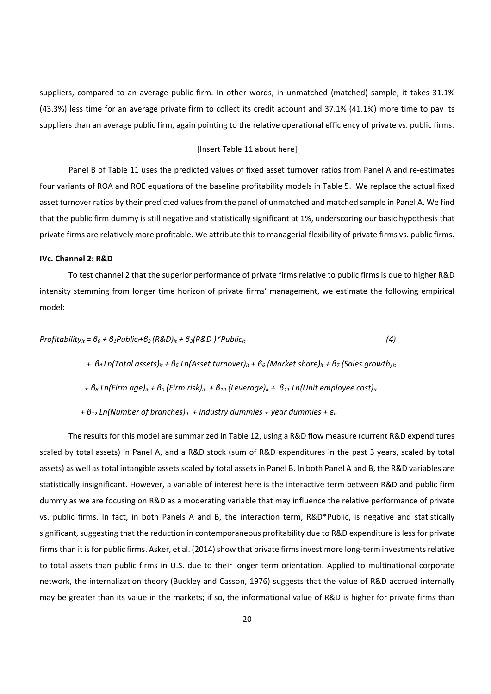suppliers, compared to an average public firm. In other words, in unmatched (matched) sample, it takes 31.1% (43.3%) less time for an average private firm to collect its credit account and 37.1% (41.1%) more time to pay its suppliers than an average public firm, again pointing to the relative operational efficiency of private vs. public firms.

#### [Insert Table 11 about here]

Panel B of Table 11 uses the predicted values of fixed asset turnover ratios from Panel A and re‐estimates four variants of ROA and ROE equations of the baseline profitability models in Table 5. We replace the actual fixed asset turnover ratios by their predicted values from the panel of unmatched and matched sample in Panel A. We find that the public firm dummy is still negative and statistically significant at 1%, underscoring our basic hypothesis that private firms are relatively more profitable. We attribute this to managerial flexibility of private firms vs. public firms.

#### **IVc. Channel 2: R&D**

To test channel 2 that the superior performance of private firms relative to public firms is due to higher R&D intensity stemming from longer time horizon of private firms' management, we estimate the following empirical model:

$$
Profitability_{it} = \theta_0 + \theta_1 Public_i + \theta_2 (R\&D)_{it} + \theta_3 (R\&D)^* Public_{it}
$$
 (4)

+  $\theta_4$  Ln(Total assets)<sub>it</sub> +  $\theta_5$  Ln(Asset turnover)<sub>it</sub> +  $\theta_6$  (Market share)<sub>it</sub> +  $\theta_7$  (Sales growth)<sub>it</sub>

+  $\theta_8$  Ln(Firm age)<sub>it</sub> +  $\theta_9$  (Firm risk)<sub>it</sub> +  $\theta_{10}$  (Leverage)<sub>it</sub> +  $\theta_{11}$  Ln(Unit employee cost)<sub>it</sub>

 *+ β<sup>12</sup> Ln(Number of branches)it + industry dummies + year dummies + εit*

The results for this model are summarized in Table 12, using a R&D flow measure (current R&D expenditures scaled by total assets) in Panel A, and a R&D stock (sum of R&D expenditures in the past 3 years, scaled by total assets) as well as total intangible assets scaled by total assets in Panel B. In both Panel A and B, the R&D variables are statistically insignificant. However, a variable of interest here is the interactive term between R&D and public firm dummy as we are focusing on R&D as a moderating variable that may influence the relative performance of private vs. public firms. In fact, in both Panels A and B, the interaction term, R&D\*Public, is negative and statistically significant, suggesting that the reduction in contemporaneous profitability due to R&D expenditure is less for private firms than it is for public firms. Asker, et al. (2014) show that private firms invest more long-term investments relative to total assets than public firms in U.S. due to their longer term orientation. Applied to multinational corporate network, the internalization theory (Buckley and Casson, 1976) suggests that the value of R&D accrued internally may be greater than its value in the markets; if so, the informational value of R&D is higher for private firms than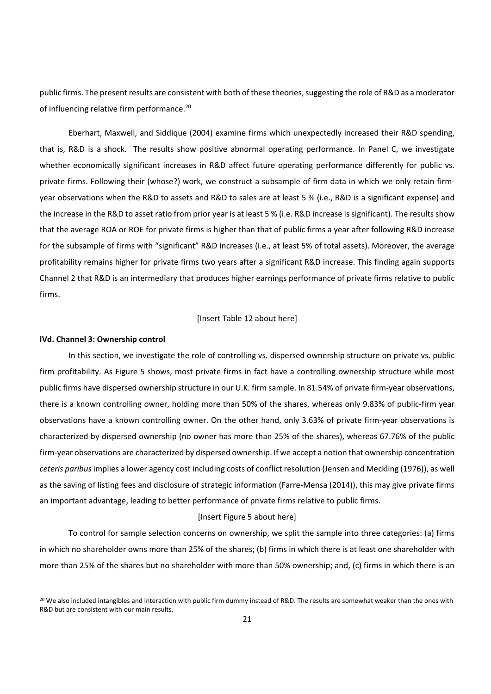public firms. The present results are consistent with both of these theories, suggesting the role of R&D as a moderator of influencing relative firm performance.<sup>20</sup>

Eberhart, Maxwell, and Siddique (2004) examine firms which unexpectedly increased their R&D spending, that is, R&D is a shock. The results show positive abnormal operating performance. In Panel C, we investigate whether economically significant increases in R&D affect future operating performance differently for public vs. private firms. Following their (whose?) work, we construct a subsample of firm data in which we only retain firmyear observations when the R&D to assets and R&D to sales are at least 5 % (i.e., R&D is a significant expense) and the increase in the R&D to asset ratio from prior year is at least 5 % (i.e. R&D increase is significant). The results show that the average ROA or ROE for private firms is higher than that of public firms a year after following R&D increase for the subsample of firms with "significant" R&D increases (i.e., at least 5% of total assets). Moreover, the average profitability remains higher for private firms two years after a significant R&D increase. This finding again supports Channel 2 that R&D is an intermediary that produces higher earnings performance of private firms relative to public firms.

#### [Insert Table 12 about here]

#### **IVd. Channel 3: Ownership control**

In this section, we investigate the role of controlling vs. dispersed ownership structure on private vs. public firm profitability. As Figure 5 shows, most private firms in fact have a controlling ownership structure while most public firms have dispersed ownership structure in our U.K. firm sample. In 81.54% of private firm‐year observations, there is a known controlling owner, holding more than 50% of the shares, whereas only 9.83% of public‐firm year observations have a known controlling owner. On the other hand, only 3.63% of private firm‐year observations is characterized by dispersed ownership (no owner has more than 25% of the shares), whereas 67.76% of the public firm-year observations are characterized by dispersed ownership. If we accept a notion that ownership concentration *ceteris paribus* implies a lower agency cost including costs of conflict resolution (Jensen and Meckling (1976)), as well as the saving of listing fees and disclosure of strategic information (Farre‐Mensa (2014)), this may give private firms an important advantage, leading to better performance of private firms relative to public firms.

#### [Insert Figure 5 about here]

To control for sample selection concerns on ownership, we split the sample into three categories: (a) firms in which no shareholder owns more than 25% of the shares; (b) firms in which there is at least one shareholder with more than 25% of the shares but no shareholder with more than 50% ownership; and, (c) firms in which there is an

<sup>&</sup>lt;sup>20</sup> We also included intangibles and interaction with public firm dummy instead of R&D. The results are somewhat weaker than the ones with R&D but are consistent with our main results.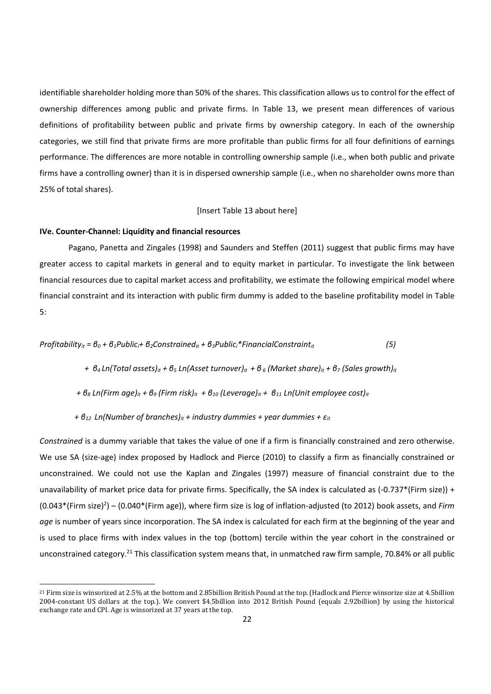identifiable shareholder holding more than 50% of the shares. This classification allows us to control for the effect of ownership differences among public and private firms. In Table 13, we present mean differences of various definitions of profitability between public and private firms by ownership category. In each of the ownership categories, we still find that private firms are more profitable than public firms for all four definitions of earnings performance. The differences are more notable in controlling ownership sample (i.e., when both public and private firms have a controlling owner) than it is in dispersed ownership sample (i.e., when no shareholder owns more than 25% of total shares).

[Insert Table 13 about here]

#### **IVe. Counter‐Channel: Liquidity and financial resources**

Pagano, Panetta and Zingales (1998) and Saunders and Steffen (2011) suggest that public firms may have greater access to capital markets in general and to equity market in particular. To investigate the link between financial resources due to capital market access and profitability, we estimate the following empirical model where financial constraint and its interaction with public firm dummy is added to the baseline profitability model in Table 5:

*Profitability<sub>it</sub>* =  $\theta_0$  +  $\theta_1$ *Public<sub>i</sub>* +  $\theta_2$ Constrained<sub>it</sub> +  $\theta_3$ *Public<sub>i</sub>*\**FinancialConstraint<sub>it</sub></sub> (5)* 

+  $\theta_4$  Ln(Total assets)<sub>it</sub> +  $\theta_5$  Ln(Asset turnover)<sub>it</sub> +  $\theta_6$  (Market share)<sub>it</sub> +  $\theta_7$  (Sales growth)<sub>it</sub>

+  $\theta_8$  Ln(Firm age)<sub>it</sub> +  $\theta_9$  (Firm risk)<sub>it</sub> +  $\theta_{10}$  (Leverage)<sub>it</sub> +  $\theta_{11}$  Ln(Unit employee cost)<sub>it</sub>

 *+ β<sup>12</sup> Ln(Number of branches)it + industry dummies + year dummies + εit*

*Constrained* is a dummy variable that takes the value of one if a firm is financially constrained and zero otherwise. We use SA (size-age) index proposed by Hadlock and Pierce (2010) to classify a firm as financially constrained or unconstrained. We could not use the Kaplan and Zingales (1997) measure of financial constraint due to the unavailability of market price data for private firms. Specifically, the SA index is calculated as (-0.737\*(Firm size)) + (0.043\*(Firm size)2 ) – (0.040\*(Firm age)), where firm size is log of inflation‐adjusted (to 2012) book assets, and *Firm age* is number of years since incorporation. The SA index is calculated for each firm at the beginning of the year and is used to place firms with index values in the top (bottom) tercile within the year cohort in the constrained or unconstrained category.<sup>21</sup> This classification system means that, in unmatched raw firm sample, 70.84% or all public

 $^{21}$  Firm size is winsorized at 2.5% at the bottom and 2.85billion British Pound at the top. (Hadlock and Pierce winsorize size at 4.5billion 2004-constant US dollars at the top.). We convert \$4.5billion into 2012 British Pound (equals 2.92billion) by using the historical exchange rate and CPI. Age is winsorized at 37 years at the top.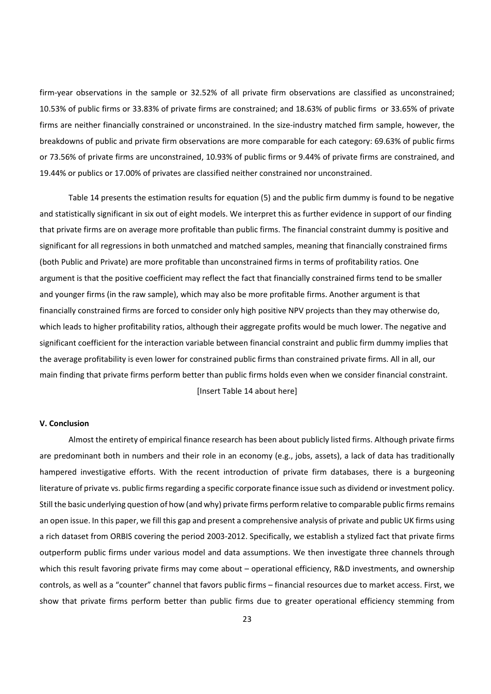firm-year observations in the sample or 32.52% of all private firm observations are classified as unconstrained; 10.53% of public firms or 33.83% of private firms are constrained; and 18.63% of public firms or 33.65% of private firms are neither financially constrained or unconstrained. In the size-industry matched firm sample, however, the breakdowns of public and private firm observations are more comparable for each category: 69.63% of public firms or 73.56% of private firms are unconstrained, 10.93% of public firms or 9.44% of private firms are constrained, and 19.44% or publics or 17.00% of privates are classified neither constrained nor unconstrained.

Table 14 presents the estimation results for equation (5) and the public firm dummy is found to be negative and statistically significant in six out of eight models. We interpret this as further evidence in support of our finding that private firms are on average more profitable than public firms. The financial constraint dummy is positive and significant for all regressions in both unmatched and matched samples, meaning that financially constrained firms (both Public and Private) are more profitable than unconstrained firms in terms of profitability ratios. One argument is that the positive coefficient may reflect the fact that financially constrained firms tend to be smaller and younger firms (in the raw sample), which may also be more profitable firms. Another argument is that financially constrained firms are forced to consider only high positive NPV projects than they may otherwise do, which leads to higher profitability ratios, although their aggregate profits would be much lower. The negative and significant coefficient for the interaction variable between financial constraint and public firm dummy implies that the average profitability is even lower for constrained public firms than constrained private firms. All in all, our main finding that private firms perform better than public firms holds even when we consider financial constraint. [Insert Table 14 about here]

### **V. Conclusion**

Almost the entirety of empirical finance research has been about publicly listed firms. Although private firms are predominant both in numbers and their role in an economy (e.g., jobs, assets), a lack of data has traditionally hampered investigative efforts. With the recent introduction of private firm databases, there is a burgeoning literature of private vs. public firms regarding a specific corporate finance issue such as dividend or investment policy. Still the basic underlying question of how (and why) private firms perform relative to comparable public firms remains an open issue. In this paper, we fill this gap and present a comprehensive analysis of private and public UK firms using a rich dataset from ORBIS covering the period 2003‐2012. Specifically, we establish a stylized fact that private firms outperform public firms under various model and data assumptions. We then investigate three channels through which this result favoring private firms may come about – operational efficiency, R&D investments, and ownership controls, as well as a "counter" channel that favors public firms – financial resources due to market access. First, we show that private firms perform better than public firms due to greater operational efficiency stemming from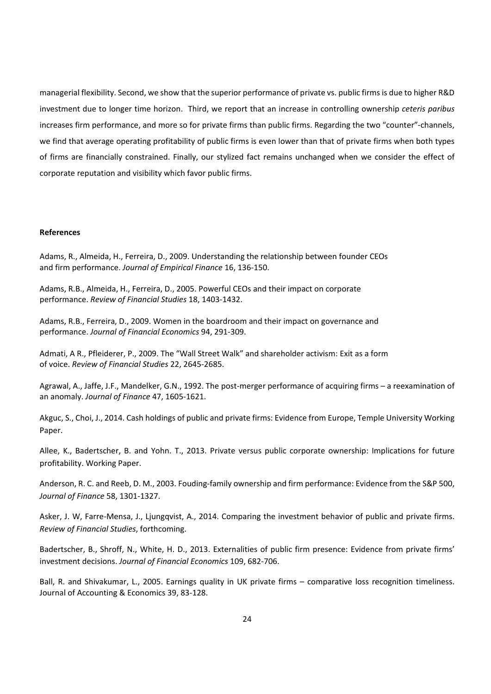managerial flexibility. Second, we show that the superior performance of private vs. public firmsis due to higher R&D investment due to longer time horizon. Third, we report that an increase in controlling ownership *ceteris paribus* increases firm performance, and more so for private firms than public firms. Regarding the two "counter"‐channels, we find that average operating profitability of public firms is even lower than that of private firms when both types of firms are financially constrained. Finally, our stylized fact remains unchanged when we consider the effect of corporate reputation and visibility which favor public firms.

### **References**

Adams, R., Almeida, H., Ferreira, D., 2009. Understanding the relationship between founder CEOs and firm performance. *Journal of Empirical Finance* 16, 136‐150.

Adams, R.B., Almeida, H., Ferreira, D., 2005. Powerful CEOs and their impact on corporate performance. *Review of Financial Studies* 18, 1403‐1432.

Adams, R.B., Ferreira, D., 2009. Women in the boardroom and their impact on governance and performance. *Journal of Financial Economics* 94, 291‐309.

Admati, A R., Pfleiderer, P., 2009. The "Wall Street Walk" and shareholder activism: Exit as a form of voice. *Review of Financial Studies* 22, 2645‐2685.

Agrawal, A., Jaffe, J.F., Mandelker, G.N., 1992. The post‐merger performance of acquiring firms – a reexamination of an anomaly. *Journal of Finance* 47, 1605‐1621.

Akguc, S., Choi, J., 2014. Cash holdings of public and private firms: Evidence from Europe, Temple University Working Paper.

Allee, K., Badertscher, B. and Yohn. T., 2013. Private versus public corporate ownership: Implications for future profitability. Working Paper.

Anderson, R. C. and Reeb, D. M., 2003. Fouding‐family ownership and firm performance: Evidence from the S&P 500, *Journal of Finance* 58, 1301‐1327.

Asker, J. W, Farre‐Mensa, J., Ljungqvist, A., 2014. Comparing the investment behavior of public and private firms. *Review of Financial Studies*, forthcoming.

Badertscher, B., Shroff, N., White, H. D., 2013. Externalities of public firm presence: Evidence from private firms' investment decisions. *Journal of Financial Economics* 109, 682‐706.

Ball, R. and Shivakumar, L., 2005. Earnings quality in UK private firms – comparative loss recognition timeliness. Journal of Accounting & Economics 39, 83‐128.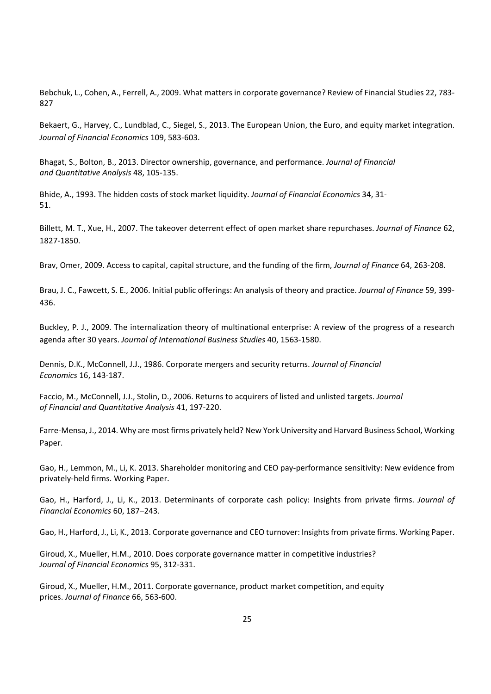Bebchuk, L., Cohen, A., Ferrell, A., 2009. What matters in corporate governance? Review of Financial Studies 22, 783-827

Bekaert, G., Harvey, C., Lundblad, C., Siegel, S., 2013. The European Union, the Euro, and equity market integration. *Journal of Financial Economics* 109, 583‐603.

Bhagat, S., Bolton, B., 2013. Director ownership, governance, and performance. *Journal of Financial and Quantitative Analysis* 48, 105‐135.

Bhide, A., 1993. The hidden costs of stock market liquidity. *Journal of Financial Economics* 34, 31‐ 51.

Billett, M. T., Xue, H., 2007. The takeover deterrent effect of open market share repurchases. *Journal of Finance* 62, 1827‐1850.

Brav, Omer, 2009. Access to capital, capital structure, and the funding of the firm, *Journal of Finance* 64, 263‐208.

Brau, J. C., Fawcett, S. E., 2006. Initial public offerings: An analysis of theory and practice. *Journal of Finance* 59, 399‐ 436.

Buckley, P. J., 2009. The internalization theory of multinational enterprise: A review of the progress of a research agenda after 30 years. *Journal of International Business Studies* 40, 1563‐1580.

Dennis, D.K., McConnell, J.J., 1986. Corporate mergers and security returns. *Journal of Financial Economics* 16, 143‐187.

Faccio, M., McConnell, J.J., Stolin, D., 2006. Returns to acquirers of listed and unlisted targets. *Journal of Financial and Quantitative Analysis* 41, 197‐220.

Farre‐Mensa, J., 2014. Why are most firms privately held? New York University and Harvard Business School, Working Paper.

Gao, H., Lemmon, M., Li, K. 2013. Shareholder monitoring and CEO pay‐performance sensitivity: New evidence from privately‐held firms. Working Paper.

Gao, H., Harford, J., Li, K., 2013. Determinants of corporate cash policy: Insights from private firms. *Journal of Financial Economics* 60, 187–243.

Gao, H., Harford, J., Li, K., 2013. Corporate governance and CEO turnover: Insights from private firms. Working Paper.

Giroud, X., Mueller, H.M., 2010. Does corporate governance matter in competitive industries? *Journal of Financial Economics* 95, 312‐331.

Giroud, X., Mueller, H.M., 2011. Corporate governance, product market competition, and equity prices. *Journal of Finance* 66, 563‐600.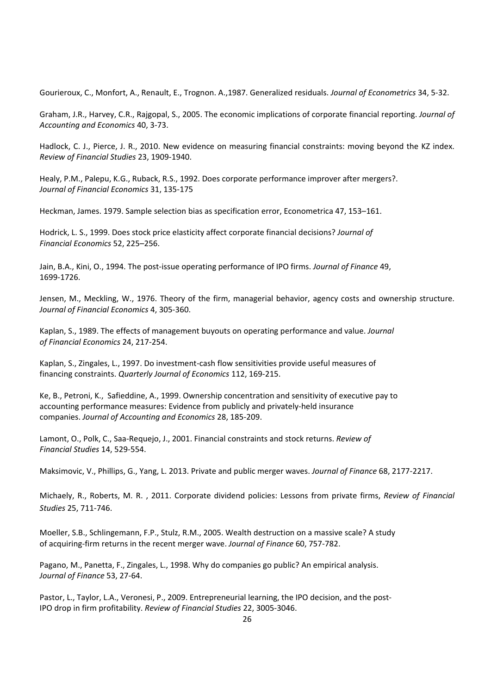Gourieroux, C., Monfort, A., Renault, E., Trognon. A.,1987. Generalized residuals. *Journal of Econometrics* 34, 5‐32.

Graham, J.R., Harvey, C.R., Rajgopal, S., 2005. The economic implications of corporate financial reporting. *Journal of Accounting and Economics* 40, 3‐73.

Hadlock, C. J., Pierce, J. R., 2010. New evidence on measuring financial constraints: moving beyond the KZ index. *Review of Financial Studies* 23, 1909‐1940.

Healy, P.M., Palepu, K.G., Ruback, R.S., 1992. Does corporate performance improver after mergers?. *Journal of Financial Economics* 31, 135‐175

Heckman, James. 1979. Sample selection bias as specification error, Econometrica 47, 153–161.

Hodrick, L. S., 1999. Does stock price elasticity affect corporate financial decisions? *Journal of Financial Economics* 52, 225–256.

Jain, B.A., Kini, O., 1994. The post‐issue operating performance of IPO firms. *Journal of Finance* 49, 1699‐1726.

Jensen, M., Meckling, W., 1976. Theory of the firm, managerial behavior, agency costs and ownership structure. *Journal of Financial Economics* 4, 305‐360.

Kaplan, S., 1989. The effects of management buyouts on operating performance and value. *Journal of Financial Economics* 24, 217‐254.

Kaplan, S., Zingales, L., 1997. Do investment‐cash flow sensitivities provide useful measures of financing constraints. *Quarterly Journal of Economics* 112, 169‐215.

Ke, B., Petroni, K., Safieddine, A., 1999. Ownership concentration and sensitivity of executive pay to accounting performance measures: Evidence from publicly and privately‐held insurance companies. *Journal of Accounting and Economics* 28, 185‐209.

Lamont, O., Polk, C., Saa‐Requejo, J., 2001. Financial constraints and stock returns. *Review of Financial Studies* 14, 529‐554.

Maksimovic, V., Phillips, G., Yang, L. 2013. Private and public merger waves. *Journal of Finance* 68, 2177‐2217.

Michaely, R., Roberts, M. R. , 2011. Corporate dividend policies: Lessons from private firms, *Review of Financial Studies* 25, 711‐746.

Moeller, S.B., Schlingemann, F.P., Stulz, R.M., 2005. Wealth destruction on a massive scale? A study of acquiring‐firm returns in the recent merger wave. *Journal of Finance* 60, 757‐782.

Pagano, M., Panetta, F., Zingales, L., 1998. Why do companies go public? An empirical analysis. *Journal of Finance* 53, 27‐64.

Pastor, L., Taylor, L.A., Veronesi, P., 2009. Entrepreneurial learning, the IPO decision, and the post-IPO drop in firm profitability. *Review of Financial Studies* 22, 3005‐3046.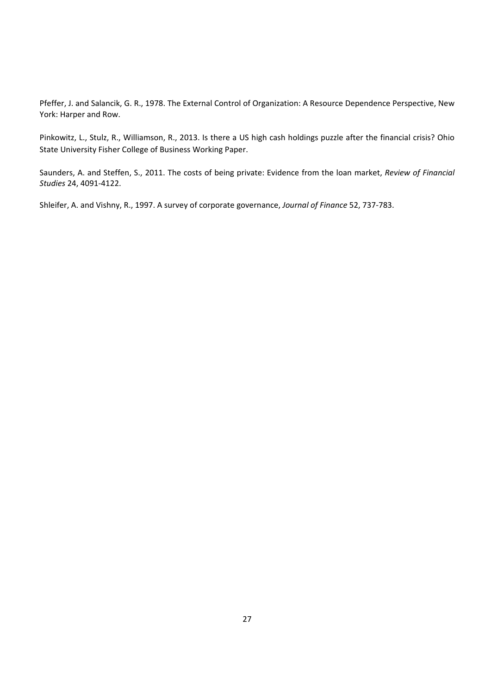Pfeffer, J. and Salancik, G. R., 1978. The External Control of Organization: A Resource Dependence Perspective, New York: Harper and Row.

Pinkowitz, L., Stulz, R., Williamson, R., 2013. Is there a US high cash holdings puzzle after the financial crisis? Ohio State University Fisher College of Business Working Paper.

Saunders, A. and Steffen, S., 2011. The costs of being private: Evidence from the loan market, *Review of Financial Studies* 24, 4091‐4122.

Shleifer, A. and Vishny, R., 1997. A survey of corporate governance, *Journal of Finance* 52, 737‐783.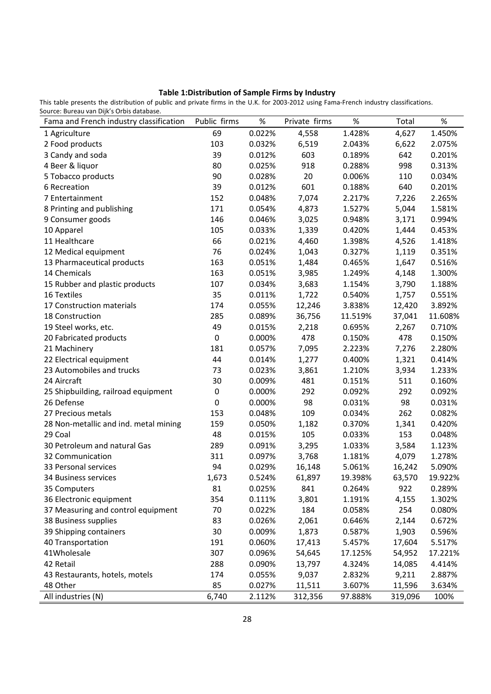# **Table 1:Distribution of Sample Firms by Industry**

This table presents the distribution of public and private firms in the U.K. for 2003‐2012 using Fama‐French industry classifications. Source: Bureau van Dijk's Orbis database.

| Fama and French industry classification | Public firms | $\%$   | Private firms | $\%$    | Total   | %       |
|-----------------------------------------|--------------|--------|---------------|---------|---------|---------|
| 1 Agriculture                           | 69           | 0.022% | 4,558         | 1.428%  | 4,627   | 1.450%  |
| 2 Food products                         | 103          | 0.032% | 6,519         | 2.043%  | 6,622   | 2.075%  |
| 3 Candy and soda                        | 39           | 0.012% | 603           | 0.189%  | 642     | 0.201%  |
| 4 Beer & liquor                         | 80           | 0.025% | 918           | 0.288%  | 998     | 0.313%  |
| 5 Tobacco products                      | 90           | 0.028% | 20            | 0.006%  | 110     | 0.034%  |
| 6 Recreation                            | 39           | 0.012% | 601           | 0.188%  | 640     | 0.201%  |
| 7 Entertainment                         | 152          | 0.048% | 7,074         | 2.217%  | 7,226   | 2.265%  |
| 8 Printing and publishing               | 171          | 0.054% | 4,873         | 1.527%  | 5,044   | 1.581%  |
| 9 Consumer goods                        | 146          | 0.046% | 3,025         | 0.948%  | 3,171   | 0.994%  |
| 10 Apparel                              | 105          | 0.033% | 1,339         | 0.420%  | 1,444   | 0.453%  |
| 11 Healthcare                           | 66           | 0.021% | 4,460         | 1.398%  | 4,526   | 1.418%  |
| 12 Medical equipment                    | 76           | 0.024% | 1,043         | 0.327%  | 1,119   | 0.351%  |
| 13 Pharmaceutical products              | 163          | 0.051% | 1,484         | 0.465%  | 1,647   | 0.516%  |
| 14 Chemicals                            | 163          | 0.051% | 3,985         | 1.249%  | 4,148   | 1.300%  |
| 15 Rubber and plastic products          | 107          | 0.034% | 3,683         | 1.154%  | 3,790   | 1.188%  |
| 16 Textiles                             | 35           | 0.011% | 1,722         | 0.540%  | 1,757   | 0.551%  |
| 17 Construction materials               | 174          | 0.055% | 12,246        | 3.838%  | 12,420  | 3.892%  |
| 18 Construction                         | 285          | 0.089% | 36,756        | 11.519% | 37,041  | 11.608% |
| 19 Steel works, etc.                    | 49           | 0.015% | 2,218         | 0.695%  | 2,267   | 0.710%  |
| 20 Fabricated products                  | $\pmb{0}$    | 0.000% | 478           | 0.150%  | 478     | 0.150%  |
| 21 Machinery                            | 181          | 0.057% | 7,095         | 2.223%  | 7,276   | 2.280%  |
| 22 Electrical equipment                 | 44           | 0.014% | 1,277         | 0.400%  | 1,321   | 0.414%  |
| 23 Automobiles and trucks               | 73           | 0.023% | 3,861         | 1.210%  | 3,934   | 1.233%  |
| 24 Aircraft                             | 30           | 0.009% | 481           | 0.151%  | 511     | 0.160%  |
| 25 Shipbuilding, railroad equipment     | $\pmb{0}$    | 0.000% | 292           | 0.092%  | 292     | 0.092%  |
| 26 Defense                              | $\pmb{0}$    | 0.000% | 98            | 0.031%  | 98      | 0.031%  |
| 27 Precious metals                      | 153          | 0.048% | 109           | 0.034%  | 262     | 0.082%  |
| 28 Non-metallic and ind. metal mining   | 159          | 0.050% | 1,182         | 0.370%  | 1,341   | 0.420%  |
| 29 Coal                                 | 48           | 0.015% | 105           | 0.033%  | 153     | 0.048%  |
| 30 Petroleum and natural Gas            | 289          | 0.091% | 3,295         | 1.033%  | 3,584   | 1.123%  |
| 32 Communication                        | 311          | 0.097% | 3,768         | 1.181%  | 4,079   | 1.278%  |
| 33 Personal services                    | 94           | 0.029% | 16,148        | 5.061%  | 16,242  | 5.090%  |
| 34 Business services                    | 1,673        | 0.524% | 61,897        | 19.398% | 63,570  | 19.922% |
| 35 Computers                            | 81           | 0.025% | 841           | 0.264%  | 922     | 0.289%  |
| 36 Electronic equipment                 | 354          | 0.111% | 3,801         | 1.191%  | 4,155   | 1.302%  |
| 37 Measuring and control equipment      | 70           | 0.022% | 184           | 0.058%  | 254     | 0.080%  |
| 38 Business supplies                    | 83           | 0.026% | 2,061         | 0.646%  | 2,144   | 0.672%  |
| 39 Shipping containers                  | 30           | 0.009% | 1,873         | 0.587%  | 1,903   | 0.596%  |
| 40 Transportation                       | 191          | 0.060% | 17,413        | 5.457%  | 17,604  | 5.517%  |
| 41Wholesale                             | 307          | 0.096% | 54,645        | 17.125% | 54,952  | 17.221% |
| 42 Retail                               | 288          | 0.090% | 13,797        | 4.324%  | 14,085  | 4.414%  |
| 43 Restaurants, hotels, motels          | 174          | 0.055% | 9,037         | 2.832%  | 9,211   | 2.887%  |
| 48 Other                                | 85           | 0.027% | 11,511        | 3.607%  | 11,596  | 3.634%  |
| All industries (N)                      | 6,740        | 2.112% | 312,356       | 97.888% | 319,096 | 100%    |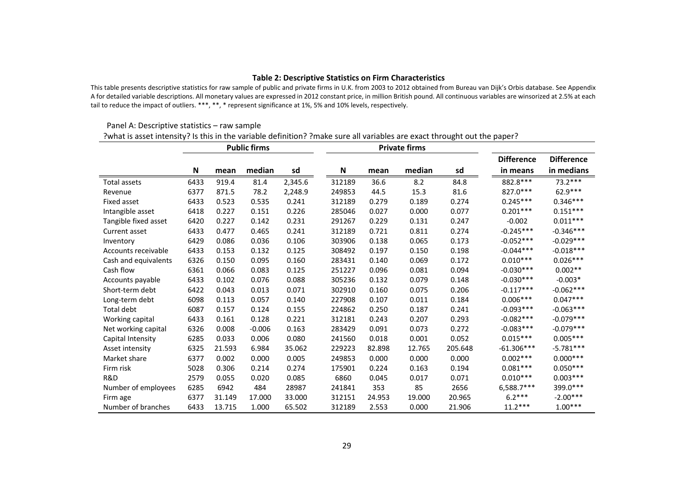#### **Table 2: Descriptive Statistics on Firm Characteristics**

This table presents descriptive statistics for raw sample of public and private firms in U.K. from 2003 to 2012 obtained from Bureau van Dijk's Orbis database. See Appendix A for detailed variable descriptions. All monetary values are expressed in 2012 constant price, in million British pound. All continuous variables are winsorized at 2.5% at each tail to reduce the impact of outliers. \*\*\*, \*\*, \* represent significance at 1%, 5% and 10% levels, respectively.

#### Panel A: Descriptive statistics – raw sample ?what is asset intensity? Is this in the variable definition? ?make sure all variables are exact throught out the paper?

|                      |      |        | <b>Public firms</b> |         |        |        | <b>Private firms</b> |         |                   |                   |
|----------------------|------|--------|---------------------|---------|--------|--------|----------------------|---------|-------------------|-------------------|
|                      |      |        |                     |         |        |        |                      |         | <b>Difference</b> | <b>Difference</b> |
|                      | N    | mean   | median              | sd      | N      | mean   | median               | sd      | in means          | in medians        |
| Total assets         | 6433 | 919.4  | 81.4                | 2,345.6 | 312189 | 36.6   | 8.2                  | 84.8    | 882.8 ***         | 73.2 ***          |
| Revenue              | 6377 | 871.5  | 78.2                | 2,248.9 | 249853 | 44.5   | 15.3                 | 81.6    | 827.0***          | 62.9***           |
| Fixed asset          | 6433 | 0.523  | 0.535               | 0.241   | 312189 | 0.279  | 0.189                | 0.274   | $0.245***$        | $0.346***$        |
| Intangible asset     | 6418 | 0.227  | 0.151               | 0.226   | 285046 | 0.027  | 0.000                | 0.077   | $0.201***$        | $0.151***$        |
| Tangible fixed asset | 6420 | 0.227  | 0.142               | 0.231   | 291267 | 0.229  | 0.131                | 0.247   | $-0.002$          | $0.011***$        |
| Current asset        | 6433 | 0.477  | 0.465               | 0.241   | 312189 | 0.721  | 0.811                | 0.274   | $-0.245***$       | $-0.346***$       |
| Inventory            | 6429 | 0.086  | 0.036               | 0.106   | 303906 | 0.138  | 0.065                | 0.173   | $-0.052***$       | $-0.029***$       |
| Accounts receivable  | 6433 | 0.153  | 0.132               | 0.125   | 308492 | 0.197  | 0.150                | 0.198   | $-0.044***$       | $-0.018***$       |
| Cash and equivalents | 6326 | 0.150  | 0.095               | 0.160   | 283431 | 0.140  | 0.069                | 0.172   | $0.010***$        | $0.026***$        |
| Cash flow            | 6361 | 0.066  | 0.083               | 0.125   | 251227 | 0.096  | 0.081                | 0.094   | $-0.030***$       | $0.002**$         |
| Accounts payable     | 6433 | 0.102  | 0.076               | 0.088   | 305236 | 0.132  | 0.079                | 0.148   | $-0.030***$       | $-0.003*$         |
| Short-term debt      | 6422 | 0.043  | 0.013               | 0.071   | 302910 | 0.160  | 0.075                | 0.206   | $-0.117***$       | $-0.062***$       |
| Long-term debt       | 6098 | 0.113  | 0.057               | 0.140   | 227908 | 0.107  | 0.011                | 0.184   | $0.006***$        | $0.047***$        |
| Total debt           | 6087 | 0.157  | 0.124               | 0.155   | 224862 | 0.250  | 0.187                | 0.241   | $-0.093***$       | $-0.063***$       |
| Working capital      | 6433 | 0.161  | 0.128               | 0.221   | 312181 | 0.243  | 0.207                | 0.293   | $-0.082***$       | $-0.079***$       |
| Net working capital  | 6326 | 0.008  | $-0.006$            | 0.163   | 283429 | 0.091  | 0.073                | 0.272   | $-0.083***$       | $-0.079***$       |
| Capital Intensity    | 6285 | 0.033  | 0.006               | 0.080   | 241560 | 0.018  | 0.001                | 0.052   | $0.015***$        | $0.005***$        |
| Asset intensity      | 6325 | 21.593 | 6.984               | 35.062  | 229223 | 82.898 | 12.765               | 205.648 | $-61.306***$      | $-5.781***$       |
| Market share         | 6377 | 0.002  | 0.000               | 0.005   | 249853 | 0.000  | 0.000                | 0.000   | $0.002***$        | $0.000***$        |
| Firm risk            | 5028 | 0.306  | 0.214               | 0.274   | 175901 | 0.224  | 0.163                | 0.194   | $0.081***$        | $0.050***$        |
| R&D                  | 2579 | 0.055  | 0.020               | 0.085   | 6860   | 0.045  | 0.017                | 0.071   | $0.010***$        | $0.003***$        |
| Number of employees  | 6285 | 6942   | 484                 | 28987   | 241841 | 353    | 85                   | 2656    | 6,588.7***        | 399.0***          |
| Firm age             | 6377 | 31.149 | 17.000              | 33.000  | 312151 | 24.953 | 19.000               | 20.965  | $6.2***$          | $-2.00***$        |
| Number of branches   | 6433 | 13.715 | 1.000               | 65.502  | 312189 | 2.553  | 0.000                | 21.906  | $11.2***$         | $1.00***$         |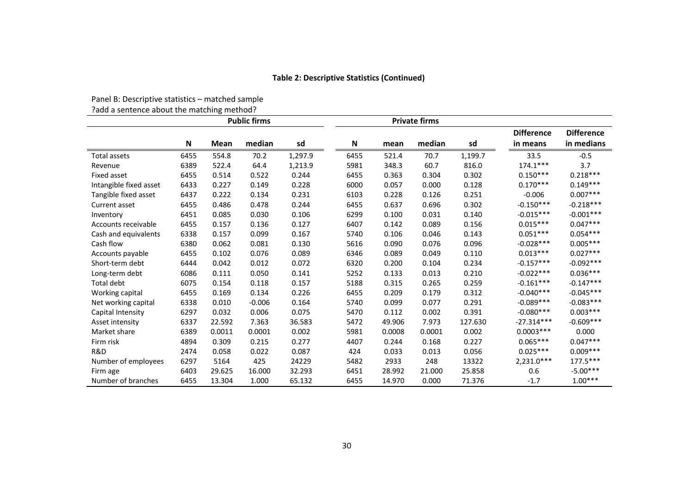#### **Table 2: Descriptive Statistics (Continued)**

|                        |      |        | <b>Public firms</b> |         |                           |        | <b>Private firms</b> |         |                               |                                 |
|------------------------|------|--------|---------------------|---------|---------------------------|--------|----------------------|---------|-------------------------------|---------------------------------|
|                        | N    | Mean   | median              | sd      | $\boldsymbol{\mathsf{N}}$ | mean   | median               | sd      | <b>Difference</b><br>in means | <b>Difference</b><br>in medians |
| <b>Total assets</b>    | 6455 | 554.8  | 70.2                | 1,297.9 | 6455                      | 521.4  | 70.7                 | 1,199.7 | 33.5                          | $-0.5$                          |
| Revenue                | 6389 | 522.4  | 64.4                | 1,213.9 | 5981                      | 348.3  | 60.7                 | 816.0   | $174.1***$                    | 3.7                             |
| Fixed asset            | 6455 | 0.514  | 0.522               | 0.244   | 6455                      | 0.363  | 0.304                | 0.302   | $0.150***$                    | $0.218***$                      |
| Intangible fixed asset | 6433 | 0.227  | 0.149               | 0.228   | 6000                      | 0.057  | 0.000                | 0.128   | $0.170***$                    | $0.149***$                      |
| Tangible fixed asset   | 6437 | 0.222  | 0.134               | 0.231   | 6103                      | 0.228  | 0.126                | 0.251   | $-0.006$                      | $0.007***$                      |
| Current asset          | 6455 | 0.486  | 0.478               | 0.244   | 6455                      | 0.637  | 0.696                | 0.302   | $-0.150***$                   | $-0.218***$                     |
| Inventory              | 6451 | 0.085  | 0.030               | 0.106   | 6299                      | 0.100  | 0.031                | 0.140   | $-0.015***$                   | $-0.001***$                     |
| Accounts receivable    | 6455 | 0.157  | 0.136               | 0.127   | 6407                      | 0.142  | 0.089                | 0.156   | $0.015***$                    | $0.047***$                      |
| Cash and equivalents   | 6338 | 0.157  | 0.099               | 0.167   | 5740                      | 0.106  | 0.046                | 0.143   | $0.051***$                    | $0.054***$                      |
| Cash flow              | 6380 | 0.062  | 0.081               | 0.130   | 5616                      | 0.090  | 0.076                | 0.096   | $-0.028***$                   | $0.005***$                      |
| Accounts payable       | 6455 | 0.102  | 0.076               | 0.089   | 6346                      | 0.089  | 0.049                | 0.110   | $0.013***$                    | $0.027***$                      |
| Short-term debt        | 6444 | 0.042  | 0.012               | 0.072   | 6320                      | 0.200  | 0.104                | 0.234   | $-0.157***$                   | $-0.092***$                     |
| Long-term debt         | 6086 | 0.111  | 0.050               | 0.141   | 5252                      | 0.133  | 0.013                | 0.210   | $-0.022***$                   | $0.036***$                      |
| Total debt             | 6075 | 0.154  | 0.118               | 0.157   | 5188                      | 0.315  | 0.265                | 0.259   | $-0.161***$                   | $-0.147***$                     |
| Working capital        | 6455 | 0.169  | 0.134               | 0.226   | 6455                      | 0.209  | 0.179                | 0.312   | $-0.040***$                   | $-0.045***$                     |
| Net working capital    | 6338 | 0.010  | $-0.006$            | 0.164   | 5740                      | 0.099  | 0.077                | 0.291   | $-0.089***$                   | $-0.083***$                     |
| Capital Intensity      | 6297 | 0.032  | 0.006               | 0.075   | 5470                      | 0.112  | 0.002                | 0.391   | $-0.080***$                   | $0.003***$                      |
| Asset intensity        | 6337 | 22.592 | 7.363               | 36.583  | 5472                      | 49.906 | 7.973                | 127.630 | $-27.314***$                  | $-0.609***$                     |
| Market share           | 6389 | 0.0011 | 0.0001              | 0.002   | 5981                      | 0.0008 | 0.0001               | 0.002   | $0.0003***$                   | 0.000                           |
| Firm risk              | 4894 | 0.309  | 0.215               | 0.277   | 4407                      | 0.244  | 0.168                | 0.227   | $0.065***$                    | $0.047***$                      |
| R&D                    | 2474 | 0.058  | 0.022               | 0.087   | 424                       | 0.033  | 0.013                | 0.056   | $0.025***$                    | $0.009***$                      |
| Number of employees    | 6297 | 5164   | 425                 | 24229   | 5482                      | 2933   | 248                  | 13322   | 2,231.0***                    | $177.5***$                      |
| Firm age               | 6403 | 29.625 | 16.000              | 32.293  | 6451                      | 28.992 | 21.000               | 25.858  | 0.6                           | $-5.00***$                      |
| Number of branches     | 6455 | 13.304 | 1.000               | 65.132  | 6455                      | 14.970 | 0.000                | 71.376  | $-1.7$                        | $1.00***$                       |

Panel B: Descriptive statistics – matched sample

?add <sup>a</sup> sentence about the matching method?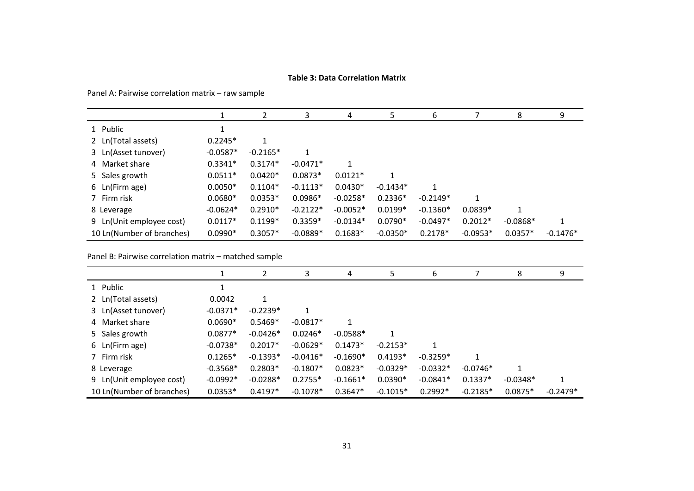#### **Table 3: Data Correlation Matrix**

Panel A: Pairwise correlation matrix – raw sample

|                           |            | 7          | 3          | 4          | 5.         | 6          |            | 8          | 9          |
|---------------------------|------------|------------|------------|------------|------------|------------|------------|------------|------------|
| 1 Public                  |            |            |            |            |            |            |            |            |            |
| 2 Ln(Total assets)        | $0.2245*$  | 1          |            |            |            |            |            |            |            |
| 3 Ln(Asset tunover)       | $-0.0587*$ | $-0.2165*$ |            |            |            |            |            |            |            |
| 4 Market share            | $0.3341*$  | $0.3174*$  | $-0.0471*$ |            |            |            |            |            |            |
| 5 Sales growth            | $0.0511*$  | $0.0420*$  | $0.0873*$  | $0.0121*$  | 1          |            |            |            |            |
| 6 Ln(Firm age)            | $0.0050*$  | $0.1104*$  | $-0.1113*$ | $0.0430*$  | $-0.1434*$ |            |            |            |            |
| 7 Firm risk               | $0.0680*$  | $0.0353*$  | $0.0986*$  | $-0.0258*$ | $0.2336*$  | $-0.2149*$ | 1          |            |            |
| 8 Leverage                | $-0.0624*$ | $0.2910*$  | $-0.2122*$ | $-0.0052*$ | $0.0199*$  | $-0.1360*$ | $0.0839*$  |            |            |
| 9 Ln(Unit employee cost)  | $0.0117*$  | $0.1199*$  | $0.3359*$  | $-0.0134*$ | $0.0790*$  | $-0.0497*$ | $0.2012*$  | $-0.0868*$ |            |
| 10 Ln(Number of branches) | $0.0990*$  | $0.3057*$  | $-0.0889*$ | $0.1683*$  | $-0.0350*$ | $0.2178*$  | $-0.0953*$ | $0.0357*$  | $-0.1476*$ |

Panel B: Pairwise correlation matrix – matched sample

|                           |            |            | 3          | 4          | 5          | 6          |            | 8          | q          |
|---------------------------|------------|------------|------------|------------|------------|------------|------------|------------|------------|
| 1 Public                  |            |            |            |            |            |            |            |            |            |
| 2 Ln(Total assets)        | 0.0042     | 1          |            |            |            |            |            |            |            |
| 3 Ln(Asset tunover)       | $-0.0371*$ | $-0.2239*$ |            |            |            |            |            |            |            |
| 4 Market share            | $0.0690*$  | $0.5469*$  | $-0.0817*$ |            |            |            |            |            |            |
| 5 Sales growth            | $0.0877*$  | $-0.0426*$ | $0.0246*$  | $-0.0588*$ | 1          |            |            |            |            |
| 6 Ln(Firm age)            | $-0.0738*$ | $0.2017*$  | $-0.0629*$ | $0.1473*$  | $-0.2153*$ |            |            |            |            |
| 7 Firm risk               | $0.1265*$  | $-0.1393*$ | $-0.0416*$ | $-0.1690*$ | $0.4193*$  | $-0.3259*$ |            |            |            |
| 8 Leverage                | $-0.3568*$ | $0.2803*$  | $-0.1807*$ | $0.0823*$  | $-0.0329*$ | $-0.0332*$ | $-0.0746*$ |            |            |
| 9 Ln(Unit employee cost)  | $-0.0992*$ | $-0.0288*$ | $0.2755*$  | $-0.1661*$ | $0.0390*$  | $-0.0841*$ | $0.1337*$  | $-0.0348*$ |            |
| 10 Ln(Number of branches) | $0.0353*$  | $0.4197*$  | $-0.1078*$ | $0.3647*$  | $-0.1015*$ | $0.2992*$  | $-0.2185*$ | $0.0875*$  | $-0.2479*$ |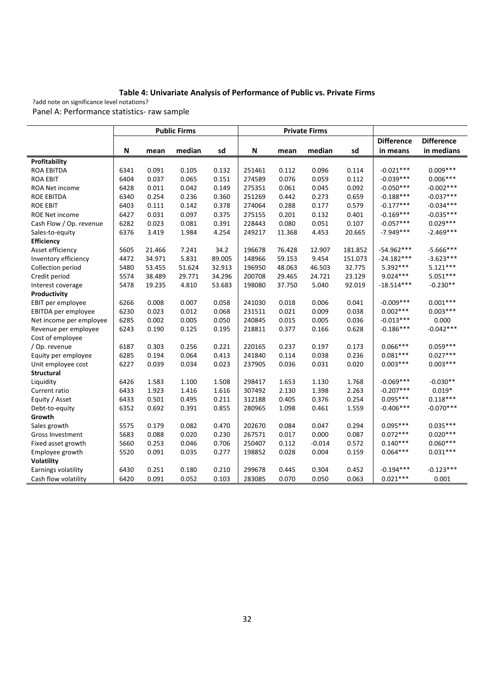#### **Table 4: Univariate Analysis of Performance of Public vs. Private Firms**

?add note on significance level notations? Panel A: Performance statistics‐ raw sample

|                         |      |        | <b>Public Firms</b> |        |        |        | <b>Private Firms</b> |         |                   |                   |
|-------------------------|------|--------|---------------------|--------|--------|--------|----------------------|---------|-------------------|-------------------|
|                         |      |        |                     |        |        |        |                      |         | <b>Difference</b> | <b>Difference</b> |
|                         | N    | mean   | median              | sd     | N      | mean   | median               | sd      | in means          | in medians        |
| Profitability           |      |        |                     |        |        |        |                      |         |                   |                   |
| <b>ROA EBITDA</b>       | 6341 | 0.091  | 0.105               | 0.132  | 251461 | 0.112  | 0.096                | 0.114   | $-0.021***$       | $0.009***$        |
| <b>ROA EBIT</b>         | 6404 | 0.037  | 0.065               | 0.151  | 274589 | 0.076  | 0.059                | 0.112   | $-0.039***$       | $0.006***$        |
| ROA Net income          | 6428 | 0.011  | 0.042               | 0.149  | 275351 | 0.061  | 0.045                | 0.092   | $-0.050***$       | $-0.002***$       |
| <b>ROE EBITDA</b>       | 6340 | 0.254  | 0.236               | 0.360  | 251269 | 0.442  | 0.273                | 0.659   | $-0.188***$       | $-0.037***$       |
| <b>ROE EBIT</b>         | 6403 | 0.111  | 0.142               | 0.378  | 274064 | 0.288  | 0.177                | 0.579   | $-0.177***$       | $-0.034***$       |
| <b>ROE Net income</b>   | 6427 | 0.031  | 0.097               | 0.375  | 275155 | 0.201  | 0.132                | 0.401   | $-0.169***$       | $-0.035***$       |
| Cash Flow / Op. revenue | 6282 | 0.023  | 0.081               | 0.391  | 228443 | 0.080  | 0.051                | 0.107   | $-0.057***$       | $0.029***$        |
| Sales-to-equity         | 6376 | 3.419  | 1.984               | 4.254  | 249217 | 11.368 | 4.453                | 20.665  | $-7.949***$       | $-2.469***$       |
| <b>Efficiency</b>       |      |        |                     |        |        |        |                      |         |                   |                   |
| Asset efficiency        | 5605 | 21.466 | 7.241               | 34.2   | 196678 | 76.428 | 12.907               | 181.852 | $-54.962***$      | $-5.666***$       |
| Inventory efficiency    | 4472 | 34.971 | 5.831               | 89.005 | 148966 | 59.153 | 9.454                | 151.073 | $-24.182***$      | $-3.623***$       |
| Collection period       | 5480 | 53.455 | 51.624              | 32.913 | 196950 | 48.063 | 46.503               | 32.775  | $5.392***$        | $5.121***$        |
| Credit period           | 5574 | 38.489 | 29.771              | 34.296 | 200708 | 29.465 | 24.721               | 23.129  | $9.024***$        | $5.051***$        |
| Interest coverage       | 5478 | 19.235 | 4.810               | 53.683 | 198080 | 37.750 | 5.040                | 92.019  | $-18.514***$      | $-0.230**$        |
| Productivity            |      |        |                     |        |        |        |                      |         |                   |                   |
| EBIT per employee       | 6266 | 0.008  | 0.007               | 0.058  | 241030 | 0.018  | 0.006                | 0.041   | $-0.009***$       | $0.001***$        |
| EBITDA per employee     | 6230 | 0.023  | 0.012               | 0.068  | 231511 | 0.021  | 0.009                | 0.038   | $0.002***$        | $0.003***$        |
| Net income per employee | 6285 | 0.002  | 0.005               | 0.050  | 240845 | 0.015  | 0.005                | 0.036   | $-0.013***$       | 0.000             |
| Revenue per employee    | 6243 | 0.190  | 0.125               | 0.195  | 218811 | 0.377  | 0.166                | 0.628   | $-0.186***$       | $-0.042***$       |
| Cost of employee        |      |        |                     |        |        |        |                      |         |                   |                   |
| / Op. revenue           | 6187 | 0.303  | 0.256               | 0.221  | 220165 | 0.237  | 0.197                | 0.173   | $0.066***$        | $0.059***$        |
| Equity per employee     | 6285 | 0.194  | 0.064               | 0.413  | 241840 | 0.114  | 0.038                | 0.236   | $0.081***$        | $0.027***$        |
| Unit employee cost      | 6227 | 0.039  | 0.034               | 0.023  | 237905 | 0.036  | 0.031                | 0.020   | $0.003***$        | $0.003***$        |
| <b>Structural</b>       |      |        |                     |        |        |        |                      |         |                   |                   |
| Liquidity               | 6426 | 1.583  | 1.100               | 1.508  | 298417 | 1.653  | 1.130                | 1.768   | $-0.069***$       | $-0.030**$        |
| Current ratio           | 6433 | 1.923  | 1.416               | 1.616  | 307492 | 2.130  | 1.398                | 2.263   | $-0.207***$       | $0.019*$          |
| Equity / Asset          | 6433 | 0.501  | 0.495               | 0.211  | 312188 | 0.405  | 0.376                | 0.254   | $0.095***$        | $0.118***$        |
| Debt-to-equity          | 6352 | 0.692  | 0.391               | 0.855  | 280965 | 1.098  | 0.461                | 1.559   | $-0.406***$       | $-0.070***$       |
| Growth                  |      |        |                     |        |        |        |                      |         |                   |                   |
| Sales growth            | 5575 | 0.179  | 0.082               | 0.470  | 202670 | 0.084  | 0.047                | 0.294   | $0.095***$        | $0.035***$        |
| Gross Investment        | 5683 | 0.088  | 0.020               | 0.230  | 267571 | 0.017  | 0.000                | 0.087   | $0.072***$        | $0.020***$        |
| Fixed asset growth      | 5660 | 0.253  | 0.046               | 0.706  | 250407 | 0.112  | $-0.014$             | 0.572   | $0.140***$        | $0.060***$        |
| Employee growth         | 5520 | 0.091  | 0.035               | 0.277  | 198852 | 0.028  | 0.004                | 0.159   | $0.064***$        | $0.031***$        |
| Volatility              |      |        |                     |        |        |        |                      |         |                   |                   |
| Earnings volatility     | 6430 | 0.251  | 0.180               | 0.210  | 299678 | 0.445  | 0.304                | 0.452   | $-0.194***$       | $-0.123***$       |
| Cash flow volatility    | 6420 | 0.091  | 0.052               | 0.103  | 283085 | 0.070  | 0.050                | 0.063   | $0.021***$        | 0.001             |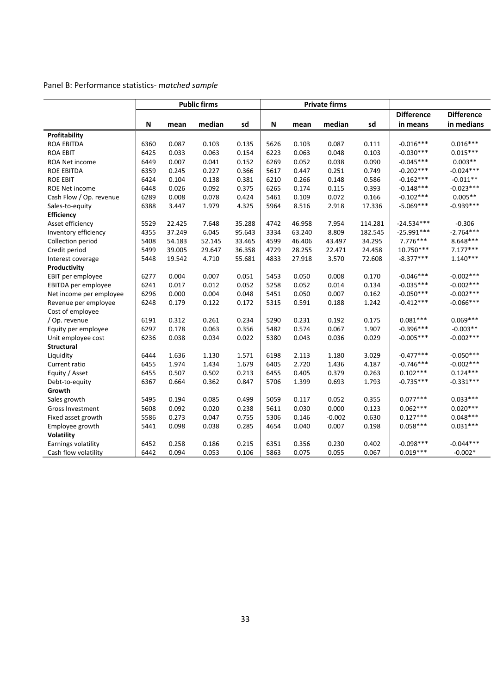# Panel B: Performance statistics‐ m*atched sample*

|                         |      |        | <b>Public firms</b> |        |      |        | <b>Private firms</b> |         |                   |                   |
|-------------------------|------|--------|---------------------|--------|------|--------|----------------------|---------|-------------------|-------------------|
|                         |      |        |                     |        |      |        |                      |         | <b>Difference</b> | <b>Difference</b> |
|                         | N    | mean   | median              | sd     | N    | mean   | median               | sd      | in means          | in medians        |
| Profitability           |      |        |                     |        |      |        |                      |         |                   |                   |
| ROA EBITDA              | 6360 | 0.087  | 0.103               | 0.135  | 5626 | 0.103  | 0.087                | 0.111   | $-0.016***$       | $0.016***$        |
| <b>ROA EBIT</b>         | 6425 | 0.033  | 0.063               | 0.154  | 6223 | 0.063  | 0.048                | 0.103   | $-0.030***$       | $0.015***$        |
| ROA Net income          | 6449 | 0.007  | 0.041               | 0.152  | 6269 | 0.052  | 0.038                | 0.090   | $-0.045***$       | $0.003**$         |
| <b>ROE EBITDA</b>       | 6359 | 0.245  | 0.227               | 0.366  | 5617 | 0.447  | 0.251                | 0.749   | $-0.202***$       | $-0.024***$       |
| <b>ROE EBIT</b>         | 6424 | 0.104  | 0.138               | 0.381  | 6210 | 0.266  | 0.148                | 0.586   | $-0.162***$       | $-0.011**$        |
| <b>ROE Net income</b>   | 6448 | 0.026  | 0.092               | 0.375  | 6265 | 0.174  | 0.115                | 0.393   | $-0.148***$       | $-0.023***$       |
| Cash Flow / Op. revenue | 6289 | 0.008  | 0.078               | 0.424  | 5461 | 0.109  | 0.072                | 0.166   | $-0.102***$       | $0.005**$         |
| Sales-to-equity         | 6388 | 3.447  | 1.979               | 4.325  | 5964 | 8.516  | 2.918                | 17.336  | $-5.069***$       | $-0.939***$       |
| <b>Efficiency</b>       |      |        |                     |        |      |        |                      |         |                   |                   |
| Asset efficiency        | 5529 | 22.425 | 7.648               | 35.288 | 4742 | 46.958 | 7.954                | 114.281 | $-24.534***$      | $-0.306$          |
| Inventory efficiency    | 4355 | 37.249 | 6.045               | 95.643 | 3334 | 63.240 | 8.809                | 182.545 | $-25.991***$      | $-2.764***$       |
| Collection period       | 5408 | 54.183 | 52.145              | 33.465 | 4599 | 46.406 | 43.497               | 34.295  | $7.776***$        | 8.648***          |
| Credit period           | 5499 | 39.005 | 29.647              | 36.358 | 4729 | 28.255 | 22.471               | 24.458  | 10.750***         | $7.177***$        |
| Interest coverage       | 5448 | 19.542 | 4.710               | 55.681 | 4833 | 27.918 | 3.570                | 72.608  | $-8.377***$       | $1.140***$        |
| Productivity            |      |        |                     |        |      |        |                      |         |                   |                   |
| EBIT per employee       | 6277 | 0.004  | 0.007               | 0.051  | 5453 | 0.050  | 0.008                | 0.170   | $-0.046***$       | $-0.002***$       |
| EBITDA per employee     | 6241 | 0.017  | 0.012               | 0.052  | 5258 | 0.052  | 0.014                | 0.134   | $-0.035***$       | $-0.002***$       |
| Net income per employee | 6296 | 0.000  | 0.004               | 0.048  | 5451 | 0.050  | 0.007                | 0.162   | $-0.050***$       | $-0.002***$       |
| Revenue per employee    | 6248 | 0.179  | 0.122               | 0.172  | 5315 | 0.591  | 0.188                | 1.242   | $-0.412***$       | $-0.066***$       |
| Cost of employee        |      |        |                     |        |      |        |                      |         |                   |                   |
| / Op. revenue           | 6191 | 0.312  | 0.261               | 0.234  | 5290 | 0.231  | 0.192                | 0.175   | $0.081***$        | $0.069***$        |
| Equity per employee     | 6297 | 0.178  | 0.063               | 0.356  | 5482 | 0.574  | 0.067                | 1.907   | $-0.396***$       | $-0.003**$        |
| Unit employee cost      | 6236 | 0.038  | 0.034               | 0.022  | 5380 | 0.043  | 0.036                | 0.029   | $-0.005***$       | $-0.002***$       |
| Structural              |      |        |                     |        |      |        |                      |         |                   |                   |
| Liquidity               | 6444 | 1.636  | 1.130               | 1.571  | 6198 | 2.113  | 1.180                | 3.029   | $-0.477***$       | $-0.050***$       |
| Current ratio           | 6455 | 1.974  | 1.434               | 1.679  | 6405 | 2.720  | 1.436                | 4.187   | $-0.746***$       | $-0.002***$       |
| Equity / Asset          | 6455 | 0.507  | 0.502               | 0.213  | 6455 | 0.405  | 0.379                | 0.263   | $0.102***$        | $0.124***$        |
| Debt-to-equity          | 6367 | 0.664  | 0.362               | 0.847  | 5706 | 1.399  | 0.693                | 1.793   | $-0.735***$       | $-0.331***$       |
| Growth                  |      |        |                     |        |      |        |                      |         |                   |                   |
| Sales growth            | 5495 | 0.194  | 0.085               | 0.499  | 5059 | 0.117  | 0.052                | 0.355   | $0.077***$        | $0.033***$        |
| Gross Investment        | 5608 | 0.092  | 0.020               | 0.238  | 5611 | 0.030  | 0.000                | 0.123   | $0.062***$        | $0.020***$        |
| Fixed asset growth      | 5586 | 0.273  | 0.047               | 0.755  | 5306 | 0.146  | $-0.002$             | 0.630   | $0.127***$        | $0.048***$        |
| Employee growth         | 5441 | 0.098  | 0.038               | 0.285  | 4654 | 0.040  | 0.007                | 0.198   | $0.058***$        | $0.031***$        |
| Volatility              |      |        |                     |        |      |        |                      |         |                   |                   |
| Earnings volatility     | 6452 | 0.258  | 0.186               | 0.215  | 6351 | 0.356  | 0.230                | 0.402   | $-0.098***$       | $-0.044***$       |
| Cash flow volatility    | 6442 | 0.094  | 0.053               | 0.106  | 5863 | 0.075  | 0.055                | 0.067   | $0.019***$        | $-0.002*$         |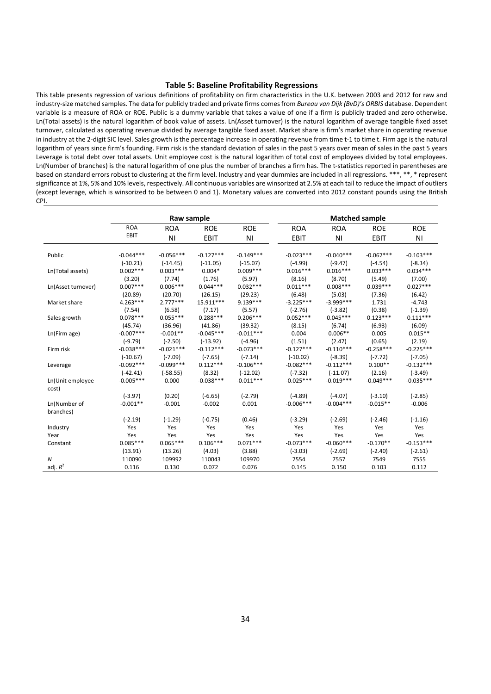#### **Table 5: Baseline Profitability Regressions**

This table presents regression of various definitions of profitability on firm characteristics in the U.K. between 2003 and 2012 for raw and industry‐size matched samples. The data for publicly traded and private firms comesfrom *Bureau van Dijk (BvD)'s ORBIS* database. Dependent variable is a measure of ROA or ROE. Public is a dummy variable that takes a value of one if a firm is publicly traded and zero otherwise. Ln(Total assets) is the natural logarithm of book value of assets. Ln(Asset turnover) is the natural logarithm of average tangible fixed asset turnover, calculated as operating revenue divided by average tangible fixed asset. Market share is firm's market share in operating revenue in industry at the 2‐digit SIC level. Sales growth isthe percentage increase in operating revenue from time t‐1 to time t. Firm age is the natural logarithm of years since firm's founding. Firm risk is the standard deviation of sales in the past 5 years over mean of sales in the past 5 years Leverage is total debt over total assets. Unit employee cost is the natural logarithm of total cost of employees divided by total employees. Ln(Number of branches) is the natural logarithm of one plus the number of branches a firm has. The t‐statistics reported in parentheses are based on standard errors robust to clustering at the firm level. Industry and year dummies are included in all regressions. \*\*\*, \*\*, \* represent significance at 1%, 5% and 10% levels, respectively. All continuous variables are winsorized at 2.5% at each tail to reduce the impact of outliers (except leverage, which is winsorized to be between 0 and 1). Monetary values are converted into 2012 constant pounds using the British CPI.

|                           |                           | Raw sample                |                           |                           |                          | <b>Matched sample</b>     |                         |                          |
|---------------------------|---------------------------|---------------------------|---------------------------|---------------------------|--------------------------|---------------------------|-------------------------|--------------------------|
|                           | <b>ROA</b>                | <b>ROA</b>                | <b>ROE</b>                | <b>ROE</b>                | <b>ROA</b>               | <b>ROA</b>                | <b>ROE</b>              | <b>ROE</b>               |
|                           | EBIT                      | N <sub>1</sub>            | <b>EBIT</b>               | <b>NI</b>                 | <b>EBIT</b>              | <b>NI</b>                 | <b>EBIT</b>             | <b>NI</b>                |
| Public                    | $-0.044***$               | $-0.056***$               | $-0.127***$               | $-0.149***$               | $-0.023***$              | $-0.040***$               | $-0.067***$             | $-0.103***$              |
| Ln(Total assets)          | $(-10.21)$<br>$0.002***$  | $(-14.45)$<br>$0.003***$  | $(-11.05)$<br>$0.004*$    | $(-15.07)$<br>$0.009***$  | $(-4.99)$<br>$0.016***$  | $(-9.47)$<br>$0.016***$   | $(-4.54)$<br>$0.033***$ | $(-8.34)$<br>$0.034***$  |
|                           | (3.20)                    | (7.74)                    | (1.76)                    | (5.97)                    | (8.16)                   | (8.70)                    | (5.49)                  | (7.00)                   |
| Ln(Asset turnover)        | $0.007***$<br>(20.89)     | $0.006***$<br>(20.70)     | $0.044***$<br>(26.15)     | $0.032***$<br>(29.23)     | $0.011***$<br>(6.48)     | $0.008***$<br>(5.03)      | $0.039***$<br>(7.36)    | $0.027***$<br>(6.42)     |
| Market share              | $4.263***$<br>(7.54)      | $2.777***$<br>(6.58)      | 15.911***<br>(7.17)       | $9.139***$<br>(5.57)      | $-3.225***$<br>$(-2.76)$ | $-3.999***$<br>$(-3.82)$  | 1.731<br>(0.38)         | $-4.743$<br>$(-1.39)$    |
| Sales growth              | $0.078***$                | $0.055***$                | $0.288***$                | $0.206***$                | $0.052***$               | $0.045***$                | $0.123***$              | $0.111***$               |
| Ln(Firm age)              | (45.74)<br>$-0.007***$    | (36.96)<br>$-0.001**$     | (41.86)<br>$-0.045***$    | (39.32)<br>$-0.011***$    | (8.15)<br>0.004          | (6.74)<br>$0.006**$       | (6.93)<br>0.005         | (6.09)<br>$0.015**$      |
| Firm risk                 | $(-9.79)$<br>$-0.038***$  | $(-2.50)$<br>$-0.021***$  | $(-13.92)$<br>$-0.112***$ | $(-4.96)$<br>$-0.073***$  | (1.51)<br>$-0.127***$    | (2.47)<br>$-0.110***$     | (0.65)<br>$-0.258***$   | (2.19)<br>$-0.225***$    |
|                           | $(-10.67)$                | $(-7.09)$                 | $(-7.65)$                 | $(-7.14)$                 | $(-10.02)$               | $(-8.39)$                 | $(-7.72)$               | $(-7.05)$                |
| Leverage                  | $-0.092***$<br>$(-42.41)$ | $-0.099***$<br>$(-58.55)$ | $0.112***$<br>(8.32)      | $-0.106***$<br>$(-12.02)$ | $-0.082***$<br>$(-7.32)$ | $-0.112***$<br>$(-11.07)$ | $0.100**$<br>(2.16)     | $-0.132***$<br>$(-3.49)$ |
| Ln(Unit employee<br>cost) | $-0.005***$               | 0.000                     | $-0.038***$               | $-0.011***$               | $-0.025***$              | $-0.019***$               | $-0.049***$             | $-0.035***$              |
|                           | $(-3.97)$                 | (0.20)                    | $(-6.65)$                 | $(-2.79)$                 | $(-4.89)$                | $(-4.07)$                 | $(-3.10)$               | $(-2.85)$                |
| Ln(Number of<br>branches) | $-0.001**$                | $-0.001$                  | $-0.002$                  | 0.001                     | $-0.006***$              | $-0.004***$               | $-0.015**$              | $-0.006$                 |
|                           | $(-2.19)$                 | $(-1.29)$                 | $(-0.75)$                 | (0.46)                    | $(-3.29)$                | $(-2.69)$                 | $(-2.46)$               | $(-1.16)$                |
| Industry                  | Yes                       | Yes                       | Yes                       | Yes                       | Yes                      | Yes                       | Yes                     | Yes                      |
| Year                      | Yes                       | Yes                       | Yes                       | Yes                       | Yes                      | Yes                       | Yes                     | Yes                      |
| Constant                  | $0.085***$                | $0.065***$                | $0.106***$                | $0.071***$                | $-0.073***$              | $-0.060***$               | $-0.170**$              | $-0.153***$              |
|                           | (13.91)                   | (13.26)                   | (4.03)                    | (3.88)                    | $(-3.03)$                | $(-2.69)$                 | $(-2.40)$               | $(-2.61)$                |
| $\boldsymbol{N}$          | 110090                    | 109992                    | 110043                    | 109970                    | 7554                     | 7557                      | 7549                    | 7555                     |
| adj. $R^2$                | 0.116                     | 0.130                     | 0.072                     | 0.076                     | 0.145                    | 0.150                     | 0.103                   | 0.112                    |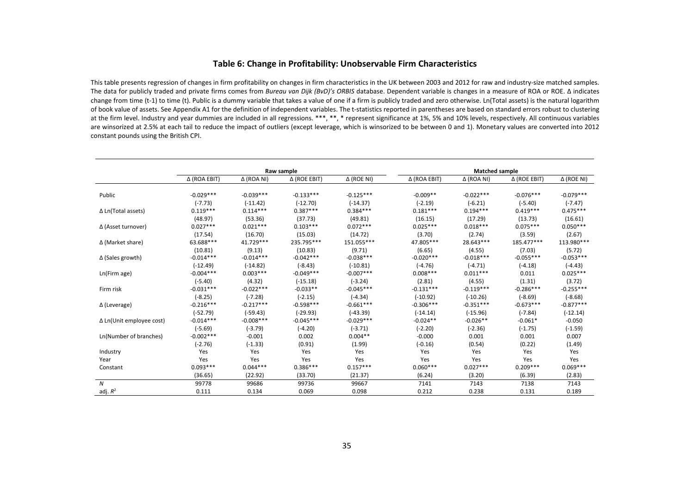#### **Table 6: Change in Profitability: Unobservable Firm Characteristics**

This table presents regression of changes in firm profitability on changes in firm characteristics in the UK between 2003 and 2012 for raw and industry‐size matched samples. The data for publicly traded and private firms comes from *Bureau van Dijk (BvD)'s ORBIS* database. Dependent variable is changes in <sup>a</sup> measure of ROA or ROE. ∆ indicates change from time (t-1) to time (t). Public is a dummy variable that takes a value of one if a firm is publicly traded and zero otherwise. Ln(Total assets) is the natural logarithm of book value of assets. See Appendix A1 for the definition of independent variables. The <sup>t</sup>‐statistics reported in parentheses are based on standard errors robust to clustering at the firm level. Industry and year dummies are included in all regressions. \*\*\*, \*\*, \* represent significance at 1%, 5% and 10% levels, respectively. All continuous variables are winsorized at 2.5% at each tail to reduce the impact of outliers (except leverage, which is winsorized to be between 0 and 1). Monetary values are converted into 2012 constant pounds using the British CPI.

|                                 |                     |                   | Raw sample   |                   |                     | <b>Matched sample</b> |              |                   |
|---------------------------------|---------------------|-------------------|--------------|-------------------|---------------------|-----------------------|--------------|-------------------|
|                                 | $\Delta$ (ROA EBIT) | $\Delta$ (ROA NI) | Δ (ROE EBIT) | $\Delta$ (ROE NI) | $\Delta$ (ROA EBIT) | $\Delta$ (ROA NI)     | Δ (ROE EBIT) | $\Delta$ (ROE NI) |
|                                 |                     |                   |              |                   |                     |                       |              |                   |
| Public                          | $-0.029***$         | $-0.039***$       | $-0.133***$  | $-0.125***$       | $-0.009**$          | $-0.022***$           | $-0.076***$  | $-0.079***$       |
|                                 | $(-7.73)$           | $(-11.42)$        | $(-12.70)$   | $(-14.37)$        | $(-2.19)$           | $(-6.21)$             | $(-5.40)$    | $(-7.47)$         |
| $\Delta$ Ln(Total assets)       | $0.119***$          | $0.114***$        | $0.387***$   | $0.384***$        | $0.181***$          | $0.194***$            | $0.419***$   | $0.475***$        |
|                                 | (48.97)             | (53.36)           | (37.73)      | (49.81)           | (16.15)             | (17.29)               | (13.73)      | (16.61)           |
| $\Delta$ (Asset turnover)       | $0.027***$          | $0.021***$        | $0.103***$   | $0.072***$        | $0.025***$          | $0.018***$            | $0.075***$   | $0.050***$        |
|                                 | (17.54)             | (16.70)           | (15.03)      | (14.72)           | (3.70)              | (2.74)                | (3.59)       | (2.67)            |
| $\Delta$ (Market share)         | 63.688***           | 41.729 ***        | 235.795***   | 151.055***        | 47.805***           | 28.643***             | 185.477***   | 113.980***        |
|                                 | (10.81)             | (9.13)            | (10.83)      | (9.71)            | (6.65)              | (4.55)                | (7.03)       | (5.72)            |
| $\Delta$ (Sales growth)         | $-0.014***$         | $-0.014***$       | $-0.042***$  | $-0.038***$       | $-0.020***$         | $-0.018***$           | $-0.055***$  | $-0.053***$       |
|                                 | $(-12.49)$          | $(-14.82)$        | $(-8.43)$    | $(-10.81)$        | $(-4.76)$           | $(-4.71)$             | $(-4.18)$    | $(-4.43)$         |
| Ln(Firm age)                    | $-0.004***$         | $0.003***$        | $-0.049***$  | $-0.007***$       | $0.008***$          | $0.011***$            | 0.011        | $0.025***$        |
|                                 | $(-5.40)$           | (4.32)            | $(-15.18)$   | $(-3.24)$         | (2.81)              | (4.55)                | (1.31)       | (3.72)            |
| Firm risk                       | $-0.031***$         | $-0.022***$       | $-0.033**$   | $-0.045***$       | $-0.131***$         | $-0.119***$           | $-0.286***$  | $-0.255***$       |
|                                 | $(-8.25)$           | $(-7.28)$         | $(-2.15)$    | $(-4.34)$         | $(-10.92)$          | $(-10.26)$            | $(-8.69)$    | $(-8.68)$         |
| $\Delta$ (Leverage)             | $-0.216***$         | $-0.217***$       | $-0.598***$  | $-0.661***$       | $-0.306***$         | $-0.351***$           | $-0.673***$  | $-0.877***$       |
|                                 | $(-52.79)$          | $(-59.43)$        | $(-29.93)$   | $(-43.39)$        | $(-14.14)$          | $(-15.96)$            | $(-7.84)$    | $(-12.14)$        |
| $\Delta$ Ln(Unit employee cost) | $-0.014***$         | $-0.008***$       | $-0.045***$  | $-0.029***$       | $-0.024**$          | $-0.026**$            | $-0.061*$    | $-0.050$          |
|                                 | $(-5.69)$           | $(-3.79)$         | $(-4.20)$    | $(-3.71)$         | $(-2.20)$           | $(-2.36)$             | $(-1.75)$    | $(-1.59)$         |
| Ln(Number of branches)          | $-0.002***$         | $-0.001$          | 0.002        | $0.004**$         | $-0.000$            | 0.001                 | 0.001        | 0.007             |
|                                 | $(-2.76)$           | $(-1.33)$         | (0.91)       | (1.99)            | $(-0.16)$           | (0.54)                | (0.22)       | (1.49)            |
| Industry                        | Yes                 | Yes               | Yes          | Yes               | Yes                 | Yes                   | Yes          | Yes               |
| Year                            | Yes                 | Yes               | Yes          | Yes               | Yes                 | Yes                   | Yes          | Yes               |
| Constant                        | $0.093***$          | $0.044***$        | $0.386***$   | $0.157***$        | $0.060***$          | $0.027***$            | $0.209***$   | $0.069***$        |
|                                 | (36.65)             | (22.92)           | (33.70)      | (21.37)           | (6.24)              | (3.20)                | (6.39)       | (2.83)            |
| $\boldsymbol{N}$                | 99778               | 99686             | 99736        | 99667             | 7141                | 7143                  | 7138         | 7143              |
| adj. $R^2$                      | 0.111               | 0.134             | 0.069        | 0.098             | 0.212               | 0.238                 | 0.131        | 0.189             |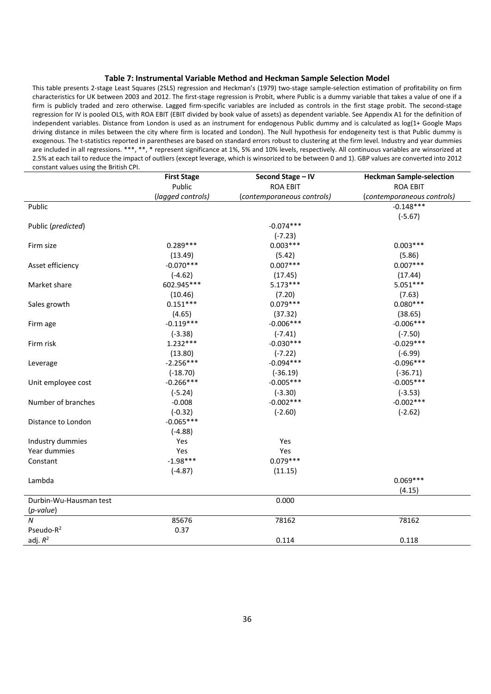#### **Table 7: Instrumental Variable Method and Heckman Sample Selection Model**

This table presents 2‐stage Least Squares (2SLS) regression and Heckman's (1979) two‐stage sample‐selection estimation of profitability on firm characteristics for UK between 2003 and 2012. The first-stage regression is Probit, where Public is a dummy variable that takes a value of one if a firm is publicly traded and zero otherwise. Lagged firm-specific variables are included as controls in the first stage probit. The second-stage regression for IV is pooled OLS, with ROA EBIT (EBIT divided by book value of assets) as dependent variable. See Appendix A1 for the definition of independent variables. Distance from London is used as an instrument for endogenous Public dummy and is calculated as log(1+ Google Maps driving distance in miles between the city where firm is located and London). The Null hypothesis for endogeneity test is that Public dummy is exogenous. The t-statistics reported in parentheses are based on standard errors robust to clustering at the firm level. Industry and year dummies are included in all regressions. \*\*\*, \*\*, \* represent significance at 1%, 5% and 10% levels, respectively. All continuous variables are winsorized at 2.5% at each tail to reduce the impact of outliers (except leverage, which is winsorized to be between 0 and 1). GBP values are converted into 2012 constant values using the British CPI.

|                        | <b>First Stage</b> | Second Stage - IV          | <b>Heckman Sample-selection</b> |
|------------------------|--------------------|----------------------------|---------------------------------|
|                        | Public             | <b>ROA EBIT</b>            | <b>ROA EBIT</b>                 |
|                        | (lagged controls)  | (contemporaneous controls) | (contemporaneous controls)      |
| Public                 |                    |                            | $-0.148***$                     |
|                        |                    |                            | $(-5.67)$                       |
| Public (predicted)     |                    | $-0.074***$                |                                 |
|                        |                    | $(-7.23)$                  |                                 |
| Firm size              | $0.289***$         | $0.003***$                 | $0.003***$                      |
|                        | (13.49)            | (5.42)                     | (5.86)                          |
| Asset efficiency       | $-0.070***$        | $0.007***$                 | $0.007***$                      |
|                        | $(-4.62)$          | (17.45)                    | (17.44)                         |
| Market share           | 602.945***         | $5.173***$                 | $5.051***$                      |
|                        | (10.46)            | (7.20)                     | (7.63)                          |
| Sales growth           | $0.151***$         | $0.079***$                 | $0.080***$                      |
|                        | (4.65)             | (37.32)                    | (38.65)                         |
| Firm age               | $-0.119***$        | $-0.006***$                | $-0.006***$                     |
|                        | $(-3.38)$          | $(-7.41)$                  | $(-7.50)$                       |
| Firm risk              | $1.232***$         | $-0.030***$                | $-0.029***$                     |
|                        | (13.80)            | $(-7.22)$                  | $(-6.99)$                       |
| Leverage               | $-2.256***$        | $-0.094***$                | $-0.096***$                     |
|                        | $(-18.70)$         | $(-36.19)$                 | $(-36.71)$                      |
| Unit employee cost     | $-0.266***$        | $-0.005***$                | $-0.005***$                     |
|                        | $(-5.24)$          | $(-3.30)$                  | $(-3.53)$                       |
| Number of branches     | $-0.008$           | $-0.002***$                | $-0.002***$                     |
|                        | $(-0.32)$          | $(-2.60)$                  | $(-2.62)$                       |
| Distance to London     | $-0.065***$        |                            |                                 |
|                        | $(-4.88)$          |                            |                                 |
| Industry dummies       | Yes                | Yes                        |                                 |
| Year dummies           | Yes                | Yes                        |                                 |
| Constant               | $-1.98***$         | $0.079***$                 |                                 |
|                        | $(-4.87)$          | (11.15)                    |                                 |
| Lambda                 |                    |                            | $0.069***$                      |
|                        |                    |                            | (4.15)                          |
| Durbin-Wu-Hausman test |                    | 0.000                      |                                 |
| (p-value)              |                    |                            |                                 |
| $\boldsymbol{N}$       | 85676              | 78162                      | 78162                           |
| Pseudo-R <sup>2</sup>  | 0.37               |                            |                                 |
| adj. $R^2$             |                    | 0.114                      | 0.118                           |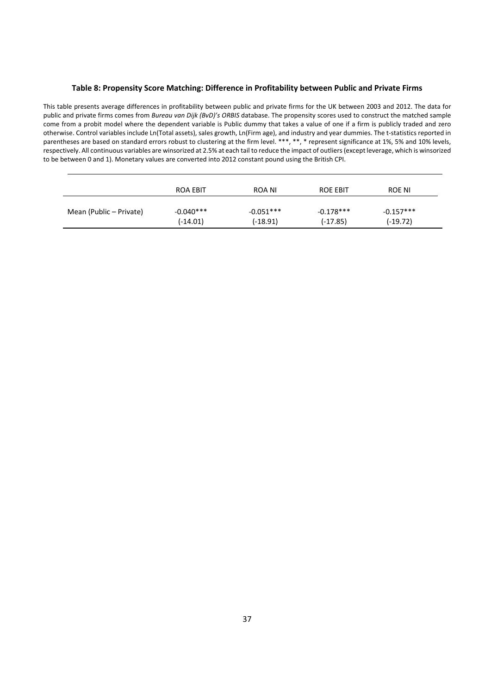### **Table 8: Propensity Score Matching: Difference in Profitability between Public and Private Firms**

This table presents average differences in profitability between public and private firms for the UK between 2003 and 2012. The data for public and private firms comes from *Bureau van Dijk (BvD)'s ORBIS* database. The propensity scores used to construct the matched sample come from a probit model where the dependent variable is Public dummy that takes a value of one if a firm is publicly traded and zero otherwise. Control variables include Ln(Total assets), sales growth, Ln(Firm age), and industry and year dummies. The t‐statistics reported in parentheses are based on standard errors robust to clustering at the firm level. \*\*\*, \*\*, \* represent significance at 1%, 5% and 10% levels, respectively. All continuous variables are winsorized at 2.5% at each tail to reduce the impact of outliers(except leverage, which is winsorized to be between 0 and 1). Monetary values are converted into 2012 constant pound using the British CPI.

|                         | <b>ROA EBIT</b> | ROA NI      | ROE EBIT    | ROE NI      |
|-------------------------|-----------------|-------------|-------------|-------------|
| Mean (Public – Private) | $-0.040***$     | $-0.051***$ | $-0.178***$ | $-0.157***$ |
|                         | $(-14.01)$      | (-18.91)    | $(-17.85)$  | $(-19.72)$  |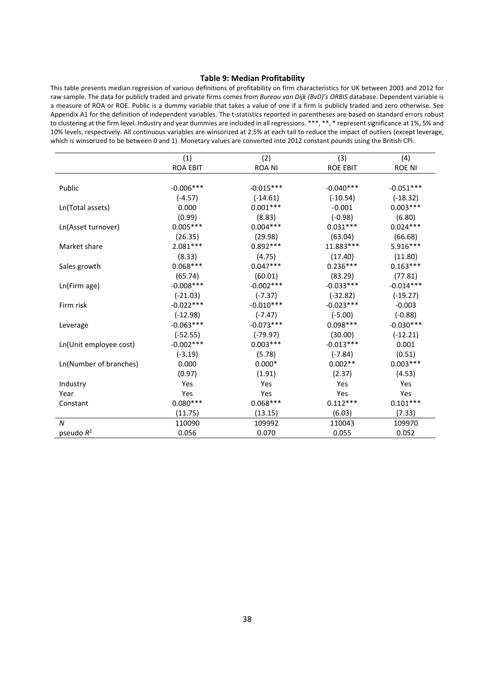#### **Table 9: Median Profitability**

This table presents median regression of various definitions of profitability on firm characteristics for UK between 2003 and 2012 for raw sample. The data for publicly traded and private firms comes from *Bureau van Dijk (BvD)'s ORBIS* database. Dependent variable is a measure of ROA or ROE. Public is a dummy variable that takes a value of one if a firm is publicly traded and zero otherwise. See Appendix A1 for the definition of independent variables. The t‐statistics reported in parentheses are based on standard errors robust to clustering at the firm level. Industry and year dummies are included in all regressions. \*\*\*, \*\*, \* represent significance at 1%, 5% and 10% levels, respectively. All continuous variables are winsorized at 2.5% at each tail to reduce the impact of outliers (except leverage, which is winsorized to be between 0 and 1). Monetary values are converted into 2012 constant pounds using the British CPI.

|                        | (1)             | (2)           | (3)             | (4)           |
|------------------------|-----------------|---------------|-----------------|---------------|
|                        | <b>ROA EBIT</b> | <b>ROA NI</b> | <b>ROE EBIT</b> | <b>ROE NI</b> |
|                        |                 |               |                 |               |
| Public                 | $-0.006$ ***    | $-0.015***$   | $-0.040***$     | $-0.051***$   |
|                        | $(-4.57)$       | $(-14.61)$    | $(-10.54)$      | $(-18.32)$    |
| Ln(Total assets)       | 0.000           | $0.001***$    | $-0.001$        | $0.003***$    |
|                        | (0.99)          | (8.83)        | $(-0.98)$       | (6.80)        |
| Ln(Asset turnover)     | $0.005***$      | $0.004***$    | $0.031***$      | $0.024***$    |
|                        | (26.35)         | (29.98)       | (63.04)         | (66.68)       |
| Market share           | $2.081***$      | $0.892***$    | 11.883***       | 5.916***      |
|                        | (8.33)          | (4.75)        | (17.40)         | (11.80)       |
| Sales growth           | $0.068***$      | $0.047***$    | $0.236***$      | $0.163***$    |
|                        | (65.74)         | (60.01)       | (83.29)         | (77.81)       |
| Ln(Firm age)           | $-0.008***$     | $-0.002***$   | $-0.033***$     | $-0.014***$   |
|                        | $(-21.03)$      | $(-7.37)$     | $(-32.82)$      | $(-19.27)$    |
| Firm risk              | $-0.022***$     | $-0.010***$   | $-0.023***$     | $-0.003$      |
|                        | $(-12.98)$      | $(-7.47)$     | $(-5.00)$       | $(-0.88)$     |
| Leverage               | $-0.063***$     | $-0.073***$   | $0.098***$      | $-0.030***$   |
|                        | $(-52.55)$      | $(-79.97)$    | (30.00)         | $(-12.21)$    |
| Ln(Unit employee cost) | $-0.002***$     | $0.003***$    | $-0.013***$     | 0.001         |
|                        | $(-3.19)$       | (5.78)        | $(-7.84)$       | (0.51)        |
| Ln(Number of branches) | 0.000           | $0.000*$      | $0.002**$       | $0.003***$    |
|                        | (0.97)          | (1.91)        | (2.37)          | (4.53)        |
| Industry               | Yes             | Yes           | Yes             | Yes           |
| Year                   | Yes             | Yes           | Yes             | Yes           |
| Constant               | $0.080***$      | $0.068***$    | $0.112***$      | $0.101***$    |
|                        | (11.75)         | (13.15)       | (6.03)          | (7.33)        |
| $\boldsymbol{N}$       | 110090          | 109992        | 110043          | 109970        |
| pseudo $R^2$           | 0.056           | 0.070         | 0.055           | 0.052         |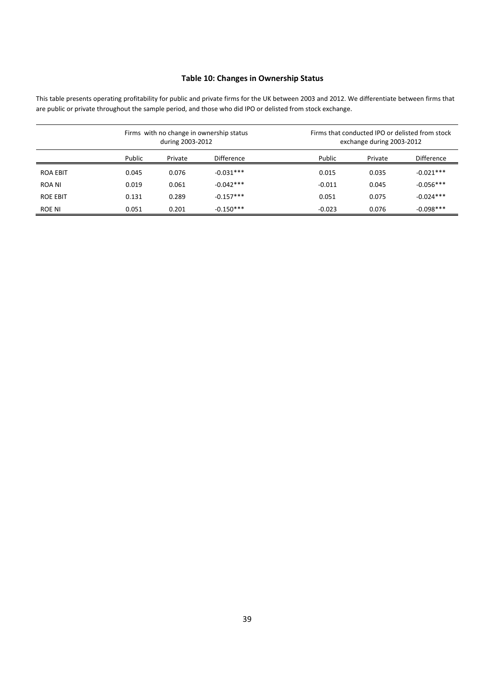# **Table 10: Changes in Ownership Status**

This table presents operating profitability for public and private firms for the UK between 2003 and 2012. We differentiate between firms that are public or private throughout the sample period, and those who did IPO or delisted from stock exchange.

|                 |        | during 2003-2012 | Firms with no change in ownership status |          | Firms that conducted IPO or delisted from stock<br>exchange during 2003-2012 |                   |  |  |
|-----------------|--------|------------------|------------------------------------------|----------|------------------------------------------------------------------------------|-------------------|--|--|
|                 | Public | Private          | <b>Difference</b>                        | Public   | Private                                                                      | <b>Difference</b> |  |  |
| <b>ROA EBIT</b> | 0.045  | 0.076            | $-0.031***$                              | 0.015    | 0.035                                                                        | $-0.021***$       |  |  |
| ROA NI          | 0.019  | 0.061            | $-0.042***$                              | $-0.011$ | 0.045                                                                        | $-0.056***$       |  |  |
| <b>ROE EBIT</b> | 0.131  | 0.289            | $-0.157***$                              | 0.051    | 0.075                                                                        | $-0.024***$       |  |  |
| ROE NI          | 0.051  | 0.201            | $-0.150***$                              | $-0.023$ | 0.076                                                                        | $-0.098***$       |  |  |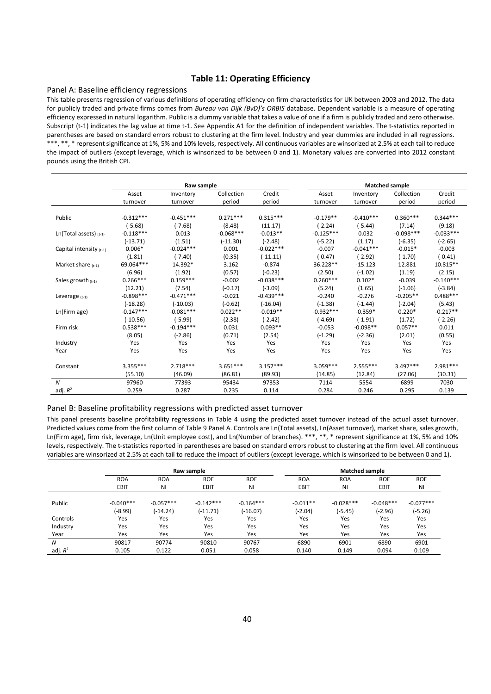# **Table 11: Operating Efficiency**

#### Panel A: Baseline efficiency regressions

This table presents regression of various definitions of operating efficiency on firm characteristics for UK between 2003 and 2012. The data for publicly traded and private firms comes from *Bureau van Dijk (BvD)'s ORBIS* database. Dependent variable is a measure of operating efficiency expressed in natural logarithm. Public is a dummy variable that takes a value of one if a firm is publicly traded and zero otherwise. Subscript (t-1) indicates the lag value at time t-1. See Appendix A1 for the definition of independent variables. The t-statistics reported in parentheses are based on standard errors robust to clustering at the firm level. Industry and year dummies are included in all regressions. \*\*\*, \*\*, \* representsignificance at 1%, 5% and 10% levels, respectively. All continuous variables are winsorized at 2.5% at each tail to reduce the impact of outliers (except leverage, which is winsorized to be between 0 and 1). Monetary values are converted into 2012 constant pounds using the British CPI.

|                           |             | Raw sample  |             |             |             |             | <b>Matched sample</b> |             |
|---------------------------|-------------|-------------|-------------|-------------|-------------|-------------|-----------------------|-------------|
|                           | Asset       | Inventory   | Collection  | Credit      | Asset       | Inventory   | Collection            | Credit      |
|                           | turnover    | turnover    | period      | period      | turnover    | turnover    | period                | period      |
| Public                    | $-0.312***$ | $-0.451***$ | $0.271***$  | $0.315***$  | $-0.179**$  | $-0.410***$ | $0.360***$            | $0.344***$  |
|                           | $(-5.68)$   | $(-7.68)$   | (8.48)      | (11.17)     | $(-2.24)$   | $(-5.44)$   | (7.14)                | (9.18)      |
| Ln(Total assets) $(t-1)$  | $-0.118***$ | 0.013       | $-0.068***$ | $-0.013**$  | $-0.125***$ | 0.032       | $-0.098***$           | $-0.033***$ |
|                           | $(-13.71)$  | (1.51)      | $(-11.30)$  | $(-2.48)$   | $(-5.22)$   | (1.17)      | $(-6.35)$             | $(-2.65)$   |
| Capital intensity $(t-1)$ | $0.006*$    | $-0.024***$ | 0.001       | $-0.022***$ | $-0.007$    | $-0.041***$ | $-0.015*$             | $-0.003$    |
|                           | (1.81)      | $(-7.40)$   | (0.35)      | $(-11.11)$  | $(-0.47)$   | $(-2.92)$   | $(-1.70)$             | $(-0.41)$   |
| Market share $(t-1)$      | 69.064***   | 14.392*     | 3.162       | $-0.874$    | 36.228**    | $-15.123$   | 12.881                | 10.815**    |
|                           | (6.96)      | (1.92)      | (0.57)      | $(-0.23)$   | (2.50)      | $(-1.02)$   | (1.19)                | (2.15)      |
| Sales growth $(t-1)$      | $0.266***$  | $0.159***$  | $-0.002$    | $-0.038***$ | $0.260***$  | $0.102*$    | $-0.039$              | $-0.140***$ |
|                           | (12.21)     | (7.54)      | $(-0.17)$   | $(-3.09)$   | (5.24)      | (1.65)      | $(-1.06)$             | $(-3.84)$   |
| Leverage $(t-1)$          | $-0.898***$ | $-0.471***$ | $-0.021$    | $-0.439***$ | $-0.240$    | $-0.276$    | $-0.205**$            | $0.488***$  |
|                           | $(-18.28)$  | $(-10.03)$  | $(-0.62)$   | $(-16.04)$  | $(-1.38)$   | $(-1.44)$   | $(-2.04)$             | (5.43)      |
| Ln(Firm age)              | $-0.147***$ | $-0.081***$ | $0.022**$   | $-0.019**$  | $-0.932***$ | $-0.359*$   | $0.220*$              | $-0.217**$  |
|                           | $(-10.56)$  | $(-5.99)$   | (2.38)      | $(-2.42)$   | $(-4.69)$   | $(-1.91)$   | (1.72)                | $(-2.26)$   |
| Firm risk                 | $0.538***$  | $-0.194***$ | 0.031       | $0.093**$   | $-0.053$    | $-0.098**$  | $0.057**$             | 0.011       |
|                           | (8.05)      | $(-2.86)$   | (0.71)      | (2.54)      | $(-1.29)$   | $(-2.36)$   | (2.01)                | (0.55)      |
| Industry                  | Yes         | Yes         | Yes         | Yes         | Yes         | Yes         | Yes                   | Yes         |
| Year                      | Yes         | Yes         | Yes         | Yes         | Yes         | Yes         | Yes                   | Yes         |
| Constant                  | $3.355***$  | $2.718***$  | $3.651***$  | $3.157***$  | $3.059***$  | $2.555***$  | $3.497***$            | $2.981***$  |
|                           | (55.10)     | (46.09)     | (86.81)     | (89.93)     | (14.85)     | (12.84)     | (27.06)               | (30.31)     |
| $\boldsymbol{N}$          | 97960       | 77393       | 95434       | 97353       | 7114        | 5554        | 6899                  | 7030        |
| adj. $R^2$                | 0.259       | 0.287       | 0.235       | 0.114       | 0.284       | 0.246       | 0.295                 | 0.139       |

#### Panel B: Baseline profitability regressions with predicted asset turnover

This panel presents baseline profitability regressions in Table 4 using the predicted asset turnover instead of the actual asset turnover. Predicted values come from the first column of Table 9 Panel A. Controls are Ln(Total assets), Ln(Asset turnover), market share, sales growth, Ln(Firm age), firm risk, leverage, Ln(Unit employee cost), and Ln(Number of branches). \*\*\*, \*\*, \* represent significance at 1%, 5% and 10% levels, respectively. The t‐statistics reported in parentheses are based on standard errors robust to clustering at the firm level. All continuous variables are winsorized at 2.5% at each tail to reduce the impact of outliers (except leverage, which is winsorized to be between 0 and 1).

|            |             |             | Raw sample  |             |            | <b>Matched sample</b> |             |             |  |
|------------|-------------|-------------|-------------|-------------|------------|-----------------------|-------------|-------------|--|
|            | <b>ROA</b>  | <b>ROA</b>  | <b>ROE</b>  | <b>ROE</b>  | <b>ROA</b> | <b>ROA</b>            | <b>ROE</b>  | <b>ROE</b>  |  |
|            | EBIT        | ΝI          | <b>EBIT</b> | ΝI          | EBIT       | ΝI                    | EBIT        | NI          |  |
| Public     | $-0.040***$ | $-0.057***$ | $-0.142***$ | $-0.164***$ | $-0.011**$ | $-0.028***$           | $-0.048***$ | $-0.077***$ |  |
|            | $(-8.99)$   | $(-14.24)$  | $(-11.71)$  | $(-16.07)$  | $(-2.04)$  | $(-5.45)$             | $(-2.96)$   | $(-5.26)$   |  |
| Controls   | Yes         | Yes         | Yes         | Yes         | Yes        | Yes                   | Yes         | Yes         |  |
| Industry   | Yes         | Yes         | Yes         | Yes         | Yes        | Yes                   | Yes         | Yes         |  |
| Year       | Yes         | Yes         | Yes         | Yes         | Yes        | Yes                   | Yes         | Yes         |  |
| N          | 90817       | 90774       | 90810       | 90767       | 6890       | 6901                  | 6890        | 6901        |  |
| adj. $R^2$ | 0.105       | 0.122       | 0.051       | 0.058       | 0.140      | 0.149                 | 0.094       | 0.109       |  |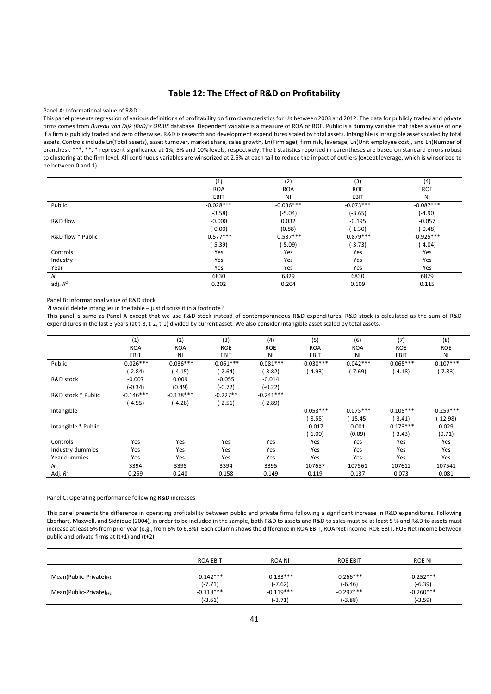# **Table 12: The Effect of R&D on Profitability**

#### Panel A: Informational value of R&D

This panel presentsregression of various definitions of profitability on firm characteristics for UK between 2003 and 2012. The data for publicly traded and private firms comes from *Bureau van Dijk (BvD)'s ORBIS* database. Dependent variable is a measure of ROA or ROE. Public is a dummy variable that takes a value of one if a firm is publicly traded and zero otherwise. R&D is research and development expenditures scaled by total assets. Intangible is intangible assets scaled by total assets. Controls include Ln(Total assets), asset turnover, market share, sales growth, Ln(Firm age), firm risk, leverage, Ln(Unit employee cost), and Ln(Number of branches). \*\*\*, \*\*, \* represent significance at 1%, 5% and 10% levels, respectively. The t-statistics reported in parentheses are based on standard errors robust to clustering at the firm level. All continuous variables are winsorized at 2.5% at each tail to reduce the impact of outliers (except leverage, which is winsorized to be between 0 and 1).

|                   | (1)         | (2)         | (3)         | (4)         |
|-------------------|-------------|-------------|-------------|-------------|
|                   | <b>ROA</b>  | <b>ROA</b>  | <b>ROE</b>  | <b>ROE</b>  |
|                   | EBIT        | <b>NI</b>   | EBIT        | <b>NI</b>   |
| Public            | $-0.028***$ | $-0.036***$ | $-0.073***$ | $-0.087***$ |
|                   | $(-3.58)$   | $(-5.04)$   | $(-3.65)$   | $(-4.90)$   |
| R&D flow          | $-0.000$    | 0.032       | $-0.195$    | $-0.057$    |
|                   | $(-0.00)$   | (0.88)      | $(-1.30)$   | $(-0.48)$   |
| R&D flow * Public | $-0.577***$ | $-0.537***$ | $-0.879***$ | $-0.925***$ |
|                   | $(-5.39)$   | $(-5.09)$   | $(-3.73)$   | $(-4.04)$   |
| Controls          | Yes         | Yes         | Yes         | Yes         |
| Industry          | Yes         | Yes         | Yes         | Yes         |
| Year              | Yes         | Yes         | Yes         | Yes         |
| N                 | 6830        | 6829        | 6830        | 6829        |
| adj. $R^2$        | 0.202       | 0.204       | 0.109       | 0.115       |

Panel B: Informational value of R&D stock

?I would delete intangiles in the table – just discuss it in a footnote?

This panel is same as Panel A except that we use R&D stock instead of contemporaneous R&D expenditures. R&D stock is calculated as the sum of R&D expenditures in the last 3 years (at t-3, t-2, t-1) divided by current asset. We also consider intangible asset scaled by total assets.

|                     | (1)         | (2)         | (3)         | (4)         | (5)         | (6)         | (7)         | (8)         |
|---------------------|-------------|-------------|-------------|-------------|-------------|-------------|-------------|-------------|
|                     | <b>ROA</b>  | <b>ROA</b>  | <b>ROE</b>  | <b>ROE</b>  | <b>ROA</b>  | <b>ROA</b>  | <b>ROE</b>  | <b>ROE</b>  |
|                     | EBIT        | NI          | <b>EBIT</b> | <b>NI</b>   | <b>EBIT</b> | ΝI          | EBIT        | ΝI          |
| Public              | $-0.026***$ | $-0.036***$ | $-0.061***$ | $-0.081***$ | $-0.030***$ | $-0.042***$ | $-0.065***$ | $-0.107***$ |
|                     | $(-2.84)$   | $(-4.15)$   | $(-2.64)$   | $(-3.82)$   | $(-4.93)$   | $(-7.69)$   | $(-4.18)$   | $(-7.83)$   |
| R&D stock           | $-0.007$    | 0.009       | $-0.055$    | $-0.014$    |             |             |             |             |
|                     | $(-0.34)$   | (0.49)      | $(-0.72)$   | $(-0.22)$   |             |             |             |             |
| R&D stock * Public  | $-0.146***$ | $-0.138***$ | $-0.227**$  | $-0.241***$ |             |             |             |             |
|                     | $(-4.55)$   | $(-4.28)$   | $(-2.51)$   | $(-2.89)$   |             |             |             |             |
| Intangible          |             |             |             |             | $-0.053***$ | $-0.075***$ | $-0.105***$ | $-0.259***$ |
|                     |             |             |             |             | $(-8.55)$   | $(-15.45)$  | $(-3.41)$   | $(-12.98)$  |
| Intangible * Public |             |             |             |             | $-0.017$    | 0.001       | $-0.173***$ | 0.029       |
|                     |             |             |             |             | $(-1.00)$   | (0.09)      | $(-3.43)$   | (0.71)      |
| Controls            | Yes         | Yes         | Yes         | Yes         | Yes         | Yes         | Yes         | Yes         |
| Industry dummies    | Yes         | Yes         | Yes         | Yes         | Yes         | Yes         | Yes         | Yes         |
| Year dummies        | Yes         | Yes         | Yes         | Yes         | Yes         | Yes         | Yes         | Yes         |
| N                   | 3394        | 3395        | 3394        | 3395        | 107657      | 107561      | 107612      | 107541      |
| Adj. $R^2$          | 0.259       | 0.240       | 0.158       | 0.149       | 0.119       | 0.137       | 0.073       | 0.081       |

#### Panel C: Operating performance following R&D increases

This panel presents the difference in operating profitability between public and private firms following a significant increase in R&D expenditures. Following Eberhart, Maxwell, and Siddique (2004), in order to be included in the sample, both R&D to assets and R&D to sales must be at least 5 % and R&D to assets must increase at least 5% from prior year (e.g., from 6% to 6.3%). Each column showsthe difference in ROA EBIT, ROA Net income, ROE EBIT, ROE Net income between public and private firms at (t+1) and (t+2).

|                               | <b>ROA EBIT</b>          | ROA NI                   | <b>ROE EBIT</b>          | ROE NI                   |
|-------------------------------|--------------------------|--------------------------|--------------------------|--------------------------|
| Mean(Public-Private) $_{t+1}$ | $-0.142***$              | $-0.133***$              | $-0.266***$              | $-0.252***$              |
| Mean(Public-Private) $t+2$    | $(-7.71)$<br>$-0.118***$ | $(-7.62)$<br>$-0.119***$ | $(-6.46)$<br>$-0.297***$ | $(-6.39)$<br>$-0.260***$ |
|                               | $(-3.61)$                | $(-3.71)$                | $(-3.88)$                | $(-3.59)$                |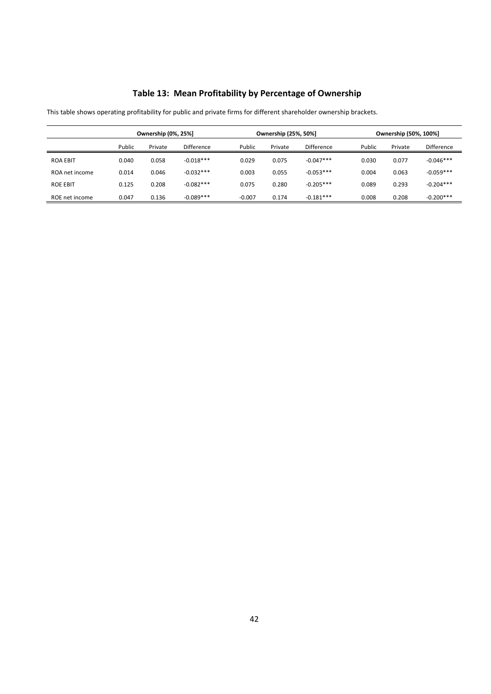# **Table 13: Mean Profitability by Percentage of Ownership**

|                 | <b>Ownership (0%, 25%)</b> |         |             | Ownership (25%, 50%] |         |                   | Ownership (50%, 100%) |         |             |
|-----------------|----------------------------|---------|-------------|----------------------|---------|-------------------|-----------------------|---------|-------------|
|                 | Public                     | Private | Difference  | Public               | Private | <b>Difference</b> | Public                | Private | Difference  |
| <b>ROA EBIT</b> | 0.040                      | 0.058   | $-0.018***$ | 0.029                | 0.075   | $-0.047***$       | 0.030                 | 0.077   | $-0.046***$ |
| ROA net income  | 0.014                      | 0.046   | $-0.032***$ | 0.003                | 0.055   | $-0.053***$       | 0.004                 | 0.063   | $-0.059***$ |
| <b>ROE EBIT</b> | 0.125                      | 0.208   | $-0.082***$ | 0.075                | 0.280   | $-0.205***$       | 0.089                 | 0.293   | $-0.204***$ |
| ROE net income  | 0.047                      | 0.136   | $-0.089***$ | $-0.007$             | 0.174   | $-0.181***$       | 0.008                 | 0.208   | $-0.200***$ |

This table shows operating profitability for public and private firms for different shareholder ownership brackets.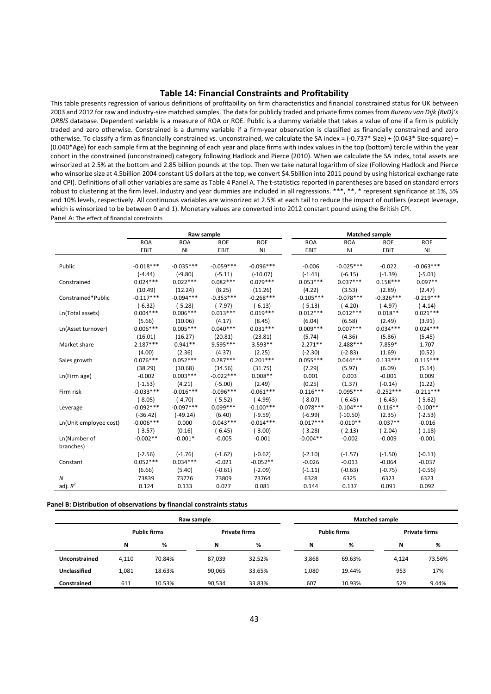### **Table 14: Financial Constraints and Profitability**

This table presents regression of various definitions of profitability on firm characteristics and financial constrained status for UK between 2003 and 2012 for raw and industry‐size matched samples. The data for publicly traded and private firms comesfrom *Bureau van Dijk (BvD)'s ORBIS* database. Dependent variable is a measure of ROA or ROE. Public is a dummy variable that takes a value of one if a firm is publicly traded and zero otherwise. Constrained is a dummy variable if a firm‐year observation is classified as financially constrained and zero otherwise. To classify a firm as financially constrained vs. unconstrained, we calculate the SA index = (-0.737\* Size) + (0.043\* Size-square) – (0.040\*Age) for each sample firm at the beginning of each year and place firms with index values in the top (bottom) tercile within the year cohort in the constrained (unconstrained) category following Hadlock and Pierce (2010). When we calculate the SA index, total assets are winsorized at 2.5% at the bottom and 2.85 billion pounds at the top. Then we take natural logarithm of size (Following Hadlock and Pierce who winsorize size at 4.5billion 2004 constant US dollars at the top, we convert \$4.5billion into 2011 pound by using historical exchange rate and CPI). Definitions of all other variables are same as Table 4 Panel A. The t‐statistics reported in parentheses are based on standard errors robust to clustering at the firm level. Industry and year dummies are included in all regressions. \*\*\*, \*\*, \* represent significance at 1%, 5% and 10% levels, respectively. All continuous variables are winsorized at 2.5% at each tail to reduce the impact of outliers (except leverage, which is winsorized to be between 0 and 1). Monetary values are converted into 2012 constant pound using the British CPI. Panel A: The effect of financial constraints

|                        |             |             | Raw sample  |             |             |             | <b>Matched sample</b> | <b>ROE</b><br>ΝI<br>$-0.063***$<br>$(-5.01)$<br>$0.097**$<br>(2.47)<br>$-0.219***$<br>$(-4.14)$<br>$0.021***$<br>(3.91)<br>$0.024***$<br>(5.45)<br>1.707 |  |  |
|------------------------|-------------|-------------|-------------|-------------|-------------|-------------|-----------------------|----------------------------------------------------------------------------------------------------------------------------------------------------------|--|--|
|                        | <b>ROA</b>  | <b>ROA</b>  | <b>ROE</b>  | <b>ROE</b>  | <b>ROA</b>  | <b>ROA</b>  | <b>ROE</b>            |                                                                                                                                                          |  |  |
|                        | EBIT        | ΝI          | EBIT        | <b>NI</b>   | <b>EBIT</b> | <b>NI</b>   | EBIT                  |                                                                                                                                                          |  |  |
| Public                 | $-0.018***$ | $-0.035***$ | $-0.059***$ | $-0.096***$ | $-0.006$    | $-0.025***$ | $-0.022$              |                                                                                                                                                          |  |  |
|                        | $(-4.44)$   | $(-9.80)$   | $(-5.11)$   | $(-10.07)$  | $(-1.41)$   | $(-6.15)$   | $(-1.39)$             |                                                                                                                                                          |  |  |
| Constrained            | $0.024***$  | $0.022***$  | $0.082***$  | $0.079***$  | $0.053***$  | $0.037***$  | $0.158***$            |                                                                                                                                                          |  |  |
|                        | (10.49)     | (12.24)     | (8.25)      | (11.26)     | (4.22)      | (3.53)      | (2.89)                |                                                                                                                                                          |  |  |
| Constrained*Public     | $-0.117***$ | $-0.094***$ | $-0.353***$ | $-0.268***$ | $-0.105***$ | $-0.078***$ | $-0.326***$           |                                                                                                                                                          |  |  |
|                        | $(-6.32)$   | $(-5.28)$   | $(-7.97)$   | $(-6.13)$   | $(-5.13)$   | $(-4.20)$   | $(-4.97)$             |                                                                                                                                                          |  |  |
| Ln(Total assets)       | $0.004***$  | $0.006***$  | $0.013***$  | $0.019***$  | $0.012***$  | $0.012***$  | $0.018**$             |                                                                                                                                                          |  |  |
|                        | (5.66)      | (10.06)     | (4.17)      | (8.45)      | (6.04)      | (6.58)      | (2.49)                |                                                                                                                                                          |  |  |
| Ln(Asset turnover)     | $0.006***$  | $0.005***$  | $0.040***$  | $0.031***$  | $0.009***$  | $0.007***$  | $0.034***$            |                                                                                                                                                          |  |  |
|                        | (16.01)     | (16.27)     | (20.81)     | (23.81)     | (5.74)      | (4.36)      | (5.86)                |                                                                                                                                                          |  |  |
| Market share           | $2.187***$  | $0.941**$   | 9.595***    | $3.593**$   | $-2.271**$  | $-2.488***$ | 7.859*                |                                                                                                                                                          |  |  |
|                        | (4.00)      | (2.36)      | (4.37)      | (2.25)      | $(-2.30)$   | $(-2.83)$   | (1.69)                | (0.52)                                                                                                                                                   |  |  |
| Sales growth           | $0.076***$  | $0.052***$  | $0.287***$  | $0.201***$  | $0.055***$  | $0.044***$  | $0.133***$            | $0.115***$                                                                                                                                               |  |  |
|                        | (38.29)     | (30.68)     | (34.56)     | (31.75)     | (7.29)      | (5.97)      | (6.09)                | (5.14)                                                                                                                                                   |  |  |
| Ln(Firm age)           | $-0.002$    | $0.003***$  | $-0.022***$ | $0.008**$   | 0.001       | 0.003       | $-0.001$              | 0.009                                                                                                                                                    |  |  |
|                        | $(-1.53)$   | (4.21)      | $(-5.00)$   | (2.49)      | (0.25)      | (1.37)      | $(-0.14)$             | (1.22)                                                                                                                                                   |  |  |
| Firm risk              | $-0.033***$ | $-0.016***$ | $-0.096***$ | $-0.061***$ | $-0.116***$ | $-0.095***$ | $-0.252***$           | $-0.211***$                                                                                                                                              |  |  |
|                        | $(-8.05)$   | $(-4.70)$   | $(-5.52)$   | $(-4.99)$   | $(-8.07)$   | $(-6.45)$   | $(-6.43)$             | $(-5.62)$                                                                                                                                                |  |  |
| Leverage               | $-0.092***$ | $-0.097***$ | $0.099***$  | $-0.100***$ | $-0.078***$ | $-0.104***$ | $0.116**$             | $-0.100**$                                                                                                                                               |  |  |
|                        | $(-36.42)$  | $(-49.24)$  | (6.40)      | $(-9.59)$   | $(-6.99)$   | $(-10.50)$  | (2.35)                | $(-2.53)$                                                                                                                                                |  |  |
| Ln(Unit employee cost) | $-0.006***$ | 0.000       | $-0.043***$ | $-0.014***$ | $-0.017***$ | $-0.010**$  | $-0.037**$            | $-0.016$                                                                                                                                                 |  |  |
|                        | $(-3.57)$   | (0.16)      | $(-6.45)$   | $(-3.00)$   | $(-3.28)$   | $(-2.13)$   | $(-2.04)$             | $(-1.18)$                                                                                                                                                |  |  |
| Ln(Number of           | $-0.002**$  | $-0.001*$   | $-0.005$    | $-0.001$    | $-0.004**$  | $-0.002$    | $-0.009$              | $-0.001$                                                                                                                                                 |  |  |
| branches)              |             |             |             |             |             |             |                       |                                                                                                                                                          |  |  |
|                        | $(-2.56)$   | $(-1.76)$   | $(-1.62)$   | $(-0.62)$   | $(-2.10)$   | $(-1.57)$   | $(-1.50)$             | $(-0.11)$                                                                                                                                                |  |  |
| Constant               | $0.052***$  | $0.034***$  | $-0.021$    | $-0.052**$  | $-0.026$    | $-0.013$    | $-0.064$              | $-0.037$                                                                                                                                                 |  |  |
|                        | (6.66)      | (5.40)      | $(-0.61)$   | $(-2.09)$   | $(-1.11)$   | $(-0.63)$   | $(-0.75)$             | $(-0.56)$                                                                                                                                                |  |  |
| N                      | 73839       | 73776       | 73809       | 73764       | 6328        | 6325        | 6323                  | 6323                                                                                                                                                     |  |  |
| adj. $R^2$             | 0.124       | 0.133       | 0.077       | 0.081       | 0.144       | 0.137       | 0.091                 | 0.092                                                                                                                                                    |  |  |
|                        |             |             |             |             |             |             |                       |                                                                                                                                                          |  |  |

**Panel B: Distribution of observations by financial constraints status**

|               | Raw sample |                                             |        |        |       | <b>Matched sample</b> |                      |        |  |
|---------------|------------|---------------------------------------------|--------|--------|-------|-----------------------|----------------------|--------|--|
|               |            | <b>Public firms</b><br><b>Private firms</b> |        |        |       | <b>Public firms</b>   | <b>Private firms</b> |        |  |
|               | N          | %                                           | N      | %      | N     | %                     | N                    | %      |  |
| Unconstrained | 4.110      | 70.84%                                      | 87,039 | 32.52% | 3,868 | 69.63%                | 4.124                | 73.56% |  |
| Unclassified  | 1.081      | 18.63%                                      | 90,065 | 33.65% | 1.080 | 19.44%                | 953                  | 17%    |  |
| Constrained   | 611        | 10.53%                                      | 90.534 | 33.83% | 607   | 10.93%                | 529                  | 9.44%  |  |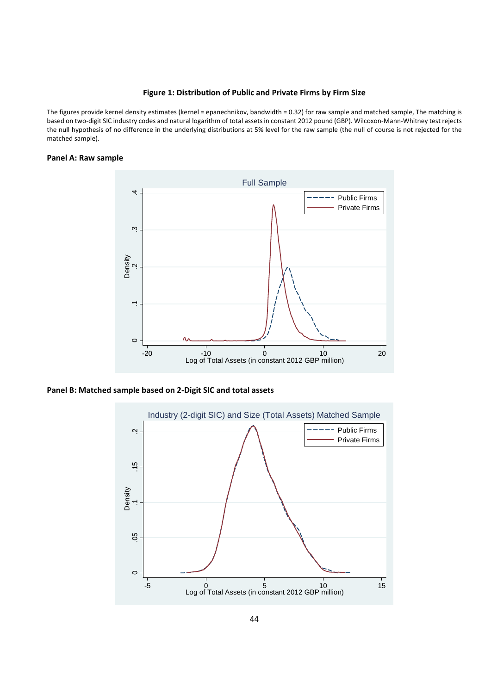### **Figure 1: Distribution of Public and Private Firms by Firm Size**

The figures provide kernel density estimates (kernel = epanechnikov, bandwidth = 0.32) for raw sample and matched sample, The matching is based on two‐digit SIC industry codes and natural logarithm of total assetsin constant 2012 pound (GBP). Wilcoxon‐Mann‐Whitney test rejects the null hypothesis of no difference in the underlying distributions at 5% level for the raw sample (the null of course is not rejected for the matched sample).

# **Panel A: Raw sample**



# **Panel B: Matched sample based on 2‐Digit SIC and total assets**

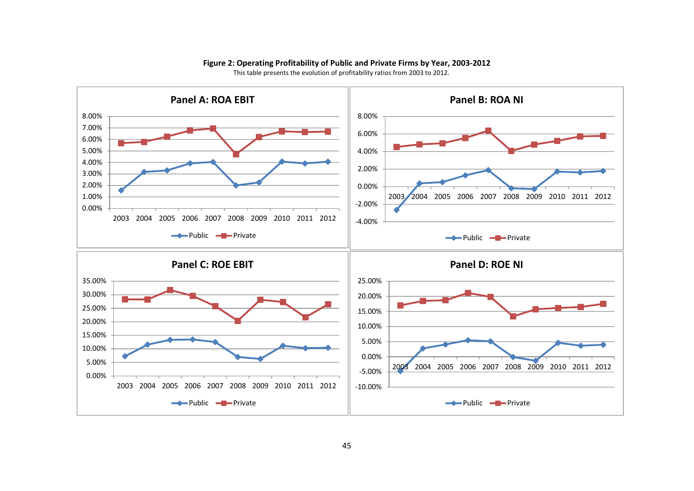

# **Figure 2: Operating Profitability of Public and Private Firms by Year, 2003‐2012**

This table presents the evolution of profitability ratios from 2003 to 2012.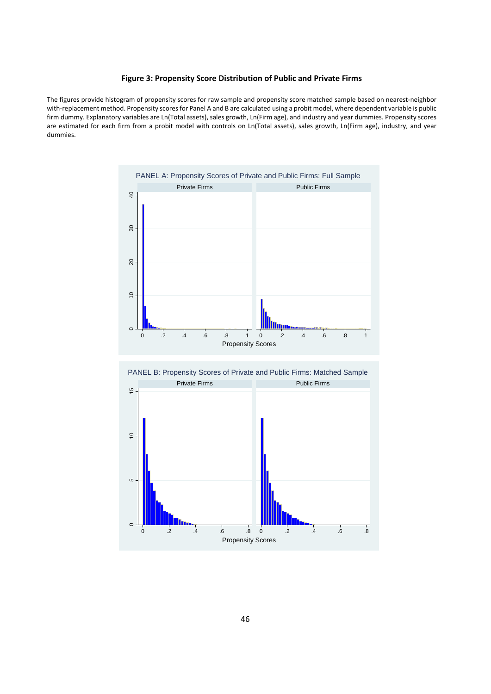# **Figure 3: Propensity Score Distribution of Public and Private Firms**

The figures provide histogram of propensity scores for raw sample and propensity score matched sample based on nearest‐neighbor with-replacement method. Propensity scores for Panel A and B are calculated using a probit model, where dependent variable is public firm dummy. Explanatory variables are Ln(Total assets), sales growth, Ln(Firm age), and industry and year dummies. Propensity scores are estimated for each firm from a probit model with controls on Ln(Total assets), sales growth, Ln(Firm age), industry, and year dummies.



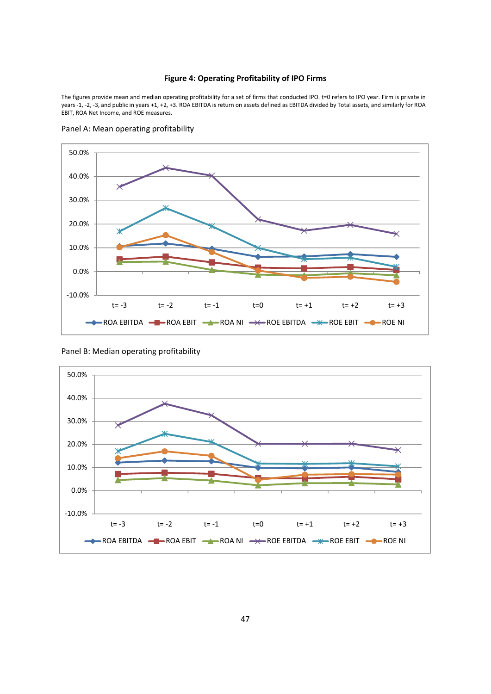# **Figure 4: Operating Profitability of IPO Firms**

The figures provide mean and median operating profitability for a set of firms that conducted IPO. t=0 refers to IPO year. Firm is private in years ‐1, ‐2, ‐3, and public in years +1, +2, +3. ROA EBITDA is return on assets defined as EBITDA divided by Total assets, and similarly for ROA EBIT, ROA Net Income, and ROE measures.



Panel A: Mean operating profitability

Panel B: Median operating profitability

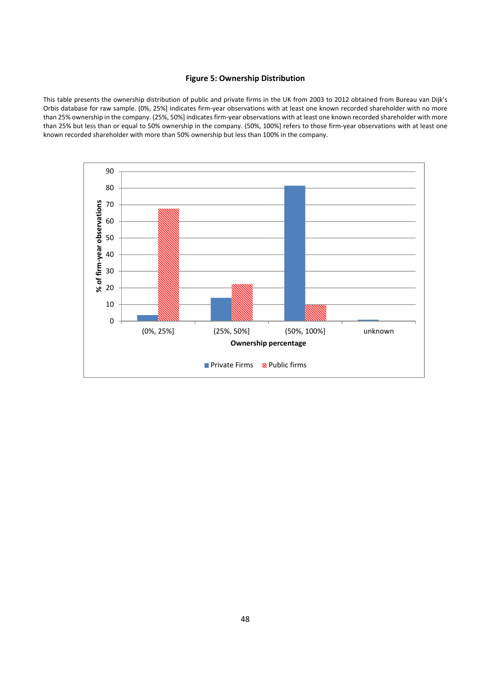# **Figure 5: Ownership Distribution**

This table presents the ownership distribution of public and private firms in the UK from 2003 to 2012 obtained from Bureau van Dijk's Orbis database for raw sample. (0%, 25%] indicates firm‐year observations with at least one known recorded shareholder with no more than 25% ownership in the company. (25%, 50%] indicates firm‐year observations with at least one known recorded shareholder with more than 25% but less than or equal to 50% ownership in the company. (50%, 100%] refers to those firm‐year observations with at least one known recorded shareholder with more than 50% ownership but less than 100% in the company.

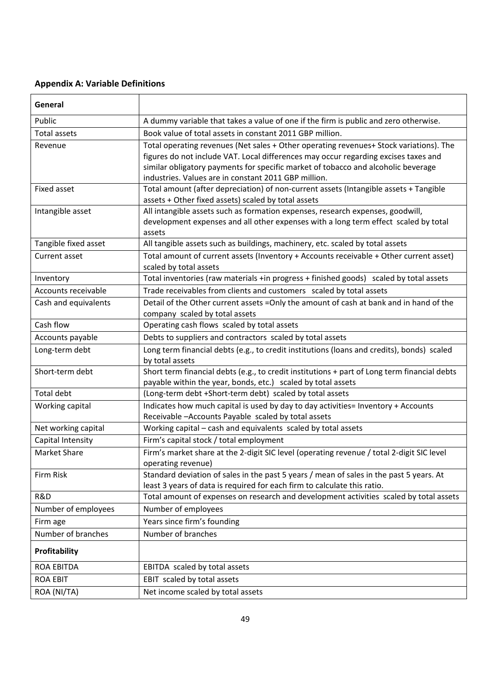# **Appendix A: Variable Definitions**

| General              |                                                                                                                                                                                                                                                                                                                            |
|----------------------|----------------------------------------------------------------------------------------------------------------------------------------------------------------------------------------------------------------------------------------------------------------------------------------------------------------------------|
| Public               | A dummy variable that takes a value of one if the firm is public and zero otherwise.                                                                                                                                                                                                                                       |
| Total assets         | Book value of total assets in constant 2011 GBP million.                                                                                                                                                                                                                                                                   |
| Revenue              | Total operating revenues (Net sales + Other operating revenues+ Stock variations). The<br>figures do not include VAT. Local differences may occur regarding excises taxes and<br>similar obligatory payments for specific market of tobacco and alcoholic beverage<br>industries. Values are in constant 2011 GBP million. |
| Fixed asset          | Total amount (after depreciation) of non-current assets (Intangible assets + Tangible<br>assets + Other fixed assets) scaled by total assets                                                                                                                                                                               |
| Intangible asset     | All intangible assets such as formation expenses, research expenses, goodwill,<br>development expenses and all other expenses with a long term effect scaled by total<br>assets                                                                                                                                            |
| Tangible fixed asset | All tangible assets such as buildings, machinery, etc. scaled by total assets                                                                                                                                                                                                                                              |
| Current asset        | Total amount of current assets (Inventory + Accounts receivable + Other current asset)<br>scaled by total assets                                                                                                                                                                                                           |
| Inventory            | Total inventories (raw materials +in progress + finished goods) scaled by total assets                                                                                                                                                                                                                                     |
| Accounts receivable  | Trade receivables from clients and customers scaled by total assets                                                                                                                                                                                                                                                        |
| Cash and equivalents | Detail of the Other current assets = Only the amount of cash at bank and in hand of the<br>company scaled by total assets                                                                                                                                                                                                  |
| Cash flow            | Operating cash flows scaled by total assets                                                                                                                                                                                                                                                                                |
| Accounts payable     | Debts to suppliers and contractors scaled by total assets                                                                                                                                                                                                                                                                  |
| Long-term debt       | Long term financial debts (e.g., to credit institutions (loans and credits), bonds) scaled<br>by total assets                                                                                                                                                                                                              |
| Short-term debt      | Short term financial debts (e.g., to credit institutions + part of Long term financial debts<br>payable within the year, bonds, etc.) scaled by total assets                                                                                                                                                               |
| Total debt           | (Long-term debt +Short-term debt) scaled by total assets                                                                                                                                                                                                                                                                   |
| Working capital      | Indicates how much capital is used by day to day activities= Inventory + Accounts<br>Receivable - Accounts Payable scaled by total assets                                                                                                                                                                                  |
| Net working capital  | Working capital - cash and equivalents scaled by total assets                                                                                                                                                                                                                                                              |
| Capital Intensity    | Firm's capital stock / total employment                                                                                                                                                                                                                                                                                    |
| <b>Market Share</b>  | Firm's market share at the 2-digit SIC level (operating revenue / total 2-digit SIC level<br>operating revenue)                                                                                                                                                                                                            |
| Firm Risk            | Standard deviation of sales in the past 5 years / mean of sales in the past 5 years. At<br>least 3 years of data is required for each firm to calculate this ratio.                                                                                                                                                        |
| R&D                  | Total amount of expenses on research and development activities scaled by total assets                                                                                                                                                                                                                                     |
| Number of employees  | Number of employees                                                                                                                                                                                                                                                                                                        |
| Firm age             | Years since firm's founding                                                                                                                                                                                                                                                                                                |
| Number of branches   | Number of branches                                                                                                                                                                                                                                                                                                         |
| Profitability        |                                                                                                                                                                                                                                                                                                                            |
| <b>ROA EBITDA</b>    | EBITDA scaled by total assets                                                                                                                                                                                                                                                                                              |
| <b>ROA EBIT</b>      | EBIT scaled by total assets                                                                                                                                                                                                                                                                                                |
| ROA (NI/TA)          | Net income scaled by total assets                                                                                                                                                                                                                                                                                          |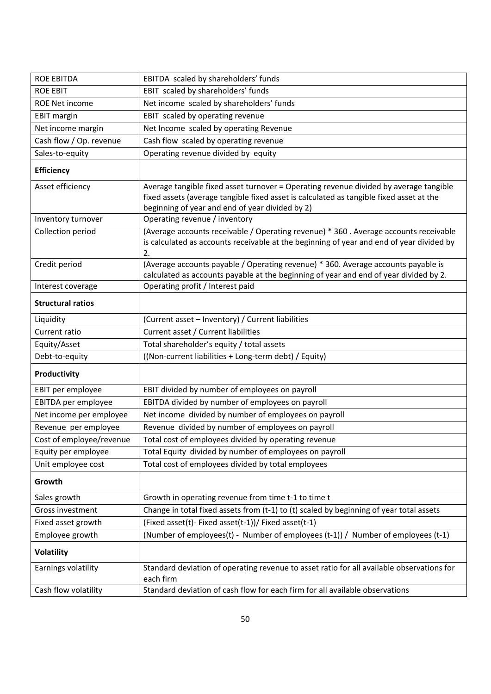| <b>ROE EBITDA</b>        | EBITDA scaled by shareholders' funds                                                                                                                                                                                                |
|--------------------------|-------------------------------------------------------------------------------------------------------------------------------------------------------------------------------------------------------------------------------------|
| <b>ROE EBIT</b>          | EBIT scaled by shareholders' funds                                                                                                                                                                                                  |
| <b>ROE Net income</b>    | Net income scaled by shareholders' funds                                                                                                                                                                                            |
| <b>EBIT margin</b>       | EBIT scaled by operating revenue                                                                                                                                                                                                    |
| Net income margin        | Net Income scaled by operating Revenue                                                                                                                                                                                              |
| Cash flow / Op. revenue  | Cash flow scaled by operating revenue                                                                                                                                                                                               |
| Sales-to-equity          | Operating revenue divided by equity                                                                                                                                                                                                 |
| <b>Efficiency</b>        |                                                                                                                                                                                                                                     |
| Asset efficiency         | Average tangible fixed asset turnover = Operating revenue divided by average tangible<br>fixed assets (average tangible fixed asset is calculated as tangible fixed asset at the<br>beginning of year and end of year divided by 2) |
| Inventory turnover       | Operating revenue / inventory                                                                                                                                                                                                       |
| Collection period        | (Average accounts receivable / Operating revenue) * 360 . Average accounts receivable<br>is calculated as accounts receivable at the beginning of year and end of year divided by<br>2.                                             |
| Credit period            | (Average accounts payable / Operating revenue) * 360. Average accounts payable is<br>calculated as accounts payable at the beginning of year and end of year divided by 2.                                                          |
| Interest coverage        | Operating profit / Interest paid                                                                                                                                                                                                    |
| <b>Structural ratios</b> |                                                                                                                                                                                                                                     |
| Liquidity                | (Current asset - Inventory) / Current liabilities                                                                                                                                                                                   |
| Current ratio            | Current asset / Current liabilities                                                                                                                                                                                                 |
| Equity/Asset             | Total shareholder's equity / total assets                                                                                                                                                                                           |
| Debt-to-equity           | ((Non-current liabilities + Long-term debt) / Equity)                                                                                                                                                                               |
| Productivity             |                                                                                                                                                                                                                                     |
| EBIT per employee        | EBIT divided by number of employees on payroll                                                                                                                                                                                      |
| EBITDA per employee      | EBITDA divided by number of employees on payroll                                                                                                                                                                                    |
| Net income per employee  | Net income divided by number of employees on payroll                                                                                                                                                                                |
| Revenue per employee     | Revenue divided by number of employees on payroll                                                                                                                                                                                   |
| Cost of employee/revenue | Total cost of employees divided by operating revenue                                                                                                                                                                                |
| Equity per employee      | Total Equity divided by number of employees on payroll                                                                                                                                                                              |
| Unit employee cost       | Total cost of employees divided by total employees                                                                                                                                                                                  |
| Growth                   |                                                                                                                                                                                                                                     |
| Sales growth             | Growth in operating revenue from time t-1 to time t                                                                                                                                                                                 |
| Gross investment         | Change in total fixed assets from (t-1) to (t) scaled by beginning of year total assets                                                                                                                                             |
| Fixed asset growth       | (Fixed asset(t)- Fixed asset(t-1))/ Fixed asset(t-1)                                                                                                                                                                                |
| Employee growth          | (Number of employees(t) - Number of employees (t-1)) / Number of employees (t-1)                                                                                                                                                    |
| Volatility               |                                                                                                                                                                                                                                     |
| Earnings volatility      | Standard deviation of operating revenue to asset ratio for all available observations for<br>each firm                                                                                                                              |
| Cash flow volatility     | Standard deviation of cash flow for each firm for all available observations                                                                                                                                                        |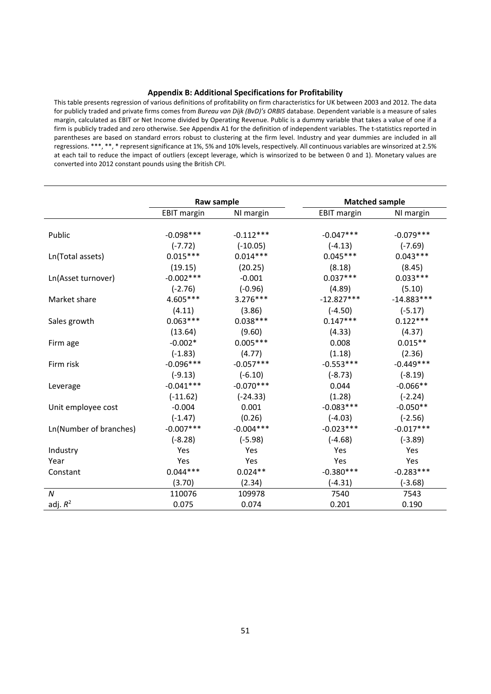### **Appendix B: Additional Specifications for Profitability**

This table presents regression of various definitions of profitability on firm characteristics for UK between 2003 and 2012. The data for publicly traded and private firms comes from *Bureau van Dijk (BvD)'s ORBIS* database. Dependent variable is a measure of sales margin, calculated as EBIT or Net Income divided by Operating Revenue. Public is a dummy variable that takes a value of one if a firm is publicly traded and zero otherwise. See Appendix A1 for the definition of independent variables. The t‐statistics reported in parentheses are based on standard errors robust to clustering at the firm level. Industry and year dummies are included in all regressions. \*\*\*, \*\*, \* represent significance at 1%, 5% and 10% levels, respectively. All continuous variables are winsorized at 2.5% at each tail to reduce the impact of outliers (except leverage, which is winsorized to be between 0 and 1). Monetary values are converted into 2012 constant pounds using the British CPI.

|                        | Raw sample         |             | <b>Matched sample</b> |              |
|------------------------|--------------------|-------------|-----------------------|--------------|
|                        | <b>EBIT</b> margin | NI margin   | EBIT margin           | NI margin    |
|                        |                    |             |                       |              |
| Public                 | $-0.098$ ***       | $-0.112***$ | $-0.047***$           | $-0.079***$  |
|                        | $(-7.72)$          | $(-10.05)$  | $(-4.13)$             | $(-7.69)$    |
| Ln(Total assets)       | $0.015***$         | $0.014***$  | $0.045***$            | $0.043***$   |
|                        | (19.15)            | (20.25)     | (8.18)                | (8.45)       |
| Ln(Asset turnover)     | $-0.002***$        | $-0.001$    | $0.037***$            | $0.033***$   |
|                        | $(-2.76)$          | $(-0.96)$   | (4.89)                | (5.10)       |
| Market share           | 4.605***           | $3.276***$  | $-12.827***$          | $-14.883***$ |
|                        | (4.11)             | (3.86)      | $(-4.50)$             | $(-5.17)$    |
| Sales growth           | $0.063***$         | $0.038***$  | $0.147***$            | $0.122***$   |
|                        | (13.64)            | (9.60)      | (4.33)                | (4.37)       |
| Firm age               | $-0.002*$          | $0.005***$  | 0.008                 | $0.015**$    |
|                        | $(-1.83)$          | (4.77)      | (1.18)                | (2.36)       |
| Firm risk              | $-0.096***$        | $-0.057***$ | $-0.553***$           | $-0.449***$  |
|                        | $(-9.13)$          | $(-6.10)$   | $(-8.73)$             | $(-8.19)$    |
| Leverage               | $-0.041***$        | $-0.070***$ | 0.044                 | $-0.066**$   |
|                        | $(-11.62)$         | $(-24.33)$  | (1.28)                | $(-2.24)$    |
| Unit employee cost     | $-0.004$           | 0.001       | $-0.083***$           | $-0.050**$   |
|                        | $(-1.47)$          | (0.26)      | $(-4.03)$             | $(-2.56)$    |
| Ln(Number of branches) | $-0.007***$        | $-0.004***$ | $-0.023***$           | $-0.017***$  |
|                        | $(-8.28)$          | $(-5.98)$   | $(-4.68)$             | $(-3.89)$    |
| Industry               | Yes                | Yes         | <b>Yes</b>            | Yes          |
| Year                   | Yes                | Yes         | <b>Yes</b>            | Yes          |
| Constant               | $0.044***$         | $0.024**$   | $-0.380***$           | $-0.283***$  |
|                        | (3.70)             | (2.34)      | (-4.31)               | $(-3.68)$    |
| $\boldsymbol{N}$       | 110076             | 109978      | 7540                  | 7543         |
| adj. $R^2$             | 0.075              | 0.074       | 0.201                 | 0.190        |